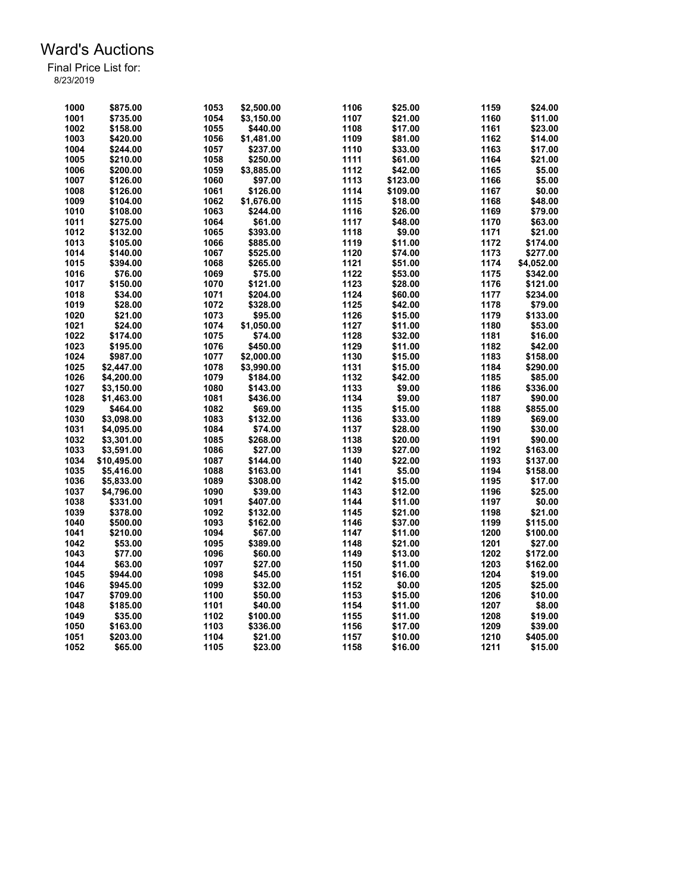| 1000 | \$875.00    | 1053 | \$2,500.00 | 1106 | \$25.00  | 1159 | \$24.00    |
|------|-------------|------|------------|------|----------|------|------------|
| 1001 | \$735.00    | 1054 | \$3,150.00 | 1107 | \$21.00  | 1160 | \$11.00    |
| 1002 | \$158.00    | 1055 | \$440.00   | 1108 | \$17.00  | 1161 | \$23.00    |
| 1003 | \$420.00    | 1056 | \$1,481.00 | 1109 | \$81.00  | 1162 | \$14.00    |
| 1004 | \$244.00    | 1057 | \$237.00   | 1110 | \$33.00  | 1163 | \$17.00    |
| 1005 | \$210.00    | 1058 | \$250.00   | 1111 | \$61.00  | 1164 | \$21.00    |
| 1006 | \$200.00    | 1059 | \$3,885.00 | 1112 | \$42.00  | 1165 | \$5.00     |
| 1007 | \$126.00    | 1060 | \$97.00    | 1113 | \$123.00 | 1166 | \$5.00     |
| 1008 | \$126.00    | 1061 | \$126.00   | 1114 | \$109.00 | 1167 | \$0.00     |
| 1009 | \$104.00    | 1062 | \$1,676.00 | 1115 | \$18.00  | 1168 | \$48.00    |
| 1010 | \$108.00    | 1063 | \$244.00   | 1116 | \$26.00  | 1169 | \$79.00    |
|      |             |      |            | 1117 |          |      |            |
| 1011 | \$275.00    | 1064 | \$61.00    |      | \$48.00  | 1170 | \$63.00    |
| 1012 | \$132.00    | 1065 | \$393.00   | 1118 | \$9.00   | 1171 | \$21.00    |
| 1013 | \$105.00    | 1066 | \$885.00   | 1119 | \$11.00  | 1172 | \$174.00   |
| 1014 | \$140.00    | 1067 | \$525.00   | 1120 | \$74.00  | 1173 | \$277.00   |
| 1015 | \$394.00    | 1068 | \$265.00   | 1121 | \$51.00  | 1174 | \$4,052.00 |
| 1016 | \$76.00     | 1069 | \$75.00    | 1122 | \$53.00  | 1175 | \$342.00   |
| 1017 | \$150.00    | 1070 | \$121.00   | 1123 | \$28.00  | 1176 | \$121.00   |
| 1018 | \$34.00     | 1071 | \$204.00   | 1124 | \$60.00  | 1177 | \$234.00   |
| 1019 | \$28.00     | 1072 | \$328.00   | 1125 | \$42.00  | 1178 | \$79.00    |
| 1020 | \$21.00     | 1073 | \$95.00    | 1126 | \$15.00  | 1179 | \$133.00   |
| 1021 | \$24.00     | 1074 | \$1,050.00 | 1127 | \$11.00  | 1180 | \$53.00    |
| 1022 | \$174.00    | 1075 | \$74.00    | 1128 | \$32.00  | 1181 | \$16.00    |
| 1023 | \$195.00    | 1076 | \$450.00   | 1129 | \$11.00  | 1182 | \$42.00    |
| 1024 | \$987.00    | 1077 | \$2,000.00 | 1130 | \$15.00  | 1183 | \$158.00   |
| 1025 | \$2,447.00  | 1078 | \$3,990.00 | 1131 | \$15.00  | 1184 | \$290.00   |
| 1026 | \$4,200.00  | 1079 | \$184.00   | 1132 | \$42.00  | 1185 | \$85.00    |
| 1027 | \$3,150.00  | 1080 | \$143.00   | 1133 | \$9.00   | 1186 | \$336.00   |
| 1028 | \$1,463.00  | 1081 | \$436.00   | 1134 | \$9.00   | 1187 | \$90.00    |
| 1029 | \$464.00    | 1082 | \$69.00    | 1135 | \$15.00  | 1188 | \$855.00   |
| 1030 | \$3.098.00  | 1083 | \$132.00   | 1136 | \$33.00  | 1189 | \$69.00    |
| 1031 | \$4,095.00  | 1084 | \$74.00    | 1137 | \$28.00  | 1190 | \$30.00    |
| 1032 | \$3,301.00  | 1085 | \$268.00   | 1138 | \$20.00  | 1191 | \$90.00    |
| 1033 | \$3,591.00  | 1086 | \$27.00    | 1139 | \$27.00  | 1192 | \$163.00   |
| 1034 | \$10,495.00 | 1087 | \$144.00   | 1140 | \$22.00  | 1193 | \$137.00   |
| 1035 | \$5,416.00  | 1088 | \$163.00   | 1141 | \$5.00   | 1194 | \$158.00   |
| 1036 | \$5,833.00  | 1089 | \$308.00   | 1142 | \$15.00  | 1195 | \$17.00    |
| 1037 | \$4,796.00  | 1090 | \$39.00    | 1143 | \$12.00  | 1196 | \$25.00    |
| 1038 | \$331.00    | 1091 | \$407.00   | 1144 | \$11.00  | 1197 |            |
|      |             |      |            |      |          |      | \$0.00     |
| 1039 | \$378.00    | 1092 | \$132.00   | 1145 | \$21.00  | 1198 | \$21.00    |
| 1040 | \$500.00    | 1093 | \$162.00   | 1146 | \$37.00  | 1199 | \$115.00   |
| 1041 | \$210.00    | 1094 | \$67.00    | 1147 | \$11.00  | 1200 | \$100.00   |
| 1042 | \$53.00     | 1095 | \$389.00   | 1148 | \$21.00  | 1201 | \$27.00    |
| 1043 | \$77.00     | 1096 | \$60.00    | 1149 | \$13.00  | 1202 | \$172.00   |
| 1044 | \$63.00     | 1097 | \$27.00    | 1150 | \$11.00  | 1203 | \$162.00   |
| 1045 | \$944.00    | 1098 | \$45.00    | 1151 | \$16.00  | 1204 | \$19.00    |
| 1046 | \$945.00    | 1099 | \$32.00    | 1152 | \$0.00   | 1205 | \$25.00    |
| 1047 | \$709.00    | 1100 | \$50.00    | 1153 | \$15.00  | 1206 | \$10.00    |
| 1048 | \$185.00    | 1101 | \$40.00    | 1154 | \$11.00  | 1207 | \$8.00     |
| 1049 | \$35.00     | 1102 | \$100.00   | 1155 | \$11.00  | 1208 | \$19.00    |
| 1050 | \$163.00    | 1103 | \$336.00   | 1156 | \$17.00  | 1209 | \$39.00    |
| 1051 | \$203.00    | 1104 | \$21.00    | 1157 | \$10.00  | 1210 | \$405.00   |
| 1052 | \$65.00     | 1105 | \$23.00    | 1158 | \$16.00  | 1211 | \$15.00    |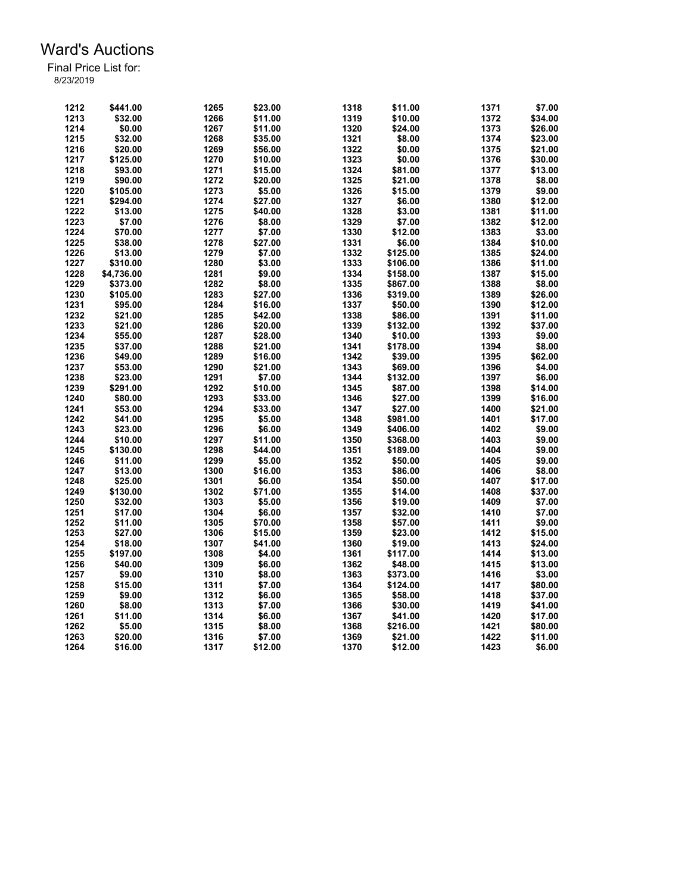| 1212 | \$441.00   | 1265 | \$23.00 | 1318 | \$11.00  | 1371 | \$7.00  |
|------|------------|------|---------|------|----------|------|---------|
| 1213 | \$32.00    | 1266 | \$11.00 | 1319 | \$10.00  | 1372 | \$34.00 |
|      |            |      |         |      |          |      |         |
| 1214 | \$0.00     | 1267 | \$11.00 | 1320 | \$24.00  | 1373 | \$26.00 |
| 1215 | \$32.00    | 1268 | \$35.00 | 1321 | \$8.00   | 1374 | \$23.00 |
| 1216 | \$20.00    | 1269 | \$56.00 | 1322 | \$0.00   | 1375 | \$21.00 |
| 1217 | \$125.00   | 1270 | \$10.00 | 1323 | \$0.00   | 1376 | \$30.00 |
| 1218 | \$93.00    | 1271 | \$15.00 | 1324 | \$81.00  | 1377 | \$13.00 |
| 1219 | \$90.00    | 1272 | \$20.00 | 1325 | \$21.00  | 1378 | \$8.00  |
| 1220 | \$105.00   | 1273 | \$5.00  | 1326 | \$15.00  | 1379 | \$9.00  |
| 1221 | \$294.00   | 1274 | \$27.00 | 1327 | \$6.00   | 1380 | \$12.00 |
| 1222 | \$13.00    | 1275 | \$40.00 | 1328 | \$3.00   | 1381 | \$11.00 |
| 1223 | \$7.00     | 1276 | \$8.00  | 1329 | \$7.00   | 1382 | \$12.00 |
| 1224 | \$70.00    | 1277 | \$7.00  | 1330 | \$12.00  | 1383 | \$3.00  |
| 1225 | \$38.00    | 1278 | \$27.00 | 1331 | \$6.00   | 1384 | \$10.00 |
| 1226 | \$13.00    | 1279 | \$7.00  | 1332 | \$125.00 | 1385 | \$24.00 |
| 1227 |            | 1280 | \$3.00  | 1333 |          | 1386 | \$11.00 |
|      | \$310.00   |      |         |      | \$106.00 |      |         |
| 1228 | \$4,736.00 | 1281 | \$9.00  | 1334 | \$158.00 | 1387 | \$15.00 |
| 1229 | \$373.00   | 1282 | \$8.00  | 1335 | \$867.00 | 1388 | \$8.00  |
| 1230 | \$105.00   | 1283 | \$27.00 | 1336 | \$319.00 | 1389 | \$26.00 |
| 1231 | \$95.00    | 1284 | \$16.00 | 1337 | \$50.00  | 1390 | \$12.00 |
| 1232 | \$21.00    | 1285 | \$42.00 | 1338 | \$86.00  | 1391 | \$11.00 |
| 1233 | \$21.00    | 1286 | \$20.00 | 1339 | \$132.00 | 1392 | \$37.00 |
| 1234 | \$55.00    | 1287 | \$28.00 | 1340 | \$10.00  | 1393 | \$9.00  |
| 1235 | \$37.00    | 1288 | \$21.00 | 1341 | \$178.00 | 1394 | \$8.00  |
| 1236 | \$49.00    | 1289 | \$16.00 | 1342 | \$39.00  | 1395 | \$62.00 |
| 1237 | \$53.00    | 1290 | \$21.00 | 1343 | \$69.00  | 1396 | \$4.00  |
| 1238 | \$23.00    | 1291 | \$7.00  | 1344 | \$132.00 | 1397 | \$6.00  |
| 1239 | \$291.00   | 1292 | \$10.00 | 1345 | \$87.00  | 1398 | \$14.00 |
| 1240 | \$80.00    | 1293 | \$33.00 | 1346 | \$27.00  | 1399 | \$16.00 |
| 1241 | \$53.00    | 1294 | \$33.00 | 1347 | \$27.00  | 1400 | \$21.00 |
| 1242 | \$41.00    | 1295 | \$5.00  | 1348 | \$981.00 | 1401 | \$17.00 |
| 1243 | \$23.00    | 1296 | \$6.00  | 1349 | \$406.00 | 1402 | \$9.00  |
| 1244 | \$10.00    | 1297 | \$11.00 | 1350 |          | 1403 | \$9.00  |
|      |            |      |         |      | \$368.00 |      |         |
| 1245 | \$130.00   | 1298 | \$44.00 | 1351 | \$189.00 | 1404 | \$9.00  |
| 1246 | \$11.00    | 1299 | \$5.00  | 1352 | \$50.00  | 1405 | \$9.00  |
| 1247 | \$13.00    | 1300 | \$16.00 | 1353 | \$86.00  | 1406 | \$8.00  |
| 1248 | \$25.00    | 1301 | \$6.00  | 1354 | \$50.00  | 1407 | \$17.00 |
| 1249 | \$130.00   | 1302 | \$71.00 | 1355 | \$14.00  | 1408 | \$37.00 |
| 1250 | \$32.00    | 1303 | \$5.00  | 1356 | \$19.00  | 1409 | \$7.00  |
| 1251 | \$17.00    | 1304 | \$6.00  | 1357 | \$32.00  | 1410 | \$7.00  |
| 1252 | \$11.00    | 1305 | \$70.00 | 1358 | \$57.00  | 1411 | \$9.00  |
| 1253 | \$27.00    | 1306 | \$15.00 | 1359 | \$23.00  | 1412 | \$15.00 |
| 1254 | \$18.00    | 1307 | \$41.00 | 1360 | \$19.00  | 1413 | \$24.00 |
| 1255 | \$197.00   | 1308 | \$4.00  | 1361 | \$117.00 | 1414 | \$13.00 |
| 1256 | \$40.00    | 1309 | \$6.00  | 1362 | \$48.00  | 1415 | \$13.00 |
| 1257 | \$9.00     | 1310 | \$8.00  | 1363 | \$373.00 | 1416 | \$3.00  |
| 1258 | \$15.00    | 1311 | \$7.00  | 1364 | \$124.00 | 1417 | \$80.00 |
| 1259 | \$9.00     | 1312 | \$6.00  | 1365 | \$58.00  | 1418 | \$37.00 |
| 1260 | \$8.00     | 1313 | \$7.00  | 1366 | \$30.00  | 1419 | \$41.00 |
| 1261 | \$11.00    | 1314 | \$6.00  | 1367 | \$41.00  | 1420 | \$17.00 |
| 1262 |            |      | \$8.00  | 1368 | \$216.00 | 1421 |         |
|      | \$5.00     | 1315 |         |      |          |      | \$80.00 |
| 1263 | \$20.00    | 1316 | \$7.00  | 1369 | \$21.00  | 1422 | \$11.00 |
| 1264 | \$16.00    | 1317 | \$12.00 | 1370 | \$12.00  | 1423 | \$6.00  |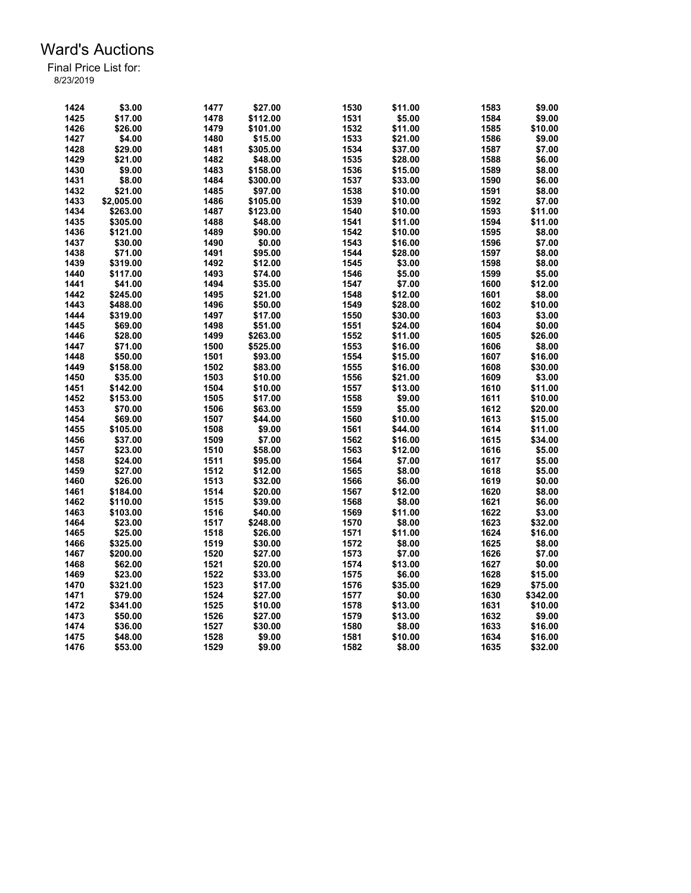| 1424 | \$3.00              | 1477 | \$27.00  | 1530 | \$11.00 | 1583 | \$9.00   |
|------|---------------------|------|----------|------|---------|------|----------|
| 1425 | \$17.00             | 1478 | \$112.00 | 1531 | \$5.00  | 1584 | \$9.00   |
| 1426 | \$26.00             | 1479 | \$101.00 | 1532 | \$11.00 | 1585 | \$10.00  |
| 1427 | \$4.00              | 1480 | \$15.00  | 1533 | \$21.00 | 1586 | \$9.00   |
| 1428 | \$29.00             | 1481 | \$305.00 | 1534 | \$37.00 | 1587 | \$7.00   |
| 1429 | \$21.00             | 1482 | \$48.00  | 1535 | \$28.00 | 1588 | \$6.00   |
| 1430 | \$9.00              | 1483 | \$158.00 | 1536 | \$15.00 | 1589 | \$8.00   |
| 1431 | \$8.00              | 1484 | \$300.00 | 1537 | \$33.00 | 1590 | \$6.00   |
| 1432 | \$21.00             | 1485 | \$97.00  | 1538 | \$10.00 | 1591 | \$8.00   |
| 1433 | \$2,005.00          | 1486 | \$105.00 | 1539 | \$10.00 | 1592 | \$7.00   |
| 1434 | \$263.00            | 1487 | \$123.00 | 1540 | \$10.00 | 1593 | \$11.00  |
| 1435 | \$305.00            | 1488 | \$48.00  | 1541 | \$11.00 | 1594 | \$11.00  |
| 1436 | \$121.00            | 1489 | \$90.00  | 1542 | \$10.00 | 1595 | \$8.00   |
| 1437 | \$30.00             | 1490 | \$0.00   | 1543 | \$16.00 | 1596 | \$7.00   |
| 1438 | \$71.00             | 1491 | \$95.00  | 1544 | \$28.00 | 1597 | \$8.00   |
| 1439 | \$319.00            | 1492 | \$12.00  | 1545 | \$3.00  | 1598 | \$8.00   |
| 1440 | \$117.00            | 1493 | \$74.00  | 1546 | \$5.00  | 1599 | \$5.00   |
| 1441 | \$41.00             | 1494 | \$35.00  | 1547 | \$7.00  | 1600 | \$12.00  |
| 1442 | \$245.00            | 1495 | \$21.00  | 1548 | \$12.00 | 1601 | \$8.00   |
| 1443 | \$488.00            | 1496 | \$50.00  | 1549 | \$28.00 | 1602 | \$10.00  |
| 1444 | \$319.00            | 1497 | \$17.00  | 1550 | \$30.00 | 1603 | \$3.00   |
| 1445 | \$69.00             | 1498 | \$51.00  | 1551 | \$24.00 | 1604 | \$0.00   |
| 1446 | \$28.00             | 1499 | \$263.00 | 1552 | \$11.00 | 1605 | \$26.00  |
| 1447 | \$71.00             | 1500 | \$525.00 | 1553 | \$16.00 | 1606 | \$8.00   |
| 1448 |                     | 1501 | \$93.00  | 1554 |         | 1607 | \$16.00  |
| 1449 | \$50.00<br>\$158.00 | 1502 |          | 1555 | \$15.00 | 1608 | \$30.00  |
|      |                     |      | \$83.00  |      | \$16.00 |      |          |
| 1450 | \$35.00             | 1503 | \$10.00  | 1556 | \$21.00 | 1609 | \$3.00   |
| 1451 | \$142.00            | 1504 | \$10.00  | 1557 | \$13.00 | 1610 | \$11.00  |
| 1452 | \$153.00            | 1505 | \$17.00  | 1558 | \$9.00  | 1611 | \$10.00  |
| 1453 | \$70.00             | 1506 | \$63.00  | 1559 | \$5.00  | 1612 | \$20.00  |
| 1454 | \$69.00             | 1507 | \$44.00  | 1560 | \$10.00 | 1613 | \$15.00  |
| 1455 | \$105.00            | 1508 | \$9.00   | 1561 | \$44.00 | 1614 | \$11.00  |
| 1456 | \$37.00             | 1509 | \$7.00   | 1562 | \$16.00 | 1615 | \$34.00  |
| 1457 | \$23.00             | 1510 | \$58.00  | 1563 | \$12.00 | 1616 | \$5.00   |
| 1458 | \$24.00             | 1511 | \$95.00  | 1564 | \$7.00  | 1617 | \$5.00   |
| 1459 | \$27.00             | 1512 | \$12.00  | 1565 | \$8.00  | 1618 | \$5.00   |
| 1460 | \$26.00             | 1513 | \$32.00  | 1566 | \$6.00  | 1619 | \$0.00   |
| 1461 | \$184.00            | 1514 | \$20.00  | 1567 | \$12.00 | 1620 | \$8.00   |
| 1462 | \$110.00            | 1515 | \$39.00  | 1568 | \$8.00  | 1621 | \$6.00   |
| 1463 | \$103.00            | 1516 | \$40.00  | 1569 | \$11.00 | 1622 | \$3.00   |
| 1464 | \$23.00             | 1517 | \$248.00 | 1570 | \$8.00  | 1623 | \$32.00  |
| 1465 | \$25.00             | 1518 | \$26.00  | 1571 | \$11.00 | 1624 | \$16.00  |
| 1466 | \$325.00            | 1519 | \$30.00  | 1572 | \$8.00  | 1625 | \$8.00   |
| 1467 | \$200.00            | 1520 | \$27.00  | 1573 | \$7.00  | 1626 | \$7.00   |
| 1468 | \$62.00             | 1521 | \$20.00  | 1574 | \$13.00 | 1627 | \$0.00   |
| 1469 | \$23.00             | 1522 | \$33.00  | 1575 | \$6.00  | 1628 | \$15.00  |
| 1470 | \$321.00            | 1523 | \$17.00  | 1576 | \$35.00 | 1629 | \$75.00  |
| 1471 | \$79.00             | 1524 | \$27.00  | 1577 | \$0.00  | 1630 | \$342.00 |
| 1472 | \$341.00            | 1525 | \$10.00  | 1578 | \$13.00 | 1631 | \$10.00  |
| 1473 | \$50.00             | 1526 | \$27.00  | 1579 | \$13.00 | 1632 | \$9.00   |
| 1474 | \$36.00             | 1527 | \$30.00  | 1580 | \$8.00  | 1633 | \$16.00  |
| 1475 | \$48.00             | 1528 | \$9.00   | 1581 | \$10.00 | 1634 | \$16.00  |
| 1476 | \$53.00             | 1529 | \$9.00   | 1582 | \$8.00  | 1635 | \$32.00  |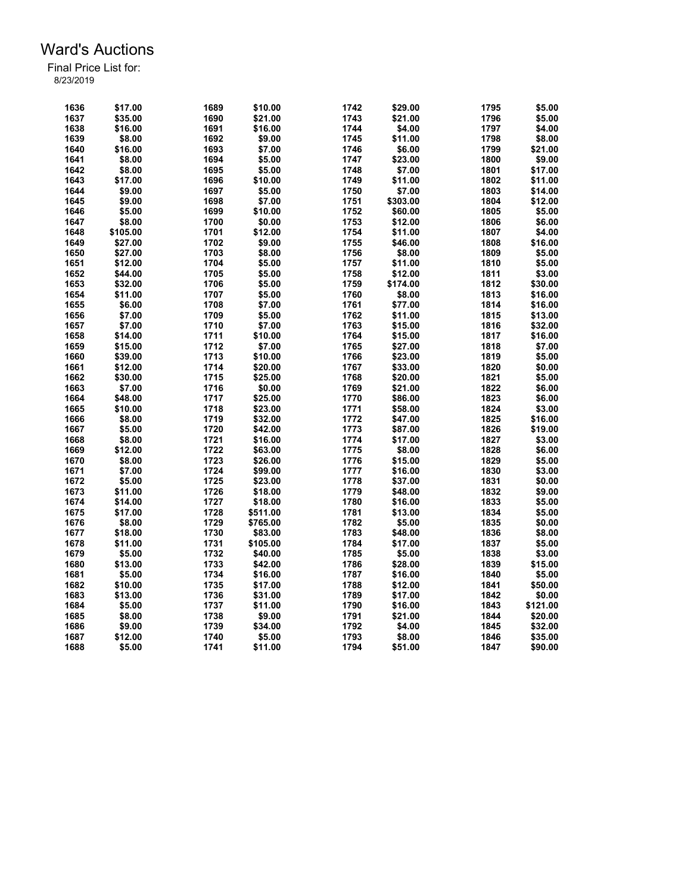| 1636 | \$17.00  | 1689 | \$10.00  | 1742 | \$29.00  | 1795 | \$5.00   |
|------|----------|------|----------|------|----------|------|----------|
| 1637 | \$35.00  | 1690 | \$21.00  | 1743 | \$21.00  | 1796 | \$5.00   |
| 1638 | \$16.00  | 1691 | \$16.00  | 1744 | \$4.00   | 1797 | \$4.00   |
| 1639 | \$8.00   | 1692 | \$9.00   | 1745 | \$11.00  | 1798 | \$8.00   |
| 1640 | \$16.00  | 1693 | \$7.00   | 1746 | \$6.00   | 1799 | \$21.00  |
| 1641 | \$8.00   | 1694 | \$5.00   | 1747 | \$23.00  | 1800 | \$9.00   |
| 1642 | \$8.00   | 1695 | \$5.00   | 1748 | \$7.00   | 1801 | \$17.00  |
| 1643 | \$17.00  | 1696 | \$10.00  | 1749 | \$11.00  | 1802 | \$11.00  |
| 1644 | \$9.00   | 1697 | \$5.00   | 1750 | \$7.00   | 1803 | \$14.00  |
| 1645 | \$9.00   | 1698 | \$7.00   | 1751 | \$303.00 | 1804 | \$12.00  |
| 1646 | \$5.00   | 1699 | \$10.00  | 1752 | \$60.00  | 1805 | \$5.00   |
| 1647 | \$8.00   | 1700 | \$0.00   | 1753 | \$12.00  | 1806 | \$6.00   |
| 1648 | \$105.00 | 1701 | \$12.00  | 1754 | \$11.00  | 1807 | \$4.00   |
| 1649 | \$27.00  | 1702 | \$9.00   | 1755 | \$46.00  | 1808 | \$16.00  |
| 1650 | \$27.00  | 1703 | \$8.00   | 1756 | \$8.00   | 1809 | \$5.00   |
| 1651 | \$12.00  | 1704 | \$5.00   | 1757 | \$11.00  | 1810 | \$5.00   |
| 1652 | \$44.00  | 1705 | \$5.00   | 1758 | \$12.00  | 1811 | \$3.00   |
| 1653 | \$32.00  | 1706 | \$5.00   | 1759 | \$174.00 | 1812 | \$30.00  |
| 1654 | \$11.00  | 1707 | \$5.00   | 1760 | \$8.00   | 1813 | \$16.00  |
| 1655 | \$6.00   | 1708 | \$7.00   | 1761 | \$77.00  | 1814 | \$16.00  |
| 1656 | \$7.00   | 1709 | \$5.00   | 1762 | \$11.00  | 1815 | \$13.00  |
| 1657 | \$7.00   | 1710 | \$7.00   | 1763 | \$15.00  | 1816 | \$32.00  |
| 1658 | \$14.00  |      | \$10.00  | 1764 |          | 1817 | \$16.00  |
|      |          | 1711 |          |      | \$15.00  |      |          |
| 1659 | \$15.00  | 1712 | \$7.00   | 1765 | \$27.00  | 1818 | \$7.00   |
| 1660 | \$39.00  | 1713 | \$10.00  | 1766 | \$23.00  | 1819 | \$5.00   |
| 1661 | \$12.00  | 1714 | \$20.00  | 1767 | \$33.00  | 1820 | \$0.00   |
| 1662 | \$30.00  | 1715 | \$25.00  | 1768 | \$20.00  | 1821 | \$5.00   |
| 1663 | \$7.00   | 1716 | \$0.00   | 1769 | \$21.00  | 1822 | \$6.00   |
| 1664 | \$48.00  | 1717 | \$25.00  | 1770 | \$86.00  | 1823 | \$6.00   |
| 1665 | \$10.00  | 1718 | \$23.00  | 1771 | \$58.00  | 1824 | \$3.00   |
| 1666 | \$8.00   | 1719 | \$32.00  | 1772 | \$47.00  | 1825 | \$16.00  |
| 1667 | \$5.00   | 1720 | \$42.00  | 1773 | \$87.00  | 1826 | \$19.00  |
| 1668 | \$8.00   | 1721 | \$16.00  | 1774 | \$17.00  | 1827 | \$3.00   |
| 1669 | \$12.00  | 1722 | \$63.00  | 1775 | \$8.00   | 1828 | \$6.00   |
| 1670 | \$8.00   | 1723 | \$26.00  | 1776 | \$15.00  | 1829 | \$5.00   |
| 1671 | \$7.00   | 1724 | \$99.00  | 1777 | \$16.00  | 1830 | \$3.00   |
| 1672 | \$5.00   | 1725 | \$23.00  | 1778 | \$37.00  | 1831 | \$0.00   |
| 1673 | \$11.00  | 1726 | \$18.00  | 1779 | \$48.00  | 1832 | \$9.00   |
| 1674 | \$14.00  | 1727 | \$18.00  | 1780 | \$16.00  | 1833 | \$5.00   |
| 1675 | \$17.00  | 1728 | \$511.00 | 1781 | \$13.00  | 1834 | \$5.00   |
| 1676 | \$8.00   | 1729 | \$765.00 | 1782 | \$5.00   | 1835 | \$0.00   |
| 1677 | \$18.00  | 1730 | \$83.00  | 1783 | \$48.00  | 1836 | \$8.00   |
| 1678 | \$11.00  | 1731 | \$105.00 | 1784 | \$17.00  | 1837 | \$5.00   |
| 1679 | \$5.00   | 1732 | \$40.00  | 1785 | \$5.00   | 1838 | \$3.00   |
| 1680 | \$13.00  | 1733 | \$42.00  | 1786 | \$28.00  | 1839 | \$15.00  |
| 1681 | \$5.00   | 1734 | \$16.00  | 1787 | \$16.00  | 1840 | \$5.00   |
| 1682 | \$10.00  | 1735 | \$17.00  | 1788 | \$12.00  | 1841 | \$50.00  |
| 1683 | \$13.00  | 1736 | \$31.00  | 1789 | \$17.00  | 1842 | \$0.00   |
| 1684 | \$5.00   | 1737 | \$11.00  | 1790 | \$16.00  | 1843 | \$121.00 |
| 1685 | \$8.00   | 1738 | \$9.00   | 1791 | \$21.00  | 1844 | \$20.00  |
| 1686 | \$9.00   | 1739 | \$34.00  | 1792 | \$4.00   | 1845 | \$32.00  |
| 1687 | \$12.00  | 1740 | \$5.00   | 1793 | \$8.00   | 1846 | \$35.00  |
| 1688 | \$5.00   | 1741 | \$11.00  | 1794 | \$51.00  | 1847 | \$90.00  |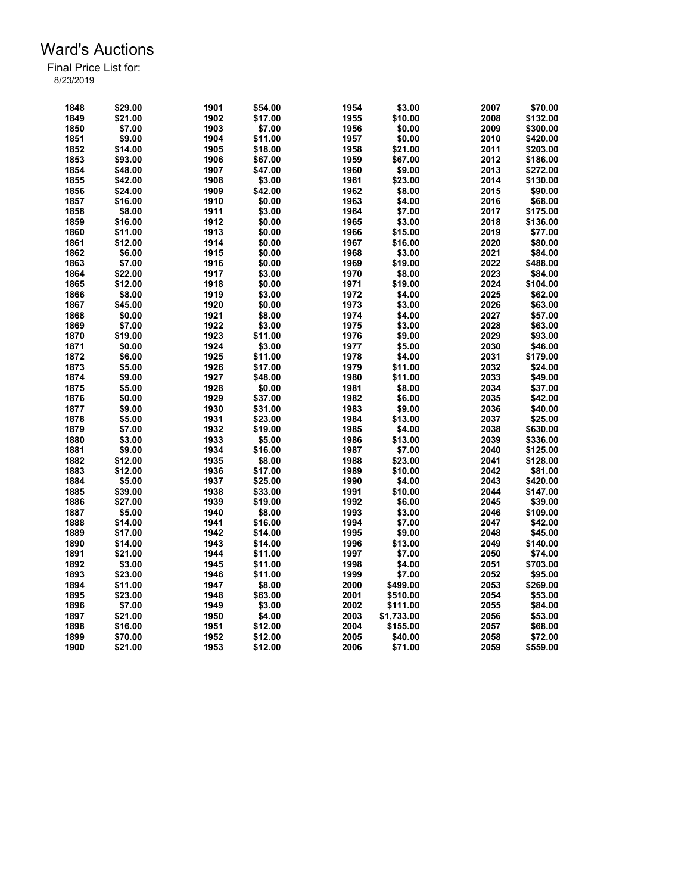| 1848 | \$29.00 | 1901 | \$54.00 | 1954         | \$3.00     | 2007 | \$70.00  |
|------|---------|------|---------|--------------|------------|------|----------|
| 1849 | \$21.00 | 1902 | \$17.00 | 1955         | \$10.00    | 2008 | \$132.00 |
| 1850 | \$7.00  | 1903 | \$7.00  | 1956         | \$0.00     | 2009 | \$300.00 |
| 1851 | \$9.00  | 1904 | \$11.00 | 1957         | \$0.00     | 2010 | \$420.00 |
| 1852 | \$14.00 | 1905 | \$18.00 | 1958         | \$21.00    | 2011 | \$203.00 |
| 1853 | \$93.00 | 1906 | \$67.00 | 1959         | \$67.00    | 2012 | \$186.00 |
| 1854 | \$48.00 | 1907 | \$47.00 | 1960         | \$9.00     | 2013 | \$272.00 |
| 1855 | \$42.00 | 1908 | \$3.00  | 1961         | \$23.00    | 2014 | \$130.00 |
| 1856 | \$24.00 | 1909 | \$42.00 | 1962         | \$8.00     | 2015 | \$90.00  |
| 1857 | \$16.00 | 1910 | \$0.00  | 1963         | \$4.00     | 2016 | \$68.00  |
| 1858 | \$8.00  | 1911 | \$3.00  | 1964         | \$7.00     | 2017 | \$175.00 |
| 1859 | \$16.00 | 1912 | \$0.00  | 1965         | \$3.00     | 2018 | \$136.00 |
| 1860 | \$11.00 | 1913 | \$0.00  | 1966         | \$15.00    | 2019 | \$77.00  |
| 1861 | \$12.00 | 1914 | \$0.00  | 1967         | \$16.00    | 2020 | \$80.00  |
| 1862 | \$6.00  | 1915 | \$0.00  | 1968         | \$3.00     | 2021 | \$84.00  |
| 1863 | \$7.00  | 1916 | \$0.00  | 1969         | \$19.00    | 2022 | \$488.00 |
| 1864 | \$22.00 | 1917 | \$3.00  | 1970         | \$8.00     | 2023 | \$84.00  |
| 1865 | \$12.00 | 1918 | \$0.00  | 1971         | \$19.00    | 2024 | \$104.00 |
|      | \$8.00  |      |         |              |            | 2025 |          |
| 1866 |         | 1919 | \$3.00  | 1972<br>1973 | \$4.00     | 2026 | \$62.00  |
| 1867 | \$45.00 | 1920 | \$0.00  |              | \$3.00     |      | \$63.00  |
| 1868 | \$0.00  | 1921 | \$8.00  | 1974         | \$4.00     | 2027 | \$57.00  |
| 1869 | \$7.00  | 1922 | \$3.00  | 1975         | \$3.00     | 2028 | \$63.00  |
| 1870 | \$19.00 | 1923 | \$11.00 | 1976         | \$9.00     | 2029 | \$93.00  |
| 1871 | \$0.00  | 1924 | \$3.00  | 1977         | \$5.00     | 2030 | \$46.00  |
| 1872 | \$6.00  | 1925 | \$11.00 | 1978         | \$4.00     | 2031 | \$179.00 |
| 1873 | \$5.00  | 1926 | \$17.00 | 1979         | \$11.00    | 2032 | \$24.00  |
| 1874 | \$9.00  | 1927 | \$48.00 | 1980         | \$11.00    | 2033 | \$49.00  |
| 1875 | \$5.00  | 1928 | \$0.00  | 1981         | \$8.00     | 2034 | \$37.00  |
| 1876 | \$0.00  | 1929 | \$37.00 | 1982         | \$6.00     | 2035 | \$42.00  |
| 1877 | \$9.00  | 1930 | \$31.00 | 1983         | \$9.00     | 2036 | \$40.00  |
| 1878 | \$5.00  | 1931 | \$23.00 | 1984         | \$13.00    | 2037 | \$25.00  |
| 1879 | \$7.00  | 1932 | \$19.00 | 1985         | \$4.00     | 2038 | \$630.00 |
| 1880 | \$3.00  | 1933 | \$5.00  | 1986         | \$13.00    | 2039 | \$336.00 |
| 1881 | \$9.00  | 1934 | \$16.00 | 1987         | \$7.00     | 2040 | \$125.00 |
| 1882 | \$12.00 | 1935 | \$8.00  | 1988         | \$23.00    | 2041 | \$128.00 |
| 1883 | \$12.00 | 1936 | \$17.00 | 1989         | \$10.00    | 2042 | \$81.00  |
| 1884 | \$5.00  | 1937 | \$25.00 | 1990         | \$4.00     | 2043 | \$420.00 |
| 1885 | \$39.00 | 1938 | \$33.00 | 1991         | \$10.00    | 2044 | \$147.00 |
| 1886 | \$27.00 | 1939 | \$19.00 | 1992         | \$6.00     | 2045 | \$39.00  |
| 1887 | \$5.00  | 1940 | \$8.00  | 1993         | \$3.00     | 2046 | \$109.00 |
| 1888 | \$14.00 | 1941 | \$16.00 | 1994         | \$7.00     | 2047 | \$42.00  |
| 1889 | \$17.00 | 1942 | \$14.00 | 1995         | \$9.00     | 2048 | \$45.00  |
| 1890 | \$14.00 | 1943 | \$14.00 | 1996         | \$13.00    | 2049 | \$140.00 |
| 1891 | \$21.00 | 1944 | \$11.00 | 1997         | \$7.00     | 2050 | \$74.00  |
| 1892 | \$3.00  | 1945 | \$11.00 | 1998         | \$4.00     | 2051 | \$703.00 |
| 1893 | \$23.00 | 1946 | \$11.00 | 1999         | \$7.00     | 2052 | \$95.00  |
| 1894 | \$11.00 | 1947 | \$8.00  | 2000         | \$499.00   | 2053 | \$269.00 |
| 1895 | \$23.00 | 1948 | \$63.00 | 2001         | \$510.00   | 2054 | \$53.00  |
| 1896 | \$7.00  | 1949 | \$3.00  | 2002         | \$111.00   | 2055 | \$84.00  |
| 1897 | \$21.00 | 1950 | \$4.00  | 2003         | \$1,733.00 | 2056 | \$53.00  |
| 1898 | \$16.00 | 1951 | \$12.00 | 2004         | \$155.00   | 2057 | \$68.00  |
| 1899 | \$70.00 | 1952 | \$12.00 | 2005         | \$40.00    | 2058 | \$72.00  |
| 1900 | \$21.00 | 1953 | \$12.00 | 2006         | \$71.00    | 2059 | \$559.00 |
|      |         |      |         |              |            |      |          |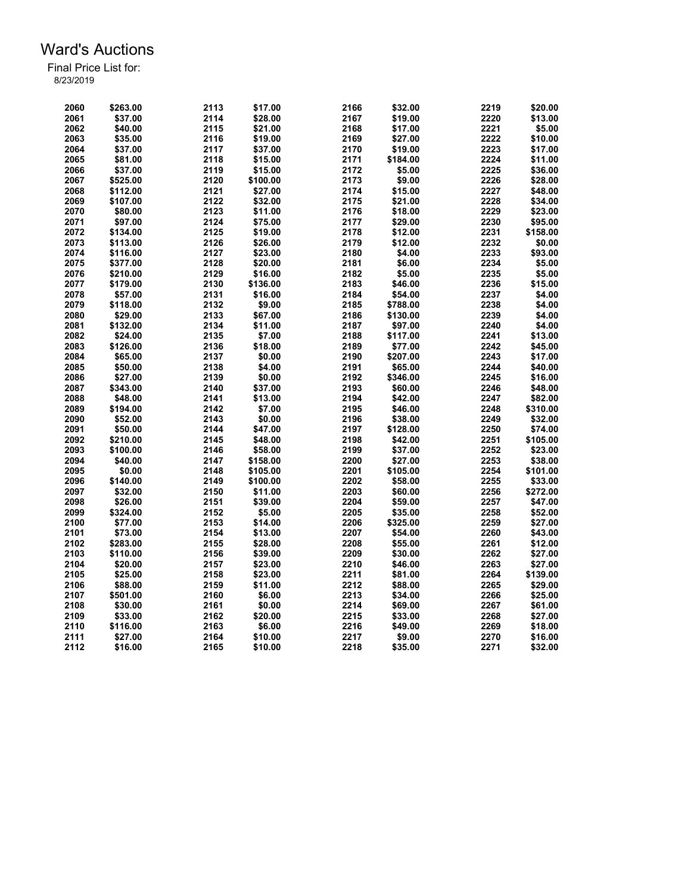| 2060 | \$263.00 | 2113 | \$17.00  | 2166 | \$32.00  | 2219 | \$20.00  |
|------|----------|------|----------|------|----------|------|----------|
|      |          | 2114 |          |      |          | 2220 |          |
| 2061 | \$37.00  |      | \$28.00  | 2167 | \$19.00  |      | \$13.00  |
| 2062 | \$40.00  | 2115 | \$21.00  | 2168 | \$17.00  | 2221 | \$5.00   |
| 2063 | \$35.00  | 2116 | \$19.00  | 2169 | \$27.00  | 2222 | \$10.00  |
| 2064 | \$37.00  | 2117 | \$37.00  | 2170 | \$19.00  | 2223 | \$17.00  |
| 2065 | \$81.00  | 2118 | \$15.00  | 2171 | \$184.00 | 2224 | \$11.00  |
| 2066 | \$37.00  | 2119 | \$15.00  | 2172 | \$5.00   | 2225 | \$36.00  |
| 2067 | \$525.00 | 2120 | \$100.00 | 2173 | \$9.00   | 2226 | \$28.00  |
| 2068 | \$112.00 | 2121 | \$27.00  | 2174 | \$15.00  | 2227 | \$48.00  |
| 2069 | \$107.00 | 2122 | \$32.00  | 2175 | \$21.00  | 2228 | \$34.00  |
| 2070 | \$80.00  | 2123 | \$11.00  | 2176 | \$18.00  | 2229 | \$23.00  |
| 2071 | \$97.00  | 2124 | \$75.00  | 2177 | \$29.00  | 2230 | \$95.00  |
| 2072 | \$134.00 | 2125 | \$19.00  | 2178 | \$12.00  | 2231 | \$158.00 |
| 2073 | \$113.00 | 2126 | \$26.00  | 2179 | \$12.00  | 2232 | \$0.00   |
| 2074 | \$116.00 | 2127 | \$23.00  | 2180 | \$4.00   | 2233 | \$93.00  |
| 2075 | \$377.00 | 2128 | \$20.00  | 2181 | \$6.00   | 2234 | \$5.00   |
| 2076 | \$210.00 | 2129 | \$16.00  | 2182 | \$5.00   | 2235 | \$5.00   |
| 2077 | \$179.00 | 2130 | \$136.00 | 2183 | \$46.00  | 2236 | \$15.00  |
| 2078 | \$57.00  | 2131 | \$16.00  | 2184 | \$54.00  | 2237 | \$4.00   |
| 2079 | \$118.00 | 2132 | \$9.00   | 2185 | \$788.00 | 2238 | \$4.00   |
| 2080 | \$29.00  | 2133 | \$67.00  | 2186 | \$130.00 | 2239 | \$4.00   |
| 2081 | \$132.00 | 2134 | \$11.00  | 2187 | \$97.00  | 2240 | \$4.00   |
| 2082 | \$24.00  | 2135 | \$7.00   | 2188 | \$117.00 | 2241 | \$13.00  |
| 2083 | \$126.00 | 2136 | \$18.00  | 2189 | \$77.00  | 2242 | \$45.00  |
| 2084 | \$65.00  | 2137 | \$0.00   | 2190 | \$207.00 | 2243 | \$17.00  |
|      |          |      |          |      |          |      |          |
| 2085 | \$50.00  | 2138 | \$4.00   | 2191 | \$65.00  | 2244 | \$40.00  |
| 2086 | \$27.00  | 2139 | \$0.00   | 2192 | \$346.00 | 2245 | \$16.00  |
| 2087 | \$343.00 | 2140 | \$37.00  | 2193 | \$60.00  | 2246 | \$48.00  |
| 2088 | \$48.00  | 2141 | \$13.00  | 2194 | \$42.00  | 2247 | \$82.00  |
| 2089 | \$194.00 | 2142 | \$7.00   | 2195 | \$46.00  | 2248 | \$310.00 |
| 2090 | \$52.00  | 2143 | \$0.00   | 2196 | \$38.00  | 2249 | \$32.00  |
| 2091 | \$50.00  | 2144 | \$47.00  | 2197 | \$128.00 | 2250 | \$74.00  |
| 2092 | \$210.00 | 2145 | \$48.00  | 2198 | \$42.00  | 2251 | \$105.00 |
| 2093 | \$100.00 | 2146 | \$58.00  | 2199 | \$37.00  | 2252 | \$23.00  |
| 2094 | \$40.00  | 2147 | \$158.00 | 2200 | \$27.00  | 2253 | \$38.00  |
| 2095 | \$0.00   | 2148 | \$105.00 | 2201 | \$105.00 | 2254 | \$101.00 |
| 2096 | \$140.00 | 2149 | \$100.00 | 2202 | \$58.00  | 2255 | \$33.00  |
| 2097 | \$32.00  | 2150 | \$11.00  | 2203 | \$60.00  | 2256 | \$272.00 |
| 2098 | \$26.00  | 2151 | \$39.00  | 2204 | \$59.00  | 2257 | \$47.00  |
| 2099 | \$324.00 | 2152 | \$5.00   | 2205 | \$35.00  | 2258 | \$52.00  |
| 2100 | \$77.00  | 2153 | \$14.00  | 2206 | \$325.00 | 2259 | \$27.00  |
| 2101 | \$73.00  | 2154 | \$13.00  | 2207 | \$54.00  | 2260 | \$43.00  |
| 2102 | \$283.00 | 2155 | \$28.00  | 2208 | \$55.00  | 2261 | \$12.00  |
| 2103 | \$110.00 | 2156 | \$39.00  | 2209 | \$30.00  | 2262 | \$27.00  |
| 2104 | \$20.00  | 2157 | \$23.00  | 2210 | \$46.00  | 2263 | \$27.00  |
| 2105 | \$25.00  | 2158 | \$23.00  | 2211 | \$81.00  | 2264 | \$139.00 |
| 2106 | \$88.00  | 2159 | \$11.00  | 2212 | \$88.00  | 2265 | \$29.00  |
| 2107 | \$501.00 | 2160 | \$6.00   | 2213 | \$34.00  | 2266 | \$25.00  |
| 2108 | \$30.00  | 2161 | \$0.00   | 2214 | \$69.00  | 2267 | \$61.00  |
| 2109 | \$33.00  | 2162 | \$20.00  | 2215 | \$33.00  | 2268 | \$27.00  |
| 2110 | \$116.00 | 2163 | \$6.00   | 2216 | \$49.00  | 2269 | \$18.00  |
| 2111 | \$27.00  | 2164 | \$10.00  | 2217 | \$9.00   | 2270 | \$16.00  |
| 2112 | \$16.00  | 2165 | \$10.00  | 2218 | \$35.00  | 2271 | \$32.00  |
|      |          |      |          |      |          |      |          |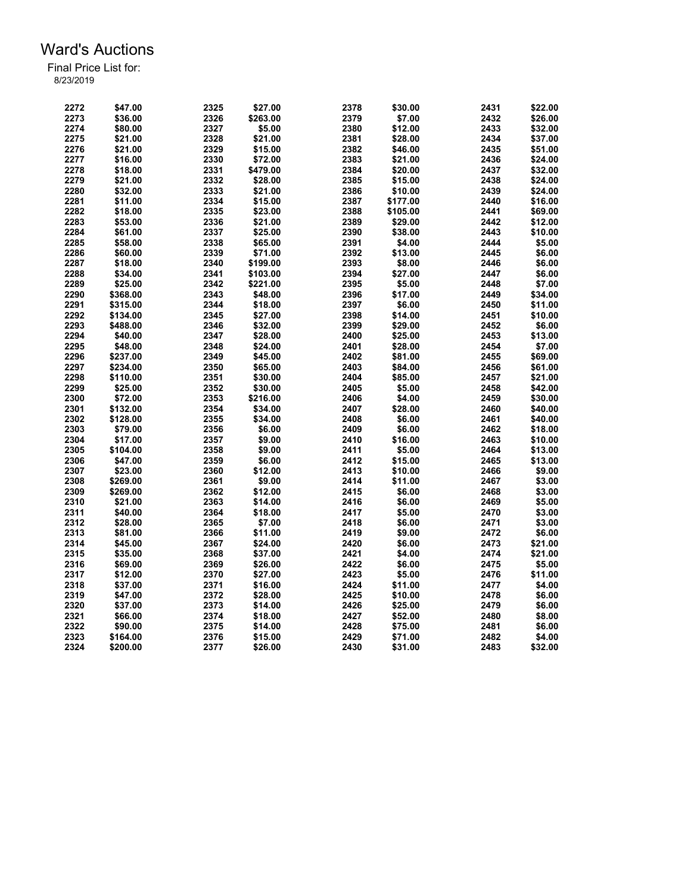| 2272 | \$47.00  | 2325 | \$27.00  | 2378 | \$30.00  | 2431 | \$22.00 |
|------|----------|------|----------|------|----------|------|---------|
| 2273 | \$36.00  | 2326 | \$263.00 | 2379 | \$7.00   | 2432 | \$26.00 |
| 2274 | \$80.00  | 2327 | \$5.00   | 2380 | \$12.00  | 2433 | \$32.00 |
| 2275 | \$21.00  | 2328 | \$21.00  | 2381 | \$28.00  | 2434 | \$37.00 |
| 2276 | \$21.00  | 2329 | \$15.00  | 2382 | \$46.00  | 2435 | \$51.00 |
| 2277 | \$16.00  | 2330 | \$72.00  | 2383 | \$21.00  | 2436 | \$24.00 |
| 2278 | \$18.00  | 2331 | \$479.00 | 2384 | \$20.00  | 2437 | \$32.00 |
| 2279 | \$21.00  | 2332 | \$28.00  | 2385 | \$15.00  | 2438 | \$24.00 |
| 2280 | \$32.00  | 2333 | \$21.00  | 2386 | \$10.00  | 2439 | \$24.00 |
| 2281 | \$11.00  | 2334 | \$15.00  | 2387 | \$177.00 | 2440 | \$16.00 |
| 2282 | \$18.00  | 2335 | \$23.00  | 2388 | \$105.00 | 2441 | \$69.00 |
| 2283 | \$53.00  | 2336 | \$21.00  | 2389 | \$29.00  | 2442 | \$12.00 |
| 2284 | \$61.00  | 2337 | \$25.00  | 2390 | \$38.00  | 2443 | \$10.00 |
| 2285 | \$58.00  | 2338 | \$65.00  | 2391 | \$4.00   | 2444 | \$5.00  |
| 2286 | \$60.00  | 2339 | \$71.00  | 2392 | \$13.00  | 2445 | \$6.00  |
| 2287 |          | 2340 |          | 2393 |          | 2446 | \$6.00  |
|      | \$18.00  |      | \$199.00 |      | \$8.00   |      |         |
| 2288 | \$34.00  | 2341 | \$103.00 | 2394 | \$27.00  | 2447 | \$6.00  |
| 2289 | \$25.00  | 2342 | \$221.00 | 2395 | \$5.00   | 2448 | \$7.00  |
| 2290 | \$368.00 | 2343 | \$48.00  | 2396 | \$17.00  | 2449 | \$34.00 |
| 2291 | \$315.00 | 2344 | \$18.00  | 2397 | \$6.00   | 2450 | \$11.00 |
| 2292 | \$134.00 | 2345 | \$27.00  | 2398 | \$14.00  | 2451 | \$10.00 |
| 2293 | \$488.00 | 2346 | \$32.00  | 2399 | \$29.00  | 2452 | \$6.00  |
| 2294 | \$40.00  | 2347 | \$28.00  | 2400 | \$25.00  | 2453 | \$13.00 |
| 2295 | \$48.00  | 2348 | \$24.00  | 2401 | \$28.00  | 2454 | \$7.00  |
| 2296 | \$237.00 | 2349 | \$45.00  | 2402 | \$81.00  | 2455 | \$69.00 |
| 2297 | \$234.00 | 2350 | \$65.00  | 2403 | \$84.00  | 2456 | \$61.00 |
| 2298 | \$110.00 | 2351 | \$30.00  | 2404 | \$85.00  | 2457 | \$21.00 |
| 2299 | \$25.00  | 2352 | \$30.00  | 2405 | \$5.00   | 2458 | \$42.00 |
| 2300 | \$72.00  | 2353 | \$216.00 | 2406 | \$4.00   | 2459 | \$30.00 |
| 2301 | \$132.00 | 2354 | \$34.00  | 2407 | \$28.00  | 2460 | \$40.00 |
| 2302 | \$128.00 | 2355 | \$34.00  | 2408 | \$6.00   | 2461 | \$40.00 |
| 2303 | \$79.00  | 2356 | \$6.00   | 2409 | \$6.00   | 2462 | \$18.00 |
| 2304 | \$17.00  | 2357 | \$9.00   | 2410 | \$16.00  | 2463 | \$10.00 |
| 2305 | \$104.00 | 2358 | \$9.00   | 2411 | \$5.00   | 2464 | \$13.00 |
| 2306 | \$47.00  | 2359 | \$6.00   | 2412 | \$15.00  | 2465 | \$13.00 |
| 2307 | \$23.00  | 2360 | \$12.00  | 2413 | \$10.00  | 2466 | \$9.00  |
| 2308 | \$269.00 | 2361 | \$9.00   | 2414 | \$11.00  | 2467 | \$3.00  |
| 2309 | \$269.00 | 2362 | \$12.00  | 2415 | \$6.00   | 2468 | \$3.00  |
| 2310 | \$21.00  | 2363 | \$14.00  | 2416 | \$6.00   | 2469 | \$5.00  |
| 2311 | \$40.00  | 2364 | \$18.00  | 2417 | \$5.00   | 2470 | \$3.00  |
| 2312 | \$28.00  | 2365 | \$7.00   | 2418 | \$6.00   | 2471 | \$3.00  |
| 2313 | \$81.00  | 2366 | \$11.00  | 2419 | \$9.00   | 2472 | \$6.00  |
| 2314 | \$45.00  | 2367 | \$24.00  | 2420 | \$6.00   | 2473 | \$21.00 |
| 2315 | \$35.00  | 2368 | \$37.00  | 2421 | \$4.00   | 2474 | \$21.00 |
| 2316 | \$69.00  | 2369 | \$26.00  | 2422 | \$6.00   | 2475 | \$5.00  |
| 2317 | \$12.00  | 2370 | \$27.00  | 2423 | \$5.00   | 2476 | \$11.00 |
| 2318 | \$37.00  | 2371 | \$16.00  | 2424 | \$11.00  | 2477 | \$4.00  |
| 2319 | \$47.00  | 2372 |          | 2425 | \$10.00  | 2478 | \$6.00  |
|      |          |      | \$28.00  | 2426 |          |      | \$6.00  |
| 2320 | \$37.00  | 2373 | \$14.00  |      | \$25.00  | 2479 |         |
| 2321 | \$66.00  | 2374 | \$18.00  | 2427 | \$52.00  | 2480 | \$8.00  |
| 2322 | \$90.00  | 2375 | \$14.00  | 2428 | \$75.00  | 2481 | \$6.00  |
| 2323 | \$164.00 | 2376 | \$15.00  | 2429 | \$71.00  | 2482 | \$4.00  |
| 2324 | \$200.00 | 2377 | \$26.00  | 2430 | \$31.00  | 2483 | \$32.00 |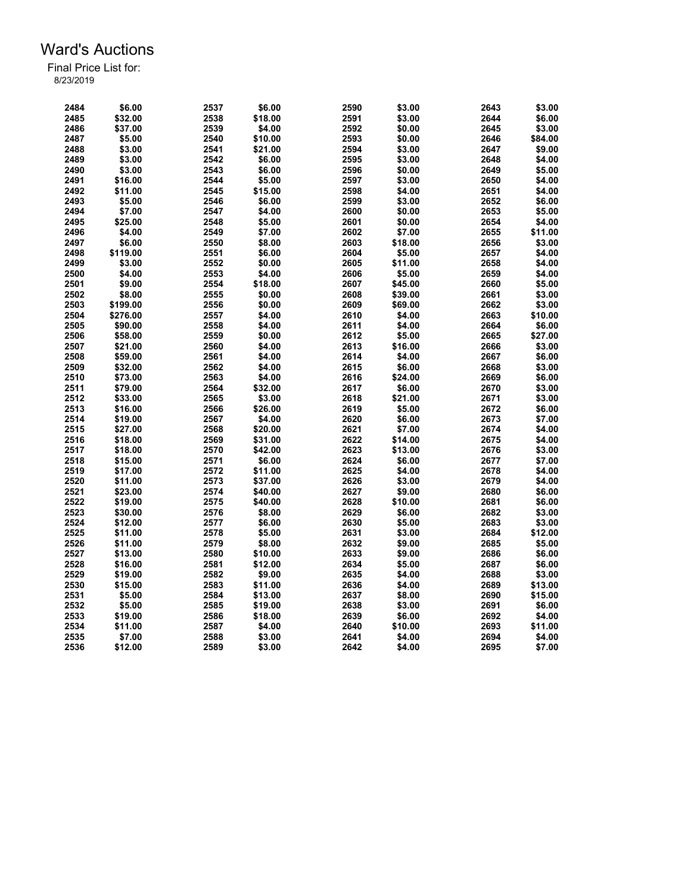| 2484         | \$6.00   | 2537 | \$6.00  | 2590 | \$3.00  | 2643 | \$3.00  |
|--------------|----------|------|---------|------|---------|------|---------|
| 2485         | \$32.00  | 2538 | \$18.00 | 2591 | \$3.00  | 2644 | \$6.00  |
| 2486         | \$37.00  | 2539 | \$4.00  | 2592 | \$0.00  | 2645 | \$3.00  |
| 2487         | \$5.00   | 2540 | \$10.00 | 2593 | \$0.00  | 2646 | \$84.00 |
| 2488         | \$3.00   | 2541 | \$21.00 | 2594 | \$3.00  | 2647 | \$9.00  |
| 2489         | \$3.00   | 2542 | \$6.00  | 2595 | \$3.00  | 2648 | \$4.00  |
| 2490         | \$3.00   | 2543 | \$6.00  | 2596 | \$0.00  | 2649 | \$5.00  |
| 2491         | \$16.00  | 2544 | \$5.00  | 2597 | \$3.00  | 2650 | \$4.00  |
| 2492         | \$11.00  | 2545 | \$15.00 | 2598 | \$4.00  | 2651 | \$4.00  |
| 2493         | \$5.00   | 2546 | \$6.00  | 2599 | \$3.00  | 2652 | \$6.00  |
| 2494         | \$7.00   | 2547 | \$4.00  | 2600 | \$0.00  | 2653 | \$5.00  |
| 2495         | \$25.00  | 2548 | \$5.00  | 2601 | \$0.00  | 2654 | \$4.00  |
| 2496         | \$4.00   | 2549 | \$7.00  | 2602 | \$7.00  | 2655 | \$11.00 |
|              |          |      |         |      |         |      |         |
| 2497         | \$6.00   | 2550 | \$8.00  | 2603 | \$18.00 | 2656 | \$3.00  |
| 2498         | \$119.00 | 2551 | \$6.00  | 2604 | \$5.00  | 2657 | \$4.00  |
| 2499         | \$3.00   | 2552 | \$0.00  | 2605 | \$11.00 | 2658 | \$4.00  |
| 2500         | \$4.00   | 2553 | \$4.00  | 2606 | \$5.00  | 2659 | \$4.00  |
| 2501         | \$9.00   | 2554 | \$18.00 | 2607 | \$45.00 | 2660 | \$5.00  |
| 2502         | \$8.00   | 2555 | \$0.00  | 2608 | \$39.00 | 2661 | \$3.00  |
| 2503         | \$199.00 | 2556 | \$0.00  | 2609 | \$69.00 | 2662 | \$3.00  |
| 2504         | \$276.00 | 2557 | \$4.00  | 2610 | \$4.00  | 2663 | \$10.00 |
| 2505         | \$90.00  | 2558 | \$4.00  | 2611 | \$4.00  | 2664 | \$6.00  |
| 2506         | \$58.00  | 2559 | \$0.00  | 2612 | \$5.00  | 2665 | \$27.00 |
| 2507         | \$21.00  | 2560 | \$4.00  | 2613 | \$16.00 | 2666 | \$3.00  |
| 2508         | \$59.00  | 2561 | \$4.00  | 2614 | \$4.00  | 2667 | \$6.00  |
| 2509         | \$32.00  | 2562 | \$4.00  | 2615 | \$6.00  | 2668 | \$3.00  |
| 2510         | \$73.00  | 2563 | \$4.00  | 2616 | \$24.00 | 2669 | \$6.00  |
| 2511         | \$79.00  | 2564 | \$32.00 | 2617 | \$6.00  | 2670 | \$3.00  |
| 2512         | \$33.00  | 2565 | \$3.00  | 2618 | \$21.00 | 2671 | \$3.00  |
| 2513         | \$16.00  | 2566 | \$26.00 | 2619 | \$5.00  | 2672 | \$6.00  |
| 2514         | \$19.00  | 2567 | \$4.00  | 2620 | \$6.00  | 2673 | \$7.00  |
| 2515         | \$27.00  | 2568 | \$20.00 | 2621 | \$7.00  | 2674 | \$4.00  |
| 2516         | \$18.00  | 2569 | \$31.00 | 2622 | \$14.00 | 2675 | \$4.00  |
| 2517         | \$18.00  | 2570 | \$42.00 | 2623 | \$13.00 | 2676 | \$3.00  |
| 2518         | \$15.00  | 2571 | \$6.00  | 2624 | \$6.00  | 2677 | \$7.00  |
| 2519         | \$17.00  | 2572 | \$11.00 | 2625 | \$4.00  | 2678 | \$4.00  |
| 2520         | \$11.00  | 2573 | \$37.00 | 2626 | \$3.00  | 2679 | \$4.00  |
| 2521         | \$23.00  | 2574 | \$40.00 | 2627 | \$9.00  | 2680 | \$6.00  |
| 2522         | \$19.00  | 2575 | \$40.00 | 2628 | \$10.00 | 2681 | \$6.00  |
| 2523         | \$30.00  | 2576 | \$8.00  | 2629 | \$6.00  | 2682 | \$3.00  |
|              | \$12.00  | 2577 |         | 2630 |         | 2683 | \$3.00  |
| 2524<br>2525 | \$11.00  |      | \$6.00  |      | \$5.00  | 2684 | \$12.00 |
|              |          | 2578 | \$5.00  | 2631 | \$3.00  |      |         |
| 2526         | \$11.00  | 2579 | \$8.00  | 2632 | \$9.00  | 2685 | \$5.00  |
| 2527         | \$13.00  | 2580 | \$10.00 | 2633 | \$9.00  | 2686 | \$6.00  |
| 2528         | \$16.00  | 2581 | \$12.00 | 2634 | \$5.00  | 2687 | \$6.00  |
| 2529         | \$19.00  | 2582 | \$9.00  | 2635 | \$4.00  | 2688 | \$3.00  |
| 2530         | \$15.00  | 2583 | \$11.00 | 2636 | \$4.00  | 2689 | \$13.00 |
| 2531         | \$5.00   | 2584 | \$13.00 | 2637 | \$8.00  | 2690 | \$15.00 |
| 2532         | \$5.00   | 2585 | \$19.00 | 2638 | \$3.00  | 2691 | \$6.00  |
| 2533         | \$19.00  | 2586 | \$18.00 | 2639 | \$6.00  | 2692 | \$4.00  |
| 2534         | \$11.00  | 2587 | \$4.00  | 2640 | \$10.00 | 2693 | \$11.00 |
| 2535         | \$7.00   | 2588 | \$3.00  | 2641 | \$4.00  | 2694 | \$4.00  |
| 2536         | \$12.00  | 2589 | \$3.00  | 2642 | \$4.00  | 2695 | \$7.00  |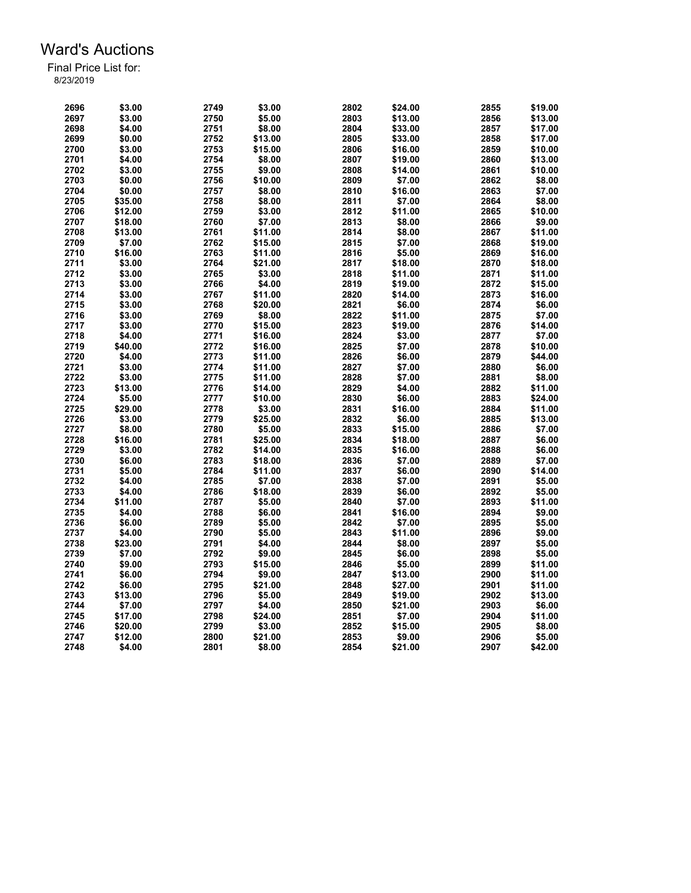| 2696 | \$3.00  | 2749 | \$3.00  | 2802 | \$24.00 | 2855 | \$19.00 |
|------|---------|------|---------|------|---------|------|---------|
| 2697 | \$3.00  | 2750 | \$5.00  | 2803 | \$13.00 | 2856 | \$13.00 |
| 2698 | \$4.00  | 2751 | \$8.00  | 2804 | \$33.00 | 2857 | \$17.00 |
| 2699 | \$0.00  | 2752 | \$13.00 | 2805 | \$33.00 | 2858 | \$17.00 |
| 2700 | \$3.00  | 2753 | \$15.00 | 2806 | \$16.00 | 2859 | \$10.00 |
| 2701 | \$4.00  | 2754 | \$8.00  | 2807 | \$19.00 | 2860 | \$13.00 |
| 2702 | \$3.00  | 2755 | \$9.00  | 2808 | \$14.00 | 2861 | \$10.00 |
| 2703 | \$0.00  | 2756 | \$10.00 | 2809 | \$7.00  | 2862 | \$8.00  |
| 2704 | \$0.00  | 2757 | \$8.00  | 2810 | \$16.00 | 2863 | \$7.00  |
| 2705 | \$35.00 | 2758 | \$8.00  | 2811 | \$7.00  | 2864 | \$8.00  |
| 2706 | \$12.00 | 2759 | \$3.00  | 2812 | \$11.00 | 2865 | \$10.00 |
| 2707 | \$18.00 | 2760 | \$7.00  | 2813 | \$8.00  | 2866 | \$9.00  |
| 2708 | \$13.00 | 2761 |         | 2814 | \$8.00  | 2867 |         |
|      |         |      | \$11.00 |      |         |      | \$11.00 |
| 2709 | \$7.00  | 2762 | \$15.00 | 2815 | \$7.00  | 2868 | \$19.00 |
| 2710 | \$16.00 | 2763 | \$11.00 | 2816 | \$5.00  | 2869 | \$16.00 |
| 2711 | \$3.00  | 2764 | \$21.00 | 2817 | \$18.00 | 2870 | \$18.00 |
| 2712 | \$3.00  | 2765 | \$3.00  | 2818 | \$11.00 | 2871 | \$11.00 |
| 2713 | \$3.00  | 2766 | \$4.00  | 2819 | \$19.00 | 2872 | \$15.00 |
| 2714 | \$3.00  | 2767 | \$11.00 | 2820 | \$14.00 | 2873 | \$16.00 |
| 2715 | \$3.00  | 2768 | \$20.00 | 2821 | \$6.00  | 2874 | \$6.00  |
| 2716 | \$3.00  | 2769 | \$8.00  | 2822 | \$11.00 | 2875 | \$7.00  |
| 2717 | \$3.00  | 2770 | \$15.00 | 2823 | \$19.00 | 2876 | \$14.00 |
| 2718 | \$4.00  | 2771 | \$16.00 | 2824 | \$3.00  | 2877 | \$7.00  |
| 2719 | \$40.00 | 2772 | \$16.00 | 2825 | \$7.00  | 2878 | \$10.00 |
| 2720 | \$4.00  | 2773 | \$11.00 | 2826 | \$6.00  | 2879 | \$44.00 |
| 2721 | \$3.00  | 2774 | \$11.00 | 2827 | \$7.00  | 2880 | \$6.00  |
| 2722 | \$3.00  | 2775 | \$11.00 | 2828 | \$7.00  | 2881 | \$8.00  |
| 2723 | \$13.00 | 2776 | \$14.00 | 2829 | \$4.00  | 2882 | \$11.00 |
| 2724 | \$5.00  | 2777 | \$10.00 | 2830 | \$6.00  | 2883 | \$24.00 |
| 2725 | \$29.00 | 2778 | \$3.00  | 2831 | \$16.00 | 2884 | \$11.00 |
| 2726 | \$3.00  | 2779 | \$25.00 | 2832 | \$6.00  | 2885 | \$13.00 |
| 2727 | \$8.00  | 2780 | \$5.00  | 2833 | \$15.00 | 2886 | \$7.00  |
| 2728 | \$16.00 | 2781 | \$25.00 | 2834 | \$18.00 | 2887 | \$6.00  |
| 2729 | \$3.00  | 2782 | \$14.00 | 2835 | \$16.00 | 2888 | \$6.00  |
| 2730 | \$6.00  | 2783 | \$18.00 | 2836 | \$7.00  | 2889 | \$7.00  |
| 2731 | \$5.00  | 2784 | \$11.00 | 2837 | \$6.00  | 2890 | \$14.00 |
| 2732 | \$4.00  | 2785 | \$7.00  | 2838 | \$7.00  | 2891 | \$5.00  |
| 2733 | \$4.00  | 2786 | \$18.00 | 2839 | \$6.00  | 2892 | \$5.00  |
| 2734 |         | 2787 | \$5.00  | 2840 | \$7.00  | 2893 | \$11.00 |
|      | \$11.00 |      |         |      |         |      |         |
| 2735 | \$4.00  | 2788 | \$6.00  | 2841 | \$16.00 | 2894 | \$9.00  |
| 2736 | \$6.00  | 2789 | \$5.00  | 2842 | \$7.00  | 2895 | \$5.00  |
| 2737 | \$4.00  | 2790 | \$5.00  | 2843 | \$11.00 | 2896 | \$9.00  |
| 2738 | \$23.00 | 2791 | \$4.00  | 2844 | \$8.00  | 2897 | \$5.00  |
| 2739 | \$7.00  | 2792 | \$9.00  | 2845 | \$6.00  | 2898 | \$5.00  |
| 2740 | \$9.00  | 2793 | \$15.00 | 2846 | \$5.00  | 2899 | \$11.00 |
| 2741 | \$6.00  | 2794 | \$9.00  | 2847 | \$13.00 | 2900 | \$11.00 |
| 2742 | \$6.00  | 2795 | \$21.00 | 2848 | \$27.00 | 2901 | \$11.00 |
| 2743 | \$13.00 | 2796 | \$5.00  | 2849 | \$19.00 | 2902 | \$13.00 |
| 2744 | \$7.00  | 2797 | \$4.00  | 2850 | \$21.00 | 2903 | \$6.00  |
| 2745 | \$17.00 | 2798 | \$24.00 | 2851 | \$7.00  | 2904 | \$11.00 |
| 2746 | \$20.00 | 2799 | \$3.00  | 2852 | \$15.00 | 2905 | \$8.00  |
| 2747 | \$12.00 | 2800 | \$21.00 | 2853 | \$9.00  | 2906 | \$5.00  |
| 2748 | \$4.00  | 2801 | \$8.00  | 2854 | \$21.00 | 2907 | \$42.00 |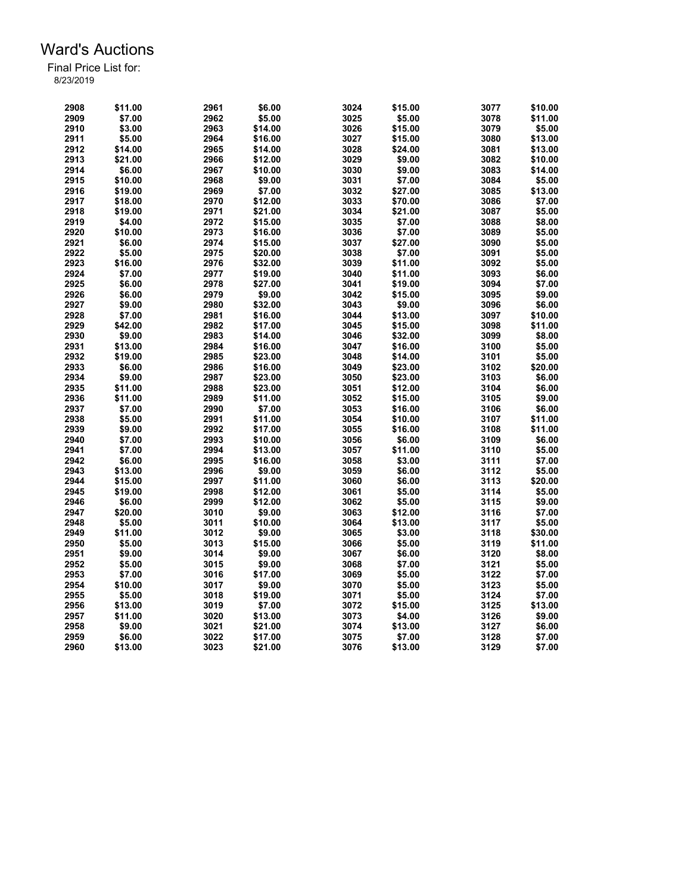| 2908 | \$11.00 | 2961 | \$6.00  | 3024 | \$15.00 | 3077 | \$10.00 |
|------|---------|------|---------|------|---------|------|---------|
| 2909 | \$7.00  | 2962 | \$5.00  | 3025 | \$5.00  | 3078 | \$11.00 |
| 2910 | \$3.00  | 2963 | \$14.00 | 3026 | \$15.00 | 3079 | \$5.00  |
| 2911 | \$5.00  | 2964 | \$16.00 | 3027 | \$15.00 | 3080 | \$13.00 |
| 2912 | \$14.00 | 2965 | \$14.00 | 3028 | \$24.00 | 3081 | \$13.00 |
| 2913 | \$21.00 | 2966 | \$12.00 | 3029 | \$9.00  | 3082 | \$10.00 |
| 2914 | \$6.00  | 2967 | \$10.00 | 3030 | \$9.00  | 3083 | \$14.00 |
| 2915 | \$10.00 | 2968 | \$9.00  | 3031 | \$7.00  | 3084 | \$5.00  |
| 2916 | \$19.00 | 2969 | \$7.00  | 3032 | \$27.00 | 3085 | \$13.00 |
| 2917 | \$18.00 | 2970 | \$12.00 | 3033 | \$70.00 | 3086 | \$7.00  |
| 2918 | \$19.00 | 2971 | \$21.00 | 3034 | \$21.00 | 3087 | \$5.00  |
| 2919 | \$4.00  | 2972 | \$15.00 | 3035 | \$7.00  | 3088 | \$8.00  |
| 2920 | \$10.00 | 2973 | \$16.00 | 3036 | \$7.00  | 3089 | \$5.00  |
| 2921 | \$6.00  | 2974 | \$15.00 | 3037 | \$27.00 | 3090 | \$5.00  |
| 2922 | \$5.00  | 2975 | \$20.00 | 3038 | \$7.00  | 3091 | \$5.00  |
| 2923 | \$16.00 | 2976 | \$32.00 | 3039 | \$11.00 | 3092 | \$5.00  |
| 2924 | \$7.00  | 2977 |         | 3040 | \$11.00 | 3093 | \$6.00  |
| 2925 |         | 2978 | \$19.00 | 3041 |         | 3094 | \$7.00  |
|      | \$6.00  |      | \$27.00 |      | \$19.00 |      |         |
| 2926 | \$6.00  | 2979 | \$9.00  | 3042 | \$15.00 | 3095 | \$9.00  |
| 2927 | \$9.00  | 2980 | \$32.00 | 3043 | \$9.00  | 3096 | \$6.00  |
| 2928 | \$7.00  | 2981 | \$16.00 | 3044 | \$13.00 | 3097 | \$10.00 |
| 2929 | \$42.00 | 2982 | \$17.00 | 3045 | \$15.00 | 3098 | \$11.00 |
| 2930 | \$9.00  | 2983 | \$14.00 | 3046 | \$32.00 | 3099 | \$8.00  |
| 2931 | \$13.00 | 2984 | \$16.00 | 3047 | \$16.00 | 3100 | \$5.00  |
| 2932 | \$19.00 | 2985 | \$23.00 | 3048 | \$14.00 | 3101 | \$5.00  |
| 2933 | \$6.00  | 2986 | \$16.00 | 3049 | \$23.00 | 3102 | \$20.00 |
| 2934 | \$9.00  | 2987 | \$23.00 | 3050 | \$23.00 | 3103 | \$6.00  |
| 2935 | \$11.00 | 2988 | \$23.00 | 3051 | \$12.00 | 3104 | \$6.00  |
| 2936 | \$11.00 | 2989 | \$11.00 | 3052 | \$15.00 | 3105 | \$9.00  |
| 2937 | \$7.00  | 2990 | \$7.00  | 3053 | \$16.00 | 3106 | \$6.00  |
| 2938 | \$5.00  | 2991 | \$11.00 | 3054 | \$10.00 | 3107 | \$11.00 |
| 2939 | \$9.00  | 2992 | \$17.00 | 3055 | \$16.00 | 3108 | \$11.00 |
| 2940 | \$7.00  | 2993 | \$10.00 | 3056 | \$6.00  | 3109 | \$6.00  |
| 2941 | \$7.00  | 2994 | \$13.00 | 3057 | \$11.00 | 3110 | \$5.00  |
| 2942 | \$6.00  | 2995 | \$16.00 | 3058 | \$3.00  | 3111 | \$7.00  |
| 2943 | \$13.00 | 2996 | \$9.00  | 3059 | \$6.00  | 3112 | \$5.00  |
| 2944 | \$15.00 | 2997 | \$11.00 | 3060 | \$6.00  | 3113 | \$20.00 |
| 2945 | \$19.00 | 2998 | \$12.00 | 3061 | \$5.00  | 3114 | \$5.00  |
| 2946 | \$6.00  | 2999 | \$12.00 | 3062 | \$5.00  | 3115 | \$9.00  |
| 2947 | \$20.00 | 3010 | \$9.00  | 3063 | \$12.00 | 3116 | \$7.00  |
| 2948 | \$5.00  | 3011 | \$10.00 | 3064 | \$13.00 | 3117 | \$5.00  |
| 2949 | \$11.00 | 3012 | \$9.00  | 3065 | \$3.00  | 3118 | \$30.00 |
| 2950 | \$5.00  | 3013 | \$15.00 | 3066 | \$5.00  | 3119 | \$11.00 |
| 2951 | \$9.00  | 3014 | \$9.00  | 3067 | \$6.00  | 3120 | \$8.00  |
| 2952 | \$5.00  | 3015 | \$9.00  | 3068 | \$7.00  | 3121 | \$5.00  |
| 2953 | \$7.00  | 3016 | \$17.00 | 3069 | \$5.00  | 3122 | \$7.00  |
| 2954 | \$10.00 | 3017 | \$9.00  | 3070 | \$5.00  | 3123 | \$5.00  |
| 2955 | \$5.00  | 3018 | \$19.00 | 3071 | \$5.00  | 3124 | \$7.00  |
| 2956 | \$13.00 | 3019 | \$7.00  | 3072 | \$15.00 | 3125 | \$13.00 |
| 2957 | \$11.00 | 3020 | \$13.00 | 3073 | \$4.00  | 3126 | \$9.00  |
| 2958 | \$9.00  | 3021 | \$21.00 | 3074 | \$13.00 | 3127 | \$6.00  |
| 2959 | \$6.00  | 3022 | \$17.00 | 3075 | \$7.00  | 3128 | \$7.00  |
| 2960 | \$13.00 | 3023 | \$21.00 | 3076 | \$13.00 | 3129 | \$7.00  |
|      |         |      |         |      |         |      |         |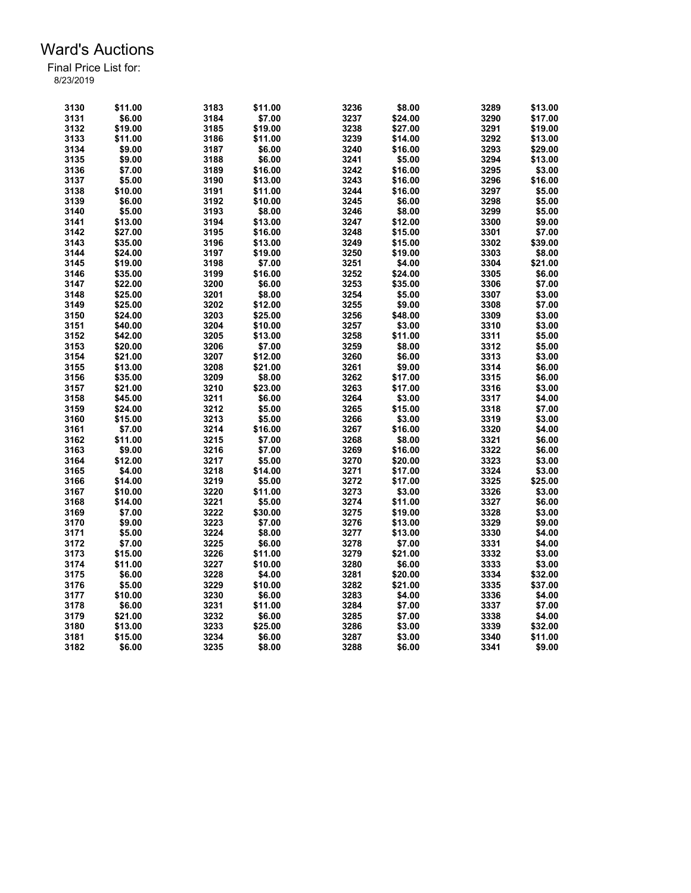| 3130 | \$11.00 | 3183 | \$11.00 | 3236         | \$8.00  | 3289 | \$13.00 |
|------|---------|------|---------|--------------|---------|------|---------|
| 3131 | \$6.00  | 3184 | \$7.00  | 3237         | \$24.00 | 3290 | \$17.00 |
| 3132 | \$19.00 | 3185 | \$19.00 | 3238         | \$27.00 | 3291 | \$19.00 |
| 3133 | \$11.00 | 3186 | \$11.00 | 3239         | \$14.00 | 3292 | \$13.00 |
| 3134 | \$9.00  | 3187 | \$6.00  | 3240         | \$16.00 | 3293 | \$29.00 |
| 3135 | \$9.00  | 3188 | \$6.00  | 3241         | \$5.00  | 3294 | \$13.00 |
| 3136 | \$7.00  | 3189 | \$16.00 | 3242         | \$16.00 | 3295 | \$3.00  |
| 3137 | \$5.00  | 3190 | \$13.00 | 3243         | \$16.00 | 3296 | \$16.00 |
| 3138 | \$10.00 | 3191 | \$11.00 | 3244         | \$16.00 | 3297 | \$5.00  |
| 3139 | \$6.00  | 3192 | \$10.00 | 3245         | \$6.00  | 3298 | \$5.00  |
| 3140 | \$5.00  | 3193 | \$8.00  | 3246         | \$8.00  | 3299 | \$5.00  |
| 3141 | \$13.00 | 3194 | \$13.00 | 3247         | \$12.00 | 3300 | \$9.00  |
| 3142 | \$27.00 | 3195 | \$16.00 | 3248         | \$15.00 | 3301 | \$7.00  |
| 3143 | \$35.00 | 3196 | \$13.00 | 3249         | \$15.00 | 3302 | \$39.00 |
|      |         | 3197 |         | 3250         |         | 3303 | \$8.00  |
| 3144 | \$24.00 |      | \$19.00 |              | \$19.00 |      |         |
| 3145 | \$19.00 | 3198 | \$7.00  | 3251         | \$4.00  | 3304 | \$21.00 |
| 3146 | \$35.00 | 3199 | \$16.00 | 3252         | \$24.00 | 3305 | \$6.00  |
| 3147 | \$22.00 | 3200 | \$6.00  | 3253         | \$35.00 | 3306 | \$7.00  |
| 3148 | \$25.00 | 3201 | \$8.00  | 3254         | \$5.00  | 3307 | \$3.00  |
| 3149 | \$25.00 | 3202 | \$12.00 | 3255         | \$9.00  | 3308 | \$7.00  |
| 3150 | \$24.00 | 3203 | \$25.00 | 3256         | \$48.00 | 3309 | \$3.00  |
| 3151 | \$40.00 | 3204 | \$10.00 | 3257         | \$3.00  | 3310 | \$3.00  |
| 3152 | \$42.00 | 3205 | \$13.00 | 3258         | \$11.00 | 3311 | \$5.00  |
| 3153 | \$20.00 | 3206 | \$7.00  | 3259         | \$8.00  | 3312 | \$5.00  |
| 3154 | \$21.00 | 3207 | \$12.00 | 3260         | \$6.00  | 3313 | \$3.00  |
| 3155 | \$13.00 | 3208 | \$21.00 | 3261         | \$9.00  | 3314 | \$6.00  |
| 3156 | \$35.00 | 3209 | \$8.00  | 3262         | \$17.00 | 3315 | \$6.00  |
| 3157 | \$21.00 | 3210 | \$23.00 | 3263         | \$17.00 | 3316 | \$3.00  |
| 3158 | \$45.00 | 3211 | \$6.00  | 3264         | \$3.00  | 3317 | \$4.00  |
| 3159 | \$24.00 | 3212 | \$5.00  | 3265         | \$15.00 | 3318 | \$7.00  |
| 3160 | \$15.00 | 3213 | \$5.00  | 3266         | \$3.00  | 3319 | \$3.00  |
| 3161 | \$7.00  | 3214 | \$16.00 | 3267         | \$16.00 | 3320 | \$4.00  |
| 3162 | \$11.00 | 3215 | \$7.00  | 3268         | \$8.00  | 3321 | \$6.00  |
| 3163 | \$9.00  | 3216 | \$7.00  | 3269         | \$16.00 | 3322 | \$6.00  |
| 3164 | \$12.00 | 3217 | \$5.00  | 3270         | \$20.00 | 3323 | \$3.00  |
| 3165 | \$4.00  | 3218 | \$14.00 | 3271         | \$17.00 | 3324 | \$3.00  |
| 3166 | \$14.00 | 3219 | \$5.00  | 3272         | \$17.00 | 3325 | \$25.00 |
| 3167 | \$10.00 | 3220 | \$11.00 | 3273         | \$3.00  | 3326 | \$3.00  |
| 3168 | \$14.00 | 3221 | \$5.00  | 3274         | \$11.00 | 3327 | \$6.00  |
| 3169 | \$7.00  | 3222 | \$30.00 | 3275         | \$19.00 | 3328 | \$3.00  |
| 3170 | \$9.00  | 3223 | \$7.00  | 3276         | \$13.00 | 3329 | \$9.00  |
|      | \$5.00  | 3224 |         |              |         | 3330 | \$4.00  |
| 3171 |         | 3225 | \$8.00  | 3277<br>3278 | \$13.00 | 3331 |         |
| 3172 | \$7.00  |      | \$6.00  |              | \$7.00  |      | \$4.00  |
| 3173 | \$15.00 | 3226 | \$11.00 | 3279         | \$21.00 | 3332 | \$3.00  |
| 3174 | \$11.00 | 3227 | \$10.00 | 3280         | \$6.00  | 3333 | \$3.00  |
| 3175 | \$6.00  | 3228 | \$4.00  | 3281         | \$20.00 | 3334 | \$32.00 |
| 3176 | \$5.00  | 3229 | \$10.00 | 3282         | \$21.00 | 3335 | \$37.00 |
| 3177 | \$10.00 | 3230 | \$6.00  | 3283         | \$4.00  | 3336 | \$4.00  |
| 3178 | \$6.00  | 3231 | \$11.00 | 3284         | \$7.00  | 3337 | \$7.00  |
| 3179 | \$21.00 | 3232 | \$6.00  | 3285         | \$7.00  | 3338 | \$4.00  |
| 3180 | \$13.00 | 3233 | \$25.00 | 3286         | \$3.00  | 3339 | \$32.00 |
| 3181 | \$15.00 | 3234 | \$6.00  | 3287         | \$3.00  | 3340 | \$11.00 |
| 3182 | \$6.00  | 3235 | \$8.00  | 3288         | \$6.00  | 3341 | \$9.00  |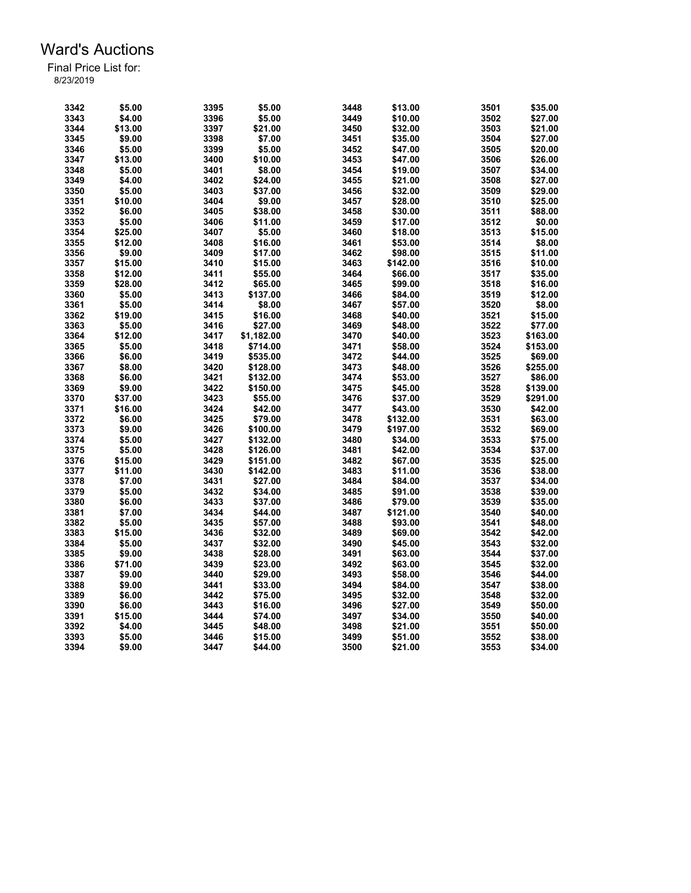| 3342 | \$5.00  | 3395 | \$5.00     | 3448 | \$13.00  | 3501 | \$35.00  |
|------|---------|------|------------|------|----------|------|----------|
| 3343 | \$4.00  | 3396 | \$5.00     | 3449 | \$10.00  | 3502 | \$27.00  |
| 3344 | \$13.00 | 3397 | \$21.00    | 3450 | \$32.00  | 3503 | \$21.00  |
| 3345 | \$9.00  | 3398 | \$7.00     | 3451 | \$35.00  | 3504 | \$27.00  |
| 3346 | \$5.00  | 3399 | \$5.00     | 3452 | \$47.00  | 3505 | \$20.00  |
| 3347 | \$13.00 | 3400 | \$10.00    | 3453 | \$47.00  | 3506 | \$26.00  |
| 3348 | \$5.00  | 3401 | \$8.00     | 3454 | \$19.00  | 3507 | \$34.00  |
| 3349 | \$4.00  | 3402 | \$24.00    | 3455 | \$21.00  | 3508 | \$27.00  |
| 3350 | \$5.00  | 3403 | \$37.00    | 3456 | \$32.00  | 3509 | \$29.00  |
| 3351 | \$10.00 | 3404 | \$9.00     | 3457 | \$28.00  | 3510 | \$25.00  |
| 3352 | \$6.00  | 3405 | \$38.00    | 3458 | \$30.00  | 3511 | \$88.00  |
| 3353 | \$5.00  | 3406 | \$11.00    | 3459 | \$17.00  | 3512 | \$0.00   |
| 3354 | \$25.00 | 3407 | \$5.00     | 3460 | \$18.00  | 3513 | \$15.00  |
| 3355 | \$12.00 | 3408 | \$16.00    | 3461 | \$53.00  | 3514 | \$8.00   |
| 3356 | \$9.00  | 3409 | \$17.00    | 3462 | \$98.00  | 3515 | \$11.00  |
| 3357 | \$15.00 | 3410 | \$15.00    | 3463 | \$142.00 | 3516 | \$10.00  |
| 3358 | \$12.00 | 3411 | \$55.00    | 3464 | \$66.00  | 3517 | \$35.00  |
| 3359 | \$28.00 | 3412 | \$65.00    | 3465 | \$99.00  | 3518 | \$16.00  |
| 3360 | \$5.00  | 3413 | \$137.00   | 3466 | \$84.00  | 3519 | \$12.00  |
| 3361 | \$5.00  | 3414 | \$8.00     | 3467 | \$57.00  | 3520 | \$8.00   |
| 3362 | \$19.00 | 3415 | \$16.00    | 3468 | \$40.00  | 3521 | \$15.00  |
| 3363 | \$5.00  | 3416 | \$27.00    | 3469 | \$48.00  | 3522 | \$77.00  |
| 3364 | \$12.00 | 3417 | \$1,182.00 | 3470 | \$40.00  | 3523 | \$163.00 |
| 3365 | \$5.00  | 3418 | \$714.00   | 3471 | \$58.00  | 3524 | \$153.00 |
| 3366 | \$6.00  | 3419 | \$535.00   | 3472 | \$44.00  | 3525 | \$69.00  |
| 3367 | \$8.00  | 3420 | \$128.00   | 3473 | \$48.00  | 3526 | \$255.00 |
| 3368 | \$6.00  | 3421 | \$132.00   | 3474 | \$53.00  | 3527 | \$86.00  |
| 3369 | \$9.00  | 3422 | \$150.00   | 3475 | \$45.00  | 3528 | \$139.00 |
| 3370 | \$37.00 | 3423 | \$55.00    | 3476 | \$37.00  | 3529 | \$291.00 |
| 3371 | \$16.00 | 3424 | \$42.00    | 3477 | \$43.00  | 3530 | \$42.00  |
| 3372 | \$6.00  | 3425 | \$79.00    | 3478 | \$132.00 | 3531 | \$63.00  |
| 3373 | \$9.00  | 3426 | \$100.00   | 3479 | \$197.00 | 3532 | \$69.00  |
| 3374 | \$5.00  | 3427 | \$132.00   | 3480 | \$34.00  | 3533 | \$75.00  |
| 3375 | \$5.00  | 3428 | \$126.00   | 3481 | \$42.00  | 3534 | \$37.00  |
| 3376 | \$15.00 | 3429 | \$151.00   | 3482 | \$67.00  | 3535 | \$25.00  |
| 3377 | \$11.00 | 3430 | \$142.00   | 3483 | \$11.00  | 3536 | \$38.00  |
| 3378 | \$7.00  | 3431 | \$27.00    | 3484 | \$84.00  | 3537 | \$34.00  |
| 3379 | \$5.00  | 3432 | \$34.00    | 3485 | \$91.00  | 3538 | \$39.00  |
| 3380 | \$6.00  | 3433 | \$37.00    | 3486 | \$79.00  | 3539 | \$35.00  |
| 3381 | \$7.00  | 3434 | \$44.00    | 3487 | \$121.00 | 3540 | \$40.00  |
| 3382 | \$5.00  | 3435 | \$57.00    | 3488 | \$93.00  | 3541 | \$48.00  |
| 3383 | \$15.00 | 3436 | \$32.00    | 3489 | \$69.00  | 3542 | \$42.00  |
| 3384 | \$5.00  | 3437 | \$32.00    | 3490 | \$45.00  | 3543 | \$32.00  |
| 3385 | \$9.00  | 3438 | \$28.00    | 3491 | \$63.00  | 3544 | \$37.00  |
| 3386 | \$71.00 | 3439 | \$23.00    | 3492 | \$63.00  | 3545 | \$32.00  |
| 3387 | \$9.00  | 3440 | \$29.00    | 3493 | \$58.00  | 3546 | \$44.00  |
| 3388 | \$9.00  | 3441 | \$33.00    | 3494 | \$84.00  | 3547 | \$38.00  |
| 3389 | \$6.00  | 3442 | \$75.00    | 3495 | \$32.00  | 3548 | \$32.00  |
| 3390 | \$6.00  | 3443 | \$16.00    | 3496 | \$27.00  | 3549 | \$50.00  |
| 3391 | \$15.00 | 3444 | \$74.00    | 3497 | \$34.00  | 3550 | \$40.00  |
| 3392 | \$4.00  | 3445 | \$48.00    | 3498 | \$21.00  | 3551 | \$50.00  |
| 3393 | \$5.00  | 3446 | \$15.00    | 3499 | \$51.00  | 3552 | \$38.00  |
| 3394 | \$9.00  | 3447 | \$44.00    | 3500 | \$21.00  | 3553 | \$34.00  |
|      |         |      |            |      |          |      |          |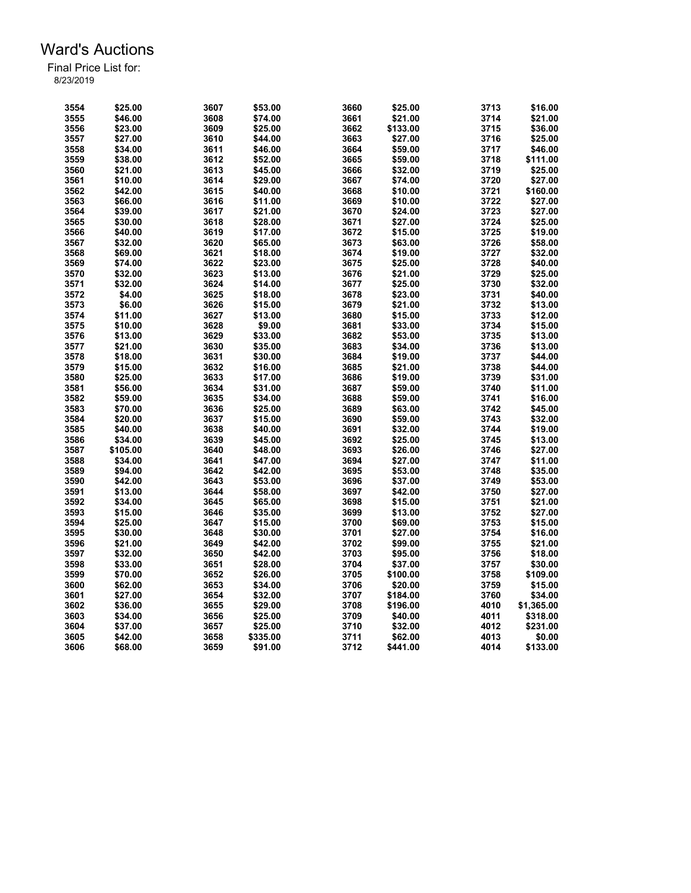| 3554         | \$25.00  | 3607 | \$53.00  | 3660         | \$25.00  | 3713 | \$16.00    |
|--------------|----------|------|----------|--------------|----------|------|------------|
| 3555         | \$46.00  | 3608 | \$74.00  | 3661         | \$21.00  | 3714 | \$21.00    |
| 3556         | \$23.00  | 3609 | \$25.00  | 3662         | \$133.00 | 3715 | \$36.00    |
| 3557         | \$27.00  | 3610 | \$44.00  | 3663         | \$27.00  | 3716 | \$25.00    |
| 3558         | \$34.00  | 3611 | \$46.00  | 3664         | \$59.00  | 3717 | \$46.00    |
| 3559         | \$38.00  | 3612 | \$52.00  | 3665         | \$59.00  | 3718 | \$111.00   |
| 3560         | \$21.00  | 3613 | \$45.00  | 3666         | \$32.00  | 3719 | \$25.00    |
| 3561         | \$10.00  | 3614 | \$29.00  | 3667         | \$74.00  | 3720 | \$27.00    |
|              |          |      |          | 3668         |          | 3721 |            |
| 3562         | \$42.00  | 3615 | \$40.00  |              | \$10.00  |      | \$160.00   |
| 3563         | \$66.00  | 3616 | \$11.00  | 3669         | \$10.00  | 3722 | \$27.00    |
| 3564         | \$39.00  | 3617 | \$21.00  | 3670         | \$24.00  | 3723 | \$27.00    |
| 3565         | \$30.00  | 3618 | \$28.00  | 3671         | \$27.00  | 3724 | \$25.00    |
| 3566         | \$40.00  | 3619 | \$17.00  | 3672         | \$15.00  | 3725 | \$19.00    |
| 3567         | \$32.00  | 3620 | \$65.00  | 3673         | \$63.00  | 3726 | \$58.00    |
| 3568         | \$69.00  | 3621 | \$18.00  | 3674         | \$19.00  | 3727 | \$32.00    |
| 3569         | \$74.00  | 3622 | \$23.00  | 3675         | \$25.00  | 3728 | \$40.00    |
| 3570         | \$32.00  | 3623 | \$13.00  | 3676         | \$21.00  | 3729 | \$25.00    |
| 3571         | \$32.00  | 3624 | \$14.00  | 3677         | \$25.00  | 3730 | \$32.00    |
| 3572         | \$4.00   | 3625 | \$18.00  | 3678         | \$23.00  | 3731 | \$40.00    |
| 3573         | \$6.00   | 3626 | \$15.00  | 3679         | \$21.00  | 3732 | \$13.00    |
| 3574         | \$11.00  | 3627 | \$13.00  | 3680         | \$15.00  | 3733 | \$12.00    |
| 3575         | \$10.00  | 3628 | \$9.00   | 3681         | \$33.00  | 3734 | \$15.00    |
| 3576         | \$13.00  | 3629 | \$33.00  | 3682         | \$53.00  | 3735 | \$13.00    |
| 3577         | \$21.00  | 3630 | \$35.00  | 3683         | \$34.00  | 3736 | \$13.00    |
| 3578         | \$18.00  | 3631 | \$30.00  | 3684         | \$19.00  | 3737 | \$44.00    |
| 3579         | \$15.00  | 3632 | \$16.00  | 3685         | \$21.00  | 3738 | \$44.00    |
| 3580         | \$25.00  | 3633 | \$17.00  | 3686         | \$19.00  | 3739 | \$31.00    |
| 3581         | \$56.00  | 3634 | \$31.00  | 3687         | \$59.00  | 3740 | \$11.00    |
|              | \$59.00  | 3635 | \$34.00  |              |          | 3741 |            |
| 3582<br>3583 |          |      |          | 3688<br>3689 | \$59.00  | 3742 | \$16.00    |
|              | \$70.00  | 3636 | \$25.00  |              | \$63.00  |      | \$45.00    |
| 3584         | \$20.00  | 3637 | \$15.00  | 3690         | \$59.00  | 3743 | \$32.00    |
| 3585         | \$40.00  | 3638 | \$40.00  | 3691         | \$32.00  | 3744 | \$19.00    |
| 3586         | \$34.00  | 3639 | \$45.00  | 3692         | \$25.00  | 3745 | \$13.00    |
| 3587         | \$105.00 | 3640 | \$48.00  | 3693         | \$26.00  | 3746 | \$27.00    |
| 3588         | \$34.00  | 3641 | \$47.00  | 3694         | \$27.00  | 3747 | \$11.00    |
| 3589         | \$94.00  | 3642 | \$42.00  | 3695         | \$53.00  | 3748 | \$35.00    |
| 3590         | \$42.00  | 3643 | \$53.00  | 3696         | \$37.00  | 3749 | \$53.00    |
| 3591         | \$13.00  | 3644 | \$58.00  | 3697         | \$42.00  | 3750 | \$27.00    |
| 3592         | \$34.00  | 3645 | \$65.00  | 3698         | \$15.00  | 3751 | \$21.00    |
| 3593         | \$15.00  | 3646 | \$35.00  | 3699         | \$13.00  | 3752 | \$27.00    |
| 3594         | \$25.00  | 3647 | \$15.00  | 3700         | \$69.00  | 3753 | \$15.00    |
| 3595         | \$30.00  | 3648 | \$30.00  | 3701         | \$27.00  | 3754 | \$16.00    |
| 3596         | \$21.00  | 3649 | \$42.00  | 3702         | \$99.00  | 3755 | \$21.00    |
| 3597         | \$32.00  | 3650 | \$42.00  | 3703         | \$95.00  | 3756 | \$18.00    |
| 3598         | \$33.00  | 3651 | \$28.00  | 3704         | \$37.00  | 3757 | \$30.00    |
| 3599         | \$70.00  | 3652 | \$26.00  | 3705         | \$100.00 | 3758 | \$109.00   |
| 3600         | \$62.00  | 3653 | \$34.00  | 3706         | \$20.00  | 3759 | \$15.00    |
| 3601         | \$27.00  | 3654 | \$32.00  | 3707         | \$184.00 | 3760 | \$34.00    |
| 3602         | \$36.00  | 3655 | \$29.00  | 3708         | \$196.00 | 4010 | \$1,365.00 |
| 3603         | \$34.00  | 3656 | \$25.00  | 3709         | \$40.00  | 4011 | \$318.00   |
| 3604         | \$37.00  | 3657 | \$25.00  | 3710         | \$32.00  | 4012 | \$231.00   |
| 3605         | \$42.00  | 3658 | \$335.00 | 3711         | \$62.00  | 4013 | \$0.00     |
|              |          |      |          |              |          |      |            |
| 3606         | \$68.00  | 3659 | \$91.00  | 3712         | \$441.00 | 4014 | \$133.00   |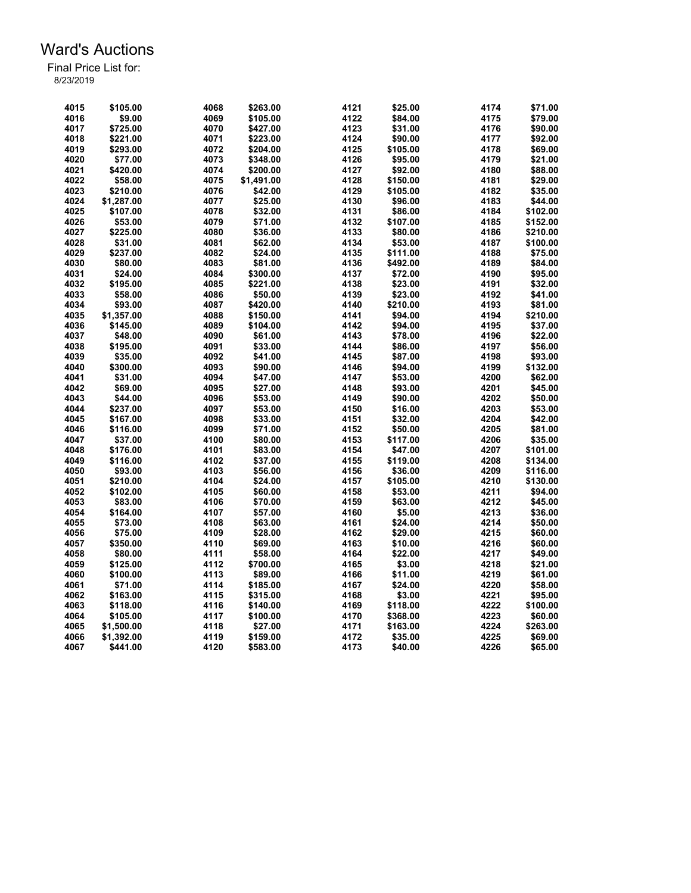| 4015 | \$105.00   | 4068 | \$263.00   | 4121 | \$25.00  | 4174 | \$71.00  |
|------|------------|------|------------|------|----------|------|----------|
| 4016 | \$9.00     | 4069 | \$105.00   | 4122 | \$84.00  | 4175 | \$79.00  |
| 4017 | \$725.00   | 4070 | \$427.00   | 4123 | \$31.00  | 4176 | \$90.00  |
| 4018 | \$221.00   | 4071 | \$223.00   | 4124 | \$90.00  | 4177 | \$92.00  |
| 4019 | \$293.00   | 4072 | \$204.00   | 4125 | \$105.00 | 4178 | \$69.00  |
| 4020 | \$77.00    | 4073 | \$348.00   | 4126 | \$95.00  | 4179 | \$21.00  |
| 4021 | \$420.00   | 4074 | \$200.00   | 4127 | \$92.00  | 4180 | \$88.00  |
| 4022 | \$58.00    | 4075 | \$1,491.00 | 4128 | \$150.00 | 4181 | \$29.00  |
| 4023 | \$210.00   | 4076 | \$42.00    | 4129 | \$105.00 | 4182 | \$35.00  |
| 4024 | \$1.287.00 | 4077 | \$25.00    | 4130 | \$96.00  | 4183 | \$44.00  |
| 4025 | \$107.00   | 4078 | \$32.00    | 4131 | \$86.00  | 4184 | \$102.00 |
| 4026 | \$53.00    | 4079 | \$71.00    | 4132 | \$107.00 | 4185 | \$152.00 |
| 4027 | \$225.00   | 4080 | \$36.00    | 4133 | \$80.00  | 4186 | \$210.00 |
| 4028 | \$31.00    | 4081 | \$62.00    | 4134 | \$53.00  | 4187 | \$100.00 |
| 4029 | \$237.00   | 4082 | \$24.00    | 4135 | \$111.00 | 4188 | \$75.00  |
| 4030 |            |      |            | 4136 |          |      |          |
|      | \$80.00    | 4083 | \$81.00    |      | \$492.00 | 4189 | \$84.00  |
| 4031 | \$24.00    | 4084 | \$300.00   | 4137 | \$72.00  | 4190 | \$95.00  |
| 4032 | \$195.00   | 4085 | \$221.00   | 4138 | \$23.00  | 4191 | \$32.00  |
| 4033 | \$58.00    | 4086 | \$50.00    | 4139 | \$23.00  | 4192 | \$41.00  |
| 4034 | \$93.00    | 4087 | \$420.00   | 4140 | \$210.00 | 4193 | \$81.00  |
| 4035 | \$1,357.00 | 4088 | \$150.00   | 4141 | \$94.00  | 4194 | \$210.00 |
| 4036 | \$145.00   | 4089 | \$104.00   | 4142 | \$94.00  | 4195 | \$37.00  |
| 4037 | \$48.00    | 4090 | \$61.00    | 4143 | \$78.00  | 4196 | \$22.00  |
| 4038 | \$195.00   | 4091 | \$33.00    | 4144 | \$86.00  | 4197 | \$56.00  |
| 4039 | \$35.00    | 4092 | \$41.00    | 4145 | \$87.00  | 4198 | \$93.00  |
| 4040 | \$300.00   | 4093 | \$90.00    | 4146 | \$94.00  | 4199 | \$132.00 |
| 4041 | \$31.00    | 4094 | \$47.00    | 4147 | \$53.00  | 4200 | \$62.00  |
| 4042 | \$69.00    | 4095 | \$27.00    | 4148 | \$93.00  | 4201 | \$45.00  |
| 4043 | \$44.00    | 4096 | \$53.00    | 4149 | \$90.00  | 4202 | \$50.00  |
| 4044 | \$237.00   | 4097 | \$53.00    | 4150 | \$16.00  | 4203 | \$53.00  |
| 4045 | \$167.00   | 4098 | \$33.00    | 4151 | \$32.00  | 4204 | \$42.00  |
| 4046 | \$116.00   | 4099 | \$71.00    | 4152 | \$50.00  | 4205 | \$81.00  |
| 4047 | \$37.00    | 4100 | \$80.00    | 4153 | \$117.00 | 4206 | \$35.00  |
| 4048 | \$176.00   | 4101 | \$83.00    | 4154 | \$47.00  | 4207 | \$101.00 |
| 4049 | \$116.00   | 4102 | \$37.00    | 4155 | \$119.00 | 4208 | \$134.00 |
| 4050 | \$93.00    | 4103 | \$56.00    | 4156 | \$36.00  | 4209 | \$116.00 |
| 4051 | \$210.00   | 4104 | \$24.00    | 4157 | \$105.00 | 4210 | \$130.00 |
| 4052 | \$102.00   | 4105 | \$60.00    | 4158 | \$53.00  | 4211 | \$94.00  |
| 4053 | \$83.00    | 4106 | \$70.00    | 4159 | \$63.00  | 4212 | \$45.00  |
| 4054 | \$164.00   | 4107 | \$57.00    | 4160 | \$5.00   | 4213 | \$36.00  |
| 4055 | \$73.00    | 4108 | \$63.00    | 4161 | \$24.00  | 4214 | \$50.00  |
| 4056 | \$75.00    | 4109 | \$28.00    | 4162 | \$29.00  | 4215 | \$60.00  |
| 4057 | \$350.00   | 4110 | \$69.00    | 4163 | \$10.00  | 4216 | \$60.00  |
| 4058 | \$80.00    | 4111 | \$58.00    | 4164 | \$22.00  | 4217 | \$49.00  |
| 4059 | \$125.00   | 4112 | \$700.00   | 4165 | \$3.00   | 4218 | \$21.00  |
|      |            |      |            |      |          |      |          |
| 4060 | \$100.00   | 4113 | \$89.00    | 4166 | \$11.00  | 4219 | \$61.00  |
| 4061 | \$71.00    | 4114 | \$185.00   | 4167 | \$24.00  | 4220 | \$58.00  |
| 4062 | \$163.00   | 4115 | \$315.00   | 4168 | \$3.00   | 4221 | \$95.00  |
| 4063 | \$118.00   | 4116 | \$140.00   | 4169 | \$118.00 | 4222 | \$100.00 |
| 4064 | \$105.00   | 4117 | \$100.00   | 4170 | \$368.00 | 4223 | \$60.00  |
| 4065 | \$1,500.00 | 4118 | \$27.00    | 4171 | \$163.00 | 4224 | \$263.00 |
| 4066 | \$1,392.00 | 4119 | \$159.00   | 4172 | \$35.00  | 4225 | \$69.00  |
| 4067 | \$441.00   | 4120 | \$583.00   | 4173 | \$40.00  | 4226 | \$65.00  |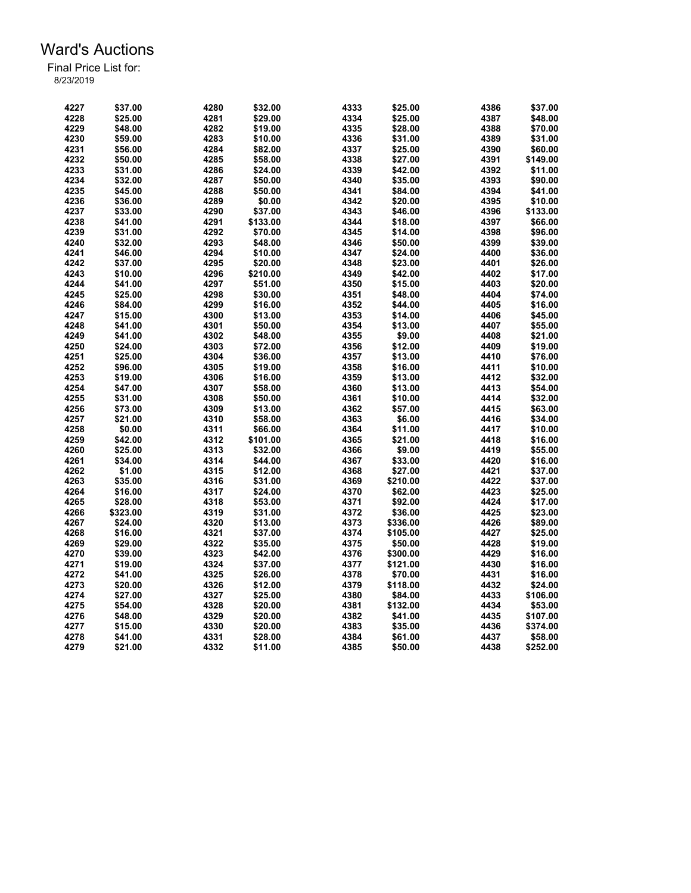| 4227 | \$37.00  | 4280 | \$32.00  | 4333 | \$25.00  | 4386 | \$37.00  |
|------|----------|------|----------|------|----------|------|----------|
| 4228 | \$25.00  | 4281 | \$29.00  | 4334 | \$25.00  | 4387 | \$48.00  |
| 4229 | \$48.00  | 4282 | \$19.00  | 4335 | \$28.00  | 4388 | \$70.00  |
| 4230 | \$59.00  | 4283 | \$10.00  | 4336 | \$31.00  | 4389 | \$31.00  |
| 4231 | \$56.00  | 4284 | \$82.00  | 4337 | \$25.00  | 4390 | \$60.00  |
| 4232 | \$50.00  | 4285 | \$58.00  | 4338 | \$27.00  | 4391 | \$149.00 |
| 4233 | \$31.00  | 4286 | \$24.00  | 4339 | \$42.00  | 4392 | \$11.00  |
| 4234 | \$32.00  | 4287 | \$50.00  | 4340 | \$35.00  | 4393 | \$90.00  |
| 4235 | \$45.00  | 4288 | \$50.00  | 4341 | \$84.00  | 4394 | \$41.00  |
| 4236 | \$36.00  | 4289 | \$0.00   | 4342 | \$20.00  | 4395 | \$10.00  |
| 4237 | \$33.00  | 4290 | \$37.00  | 4343 | \$46.00  | 4396 | \$133.00 |
| 4238 | \$41.00  | 4291 | \$133.00 | 4344 | \$18.00  | 4397 | \$66.00  |
|      |          |      |          | 4345 |          |      |          |
| 4239 | \$31.00  | 4292 | \$70.00  |      | \$14.00  | 4398 | \$96.00  |
| 4240 | \$32.00  | 4293 | \$48.00  | 4346 | \$50.00  | 4399 | \$39.00  |
| 4241 | \$46.00  | 4294 | \$10.00  | 4347 | \$24.00  | 4400 | \$36.00  |
| 4242 | \$37.00  | 4295 | \$20.00  | 4348 | \$23.00  | 4401 | \$26.00  |
| 4243 | \$10.00  | 4296 | \$210.00 | 4349 | \$42.00  | 4402 | \$17.00  |
| 4244 | \$41.00  | 4297 | \$51.00  | 4350 | \$15.00  | 4403 | \$20.00  |
| 4245 | \$25.00  | 4298 | \$30.00  | 4351 | \$48.00  | 4404 | \$74.00  |
| 4246 | \$84.00  | 4299 | \$16.00  | 4352 | \$44.00  | 4405 | \$16.00  |
| 4247 | \$15.00  | 4300 | \$13.00  | 4353 | \$14.00  | 4406 | \$45.00  |
| 4248 | \$41.00  | 4301 | \$50.00  | 4354 | \$13.00  | 4407 | \$55.00  |
| 4249 | \$41.00  | 4302 | \$48.00  | 4355 | \$9.00   | 4408 | \$21.00  |
| 4250 | \$24.00  | 4303 | \$72.00  | 4356 | \$12.00  | 4409 | \$19.00  |
| 4251 | \$25.00  | 4304 | \$36.00  | 4357 | \$13.00  | 4410 | \$76.00  |
| 4252 | \$96.00  | 4305 | \$19.00  | 4358 | \$16.00  | 4411 | \$10.00  |
| 4253 | \$19.00  | 4306 | \$16.00  | 4359 | \$13.00  | 4412 | \$32.00  |
| 4254 | \$47.00  | 4307 | \$58.00  | 4360 | \$13.00  | 4413 | \$54.00  |
| 4255 | \$31.00  | 4308 | \$50.00  | 4361 | \$10.00  | 4414 | \$32.00  |
| 4256 | \$73.00  | 4309 | \$13.00  | 4362 | \$57.00  | 4415 | \$63.00  |
| 4257 | \$21.00  | 4310 | \$58.00  | 4363 | \$6.00   | 4416 | \$34.00  |
| 4258 | \$0.00   | 4311 | \$66.00  | 4364 | \$11.00  | 4417 | \$10.00  |
| 4259 | \$42.00  | 4312 | \$101.00 | 4365 | \$21.00  | 4418 | \$16.00  |
| 4260 | \$25.00  | 4313 | \$32.00  | 4366 | \$9.00   | 4419 | \$55.00  |
| 4261 | \$34.00  | 4314 | \$44.00  | 4367 | \$33.00  | 4420 | \$16.00  |
| 4262 | \$1.00   | 4315 | \$12.00  | 4368 | \$27.00  | 4421 |          |
|      |          |      |          |      |          |      | \$37.00  |
| 4263 | \$35.00  | 4316 | \$31.00  | 4369 | \$210.00 | 4422 | \$37.00  |
| 4264 | \$16.00  | 4317 | \$24.00  | 4370 | \$62.00  | 4423 | \$25.00  |
| 4265 | \$28.00  | 4318 | \$53.00  | 4371 | \$92.00  | 4424 | \$17.00  |
| 4266 | \$323.00 | 4319 | \$31.00  | 4372 | \$36.00  | 4425 | \$23.00  |
| 4267 | \$24.00  | 4320 | \$13.00  | 4373 | \$336.00 | 4426 | \$89.00  |
| 4268 | \$16.00  | 4321 | \$37.00  | 4374 | \$105.00 | 4427 | \$25.00  |
| 4269 | \$29.00  | 4322 | \$35.00  | 4375 | \$50.00  | 4428 | \$19.00  |
| 4270 | \$39.00  | 4323 | \$42.00  | 4376 | \$300.00 | 4429 | \$16.00  |
| 4271 | \$19.00  | 4324 | \$37.00  | 4377 | \$121.00 | 4430 | \$16.00  |
| 4272 | \$41.00  | 4325 | \$26.00  | 4378 | \$70.00  | 4431 | \$16.00  |
| 4273 | \$20.00  | 4326 | \$12.00  | 4379 | \$118.00 | 4432 | \$24.00  |
| 4274 | \$27.00  | 4327 | \$25.00  | 4380 | \$84.00  | 4433 | \$106.00 |
| 4275 | \$54.00  | 4328 | \$20.00  | 4381 | \$132.00 | 4434 | \$53.00  |
| 4276 | \$48.00  | 4329 | \$20.00  | 4382 | \$41.00  | 4435 | \$107.00 |
| 4277 | \$15.00  | 4330 | \$20.00  | 4383 | \$35.00  | 4436 | \$374.00 |
| 4278 | \$41.00  | 4331 | \$28.00  | 4384 | \$61.00  | 4437 | \$58.00  |
| 4279 | \$21.00  | 4332 | \$11.00  | 4385 | \$50.00  | 4438 | \$252.00 |
|      |          |      |          |      |          |      |          |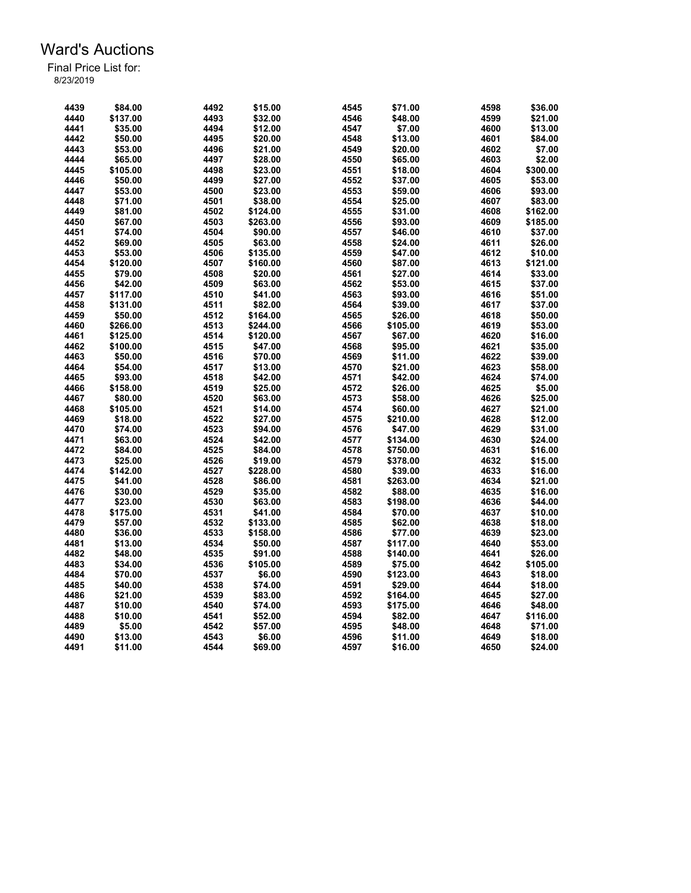| 4439 | \$84.00  | 4492 | \$15.00  | 4545 | \$71.00  | 4598 | \$36.00  |
|------|----------|------|----------|------|----------|------|----------|
| 4440 | \$137.00 | 4493 | \$32.00  | 4546 | \$48.00  | 4599 | \$21.00  |
| 4441 | \$35.00  | 4494 | \$12.00  | 4547 | \$7.00   | 4600 | \$13.00  |
| 4442 | \$50.00  | 4495 | \$20.00  | 4548 | \$13.00  | 4601 | \$84.00  |
| 4443 | \$53.00  | 4496 | \$21.00  | 4549 | \$20.00  | 4602 | \$7.00   |
| 4444 | \$65.00  | 4497 | \$28.00  | 4550 | \$65.00  | 4603 | \$2.00   |
| 4445 | \$105.00 | 4498 | \$23.00  | 4551 | \$18.00  | 4604 | \$300.00 |
| 4446 | \$50.00  | 4499 | \$27.00  | 4552 | \$37.00  | 4605 | \$53.00  |
| 4447 | \$53.00  | 4500 | \$23.00  | 4553 | \$59.00  | 4606 | \$93.00  |
| 4448 | \$71.00  | 4501 | \$38.00  | 4554 | \$25.00  | 4607 | \$83.00  |
| 4449 | \$81.00  | 4502 | \$124.00 | 4555 | \$31.00  | 4608 | \$162.00 |
| 4450 | \$67.00  | 4503 | \$263.00 | 4556 | \$93.00  | 4609 | \$185.00 |
| 4451 | \$74.00  | 4504 | \$90.00  | 4557 | \$46.00  | 4610 | \$37.00  |
| 4452 | \$69.00  | 4505 | \$63.00  | 4558 | \$24.00  | 4611 | \$26.00  |
| 4453 | \$53.00  | 4506 | \$135.00 | 4559 | \$47.00  | 4612 | \$10.00  |
| 4454 | \$120.00 | 4507 | \$160.00 | 4560 | \$87.00  | 4613 | \$121.00 |
| 4455 | \$79.00  | 4508 | \$20.00  | 4561 | \$27.00  | 4614 | \$33.00  |
| 4456 | \$42.00  | 4509 | \$63.00  | 4562 | \$53.00  | 4615 | \$37.00  |
| 4457 | \$117.00 | 4510 | \$41.00  | 4563 | \$93.00  | 4616 | \$51.00  |
| 4458 | \$131.00 | 4511 | \$82.00  | 4564 | \$39.00  | 4617 | \$37.00  |
| 4459 | \$50.00  | 4512 | \$164.00 | 4565 | \$26.00  | 4618 | \$50.00  |
| 4460 | \$266.00 | 4513 | \$244.00 | 4566 | \$105.00 | 4619 | \$53.00  |
| 4461 | \$125.00 | 4514 | \$120.00 | 4567 | \$67.00  | 4620 | \$16.00  |
| 4462 | \$100.00 | 4515 | \$47.00  | 4568 | \$95.00  | 4621 | \$35.00  |
| 4463 | \$50.00  | 4516 | \$70.00  | 4569 | \$11.00  | 4622 | \$39.00  |
| 4464 | \$54.00  | 4517 | \$13.00  | 4570 | \$21.00  | 4623 | \$58.00  |
| 4465 | \$93.00  | 4518 | \$42.00  | 4571 | \$42.00  | 4624 | \$74.00  |
| 4466 | \$158.00 | 4519 | \$25.00  | 4572 | \$26.00  | 4625 | \$5.00   |
| 4467 | \$80.00  | 4520 | \$63.00  | 4573 | \$58.00  | 4626 | \$25.00  |
| 4468 | \$105.00 | 4521 | \$14.00  | 4574 | \$60.00  | 4627 | \$21.00  |
| 4469 | \$18.00  | 4522 | \$27.00  | 4575 | \$210.00 | 4628 | \$12.00  |
| 4470 | \$74.00  | 4523 | \$94.00  | 4576 | \$47.00  | 4629 | \$31.00  |
| 4471 | \$63.00  | 4524 | \$42.00  | 4577 | \$134.00 | 4630 | \$24.00  |
| 4472 | \$84.00  | 4525 | \$84.00  | 4578 | \$750.00 | 4631 | \$16.00  |
| 4473 | \$25.00  | 4526 | \$19.00  | 4579 | \$378.00 | 4632 | \$15.00  |
| 4474 | \$142.00 | 4527 | \$228.00 | 4580 | \$39.00  | 4633 | \$16.00  |
| 4475 | \$41.00  | 4528 | \$86.00  | 4581 | \$263.00 | 4634 | \$21.00  |
| 4476 | \$30.00  | 4529 | \$35.00  | 4582 | \$88.00  | 4635 | \$16.00  |
| 4477 | \$23.00  | 4530 | \$63.00  | 4583 | \$198.00 | 4636 | \$44.00  |
| 4478 | \$175.00 | 4531 | \$41.00  | 4584 | \$70.00  | 4637 | \$10.00  |
| 4479 | \$57.00  | 4532 | \$133.00 | 4585 | \$62.00  | 4638 | \$18.00  |
| 4480 | \$36.00  | 4533 | \$158.00 | 4586 | \$77.00  | 4639 | \$23.00  |
| 4481 |          | 4534 | \$50.00  | 4587 | \$117.00 | 4640 | \$53.00  |
|      | \$13.00  |      |          |      |          |      |          |
| 4482 | \$48.00  | 4535 | \$91.00  | 4588 | \$140.00 | 4641 | \$26.00  |
| 4483 | \$34.00  | 4536 | \$105.00 | 4589 | \$75.00  | 4642 | \$105.00 |
| 4484 | \$70.00  | 4537 | \$6.00   | 4590 | \$123.00 | 4643 | \$18.00  |
| 4485 | \$40.00  | 4538 | \$74.00  | 4591 | \$29.00  | 4644 | \$18.00  |
| 4486 | \$21.00  | 4539 | \$83.00  | 4592 | \$164.00 | 4645 | \$27.00  |
| 4487 | \$10.00  | 4540 | \$74.00  | 4593 | \$175.00 | 4646 | \$48.00  |
| 4488 | \$10.00  | 4541 | \$52.00  | 4594 | \$82.00  | 4647 | \$116.00 |
| 4489 | \$5.00   | 4542 | \$57.00  | 4595 | \$48.00  | 4648 | \$71.00  |
| 4490 | \$13.00  | 4543 | \$6.00   | 4596 | \$11.00  | 4649 | \$18.00  |
| 4491 | \$11.00  | 4544 | \$69.00  | 4597 | \$16.00  | 4650 | \$24.00  |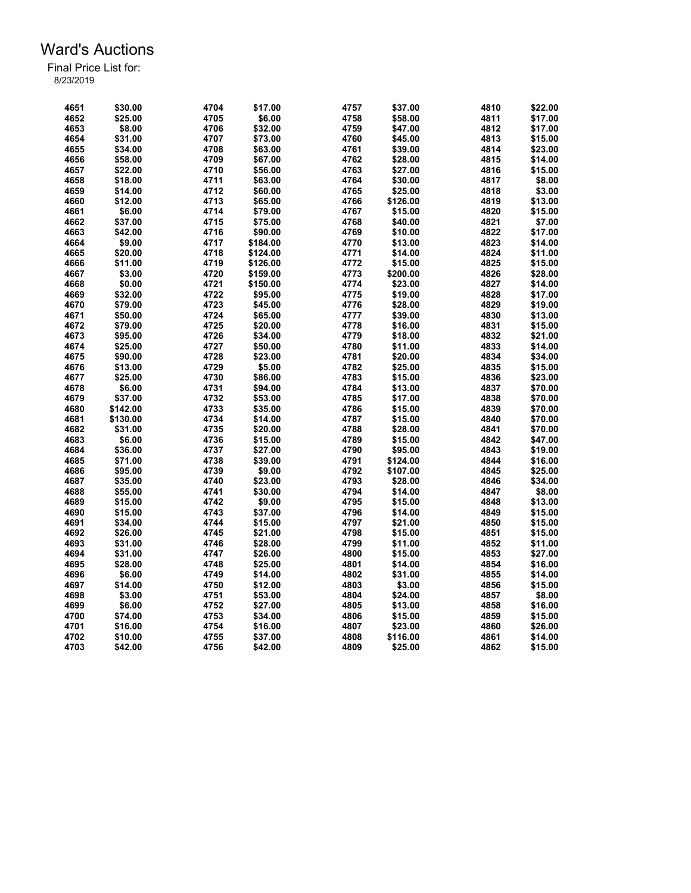| 4651 | \$30.00  | 4704 | \$17.00  | 4757 | \$37.00  | 4810 | \$22.00 |
|------|----------|------|----------|------|----------|------|---------|
| 4652 | \$25.00  | 4705 | \$6.00   | 4758 | \$58.00  | 4811 | \$17.00 |
| 4653 | \$8.00   | 4706 | \$32.00  | 4759 | \$47.00  | 4812 | \$17.00 |
| 4654 | \$31.00  | 4707 | \$73.00  | 4760 | \$45.00  | 4813 | \$15.00 |
| 4655 | \$34.00  | 4708 | \$63.00  | 4761 | \$39.00  | 4814 | \$23.00 |
| 4656 | \$58.00  | 4709 | \$67.00  | 4762 | \$28.00  | 4815 | \$14.00 |
| 4657 | \$22.00  | 4710 | \$56.00  | 4763 | \$27.00  | 4816 | \$15.00 |
| 4658 | \$18.00  | 4711 | \$63.00  | 4764 | \$30.00  | 4817 | \$8.00  |
| 4659 | \$14.00  | 4712 | \$60.00  | 4765 | \$25.00  | 4818 | \$3.00  |
| 4660 | \$12.00  | 4713 | \$65.00  | 4766 | \$126.00 | 4819 | \$13.00 |
| 4661 | \$6.00   | 4714 | \$79.00  | 4767 | \$15.00  | 4820 | \$15.00 |
| 4662 | \$37.00  | 4715 | \$75.00  | 4768 | \$40.00  | 4821 | \$7.00  |
| 4663 | \$42.00  | 4716 | \$90.00  | 4769 | \$10.00  | 4822 | \$17.00 |
|      |          |      |          |      |          |      |         |
| 4664 | \$9.00   | 4717 | \$184.00 | 4770 | \$13.00  | 4823 | \$14.00 |
| 4665 | \$20.00  | 4718 | \$124.00 | 4771 | \$14.00  | 4824 | \$11.00 |
| 4666 | \$11.00  | 4719 | \$126.00 | 4772 | \$15.00  | 4825 | \$15.00 |
| 4667 | \$3.00   | 4720 | \$159.00 | 4773 | \$200.00 | 4826 | \$28.00 |
| 4668 | \$0.00   | 4721 | \$150.00 | 4774 | \$23.00  | 4827 | \$14.00 |
| 4669 | \$32.00  | 4722 | \$95.00  | 4775 | \$19.00  | 4828 | \$17.00 |
| 4670 | \$79.00  | 4723 | \$45.00  | 4776 | \$28.00  | 4829 | \$19.00 |
| 4671 | \$50.00  | 4724 | \$65.00  | 4777 | \$39.00  | 4830 | \$13.00 |
| 4672 | \$79.00  | 4725 | \$20.00  | 4778 | \$16.00  | 4831 | \$15.00 |
| 4673 | \$95.00  | 4726 | \$34.00  | 4779 | \$18.00  | 4832 | \$21.00 |
| 4674 | \$25.00  | 4727 | \$50.00  | 4780 | \$11.00  | 4833 | \$14.00 |
| 4675 | \$90.00  | 4728 | \$23.00  | 4781 | \$20.00  | 4834 | \$34.00 |
| 4676 | \$13.00  | 4729 | \$5.00   | 4782 | \$25.00  | 4835 | \$15.00 |
| 4677 | \$25.00  | 4730 | \$86.00  | 4783 | \$15.00  | 4836 | \$23.00 |
| 4678 | \$6.00   | 4731 | \$94.00  | 4784 | \$13.00  | 4837 | \$70.00 |
| 4679 | \$37.00  | 4732 | \$53.00  | 4785 | \$17.00  | 4838 | \$70.00 |
| 4680 | \$142.00 | 4733 | \$35.00  | 4786 | \$15.00  | 4839 | \$70.00 |
| 4681 | \$130.00 | 4734 | \$14.00  | 4787 | \$15.00  | 4840 | \$70.00 |
| 4682 | \$31.00  | 4735 | \$20.00  | 4788 | \$28.00  | 4841 | \$70.00 |
| 4683 | \$6.00   | 4736 | \$15.00  | 4789 | \$15.00  | 4842 | \$47.00 |
| 4684 | \$36.00  | 4737 | \$27.00  | 4790 | \$95.00  | 4843 | \$19.00 |
| 4685 | \$71.00  | 4738 | \$39.00  | 4791 | \$124.00 | 4844 | \$16.00 |
| 4686 | \$95.00  | 4739 | \$9.00   | 4792 | \$107.00 | 4845 | \$25.00 |
| 4687 | \$35.00  | 4740 | \$23.00  | 4793 | \$28.00  | 4846 | \$34.00 |
| 4688 | \$55.00  | 4741 | \$30.00  | 4794 | \$14.00  | 4847 | \$8.00  |
| 4689 | \$15.00  | 4742 | \$9.00   | 4795 |          | 4848 |         |
|      |          |      |          |      | \$15.00  |      | \$13.00 |
| 4690 | \$15.00  | 4743 | \$37.00  | 4796 | \$14.00  | 4849 | \$15.00 |
| 4691 | \$34.00  | 4744 | \$15.00  | 4797 | \$21.00  | 4850 | \$15.00 |
| 4692 | \$26.00  | 4745 | \$21.00  | 4798 | \$15.00  | 4851 | \$15.00 |
| 4693 | \$31.00  | 4746 | \$28.00  | 4799 | \$11.00  | 4852 | \$11.00 |
| 4694 | \$31.00  | 4747 | \$26.00  | 4800 | \$15.00  | 4853 | \$27.00 |
| 4695 | \$28.00  | 4748 | \$25.00  | 4801 | \$14.00  | 4854 | \$16.00 |
| 4696 | \$6.00   | 4749 | \$14.00  | 4802 | \$31.00  | 4855 | \$14.00 |
| 4697 | \$14.00  | 4750 | \$12.00  | 4803 | \$3.00   | 4856 | \$15.00 |
| 4698 | \$3.00   | 4751 | \$53.00  | 4804 | \$24.00  | 4857 | \$8.00  |
| 4699 | \$6.00   | 4752 | \$27.00  | 4805 | \$13.00  | 4858 | \$16.00 |
| 4700 | \$74.00  | 4753 | \$34.00  | 4806 | \$15.00  | 4859 | \$15.00 |
| 4701 | \$16.00  | 4754 | \$16.00  | 4807 | \$23.00  | 4860 | \$26.00 |
| 4702 | \$10.00  | 4755 | \$37.00  | 4808 | \$116.00 | 4861 | \$14.00 |
| 4703 | \$42.00  | 4756 | \$42.00  | 4809 | \$25.00  | 4862 | \$15.00 |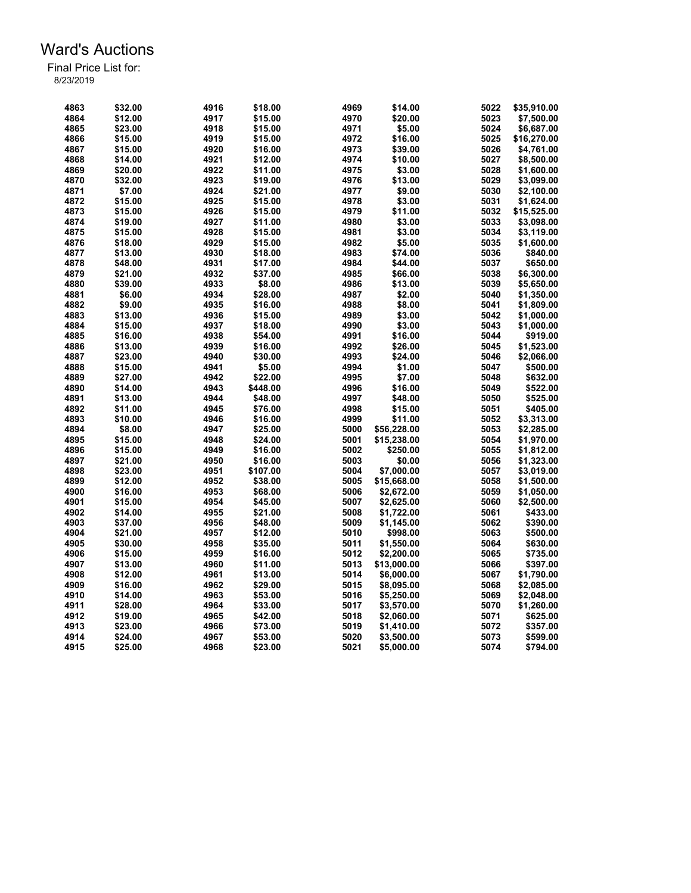| 4863 | \$32.00 | 4916 | \$18.00  | 4969 | \$14.00     | 5022 | \$35,910.00 |
|------|---------|------|----------|------|-------------|------|-------------|
| 4864 | \$12.00 | 4917 | \$15.00  | 4970 | \$20.00     | 5023 | \$7,500.00  |
| 4865 | \$23.00 | 4918 | \$15.00  | 4971 | \$5.00      | 5024 | \$6,687.00  |
| 4866 | \$15.00 | 4919 | \$15.00  | 4972 | \$16.00     | 5025 | \$16,270.00 |
| 4867 | \$15.00 | 4920 | \$16.00  | 4973 | \$39.00     | 5026 | \$4,761.00  |
| 4868 | \$14.00 | 4921 | \$12.00  | 4974 | \$10.00     | 5027 | \$8,500.00  |
| 4869 | \$20.00 | 4922 | \$11.00  | 4975 | \$3.00      | 5028 | \$1,600.00  |
|      |         |      |          |      |             |      |             |
| 4870 | \$32.00 | 4923 | \$19.00  | 4976 | \$13.00     | 5029 | \$3,099.00  |
| 4871 | \$7.00  | 4924 | \$21.00  | 4977 | \$9.00      | 5030 | \$2,100.00  |
| 4872 | \$15.00 | 4925 | \$15.00  | 4978 | \$3.00      | 5031 | \$1,624.00  |
| 4873 | \$15.00 | 4926 | \$15.00  | 4979 | \$11.00     | 5032 | \$15,525.00 |
| 4874 | \$19.00 | 4927 | \$11.00  | 4980 | \$3.00      | 5033 | \$3,098.00  |
| 4875 | \$15.00 | 4928 | \$15.00  | 4981 | \$3.00      | 5034 | \$3,119.00  |
| 4876 | \$18.00 | 4929 | \$15.00  | 4982 | \$5.00      | 5035 | \$1,600.00  |
| 4877 | \$13.00 | 4930 | \$18.00  | 4983 | \$74.00     | 5036 | \$840.00    |
| 4878 | \$48.00 | 4931 | \$17.00  | 4984 | \$44.00     | 5037 | \$650.00    |
| 4879 | \$21.00 | 4932 | \$37.00  | 4985 | \$66.00     | 5038 | \$6,300.00  |
| 4880 | \$39.00 | 4933 | \$8.00   | 4986 | \$13.00     | 5039 | \$5,650.00  |
| 4881 | \$6.00  | 4934 | \$28.00  | 4987 | \$2.00      | 5040 | \$1,350.00  |
| 4882 | \$9.00  | 4935 | \$16.00  | 4988 | \$8.00      | 5041 | \$1,809.00  |
| 4883 | \$13.00 | 4936 | \$15.00  | 4989 | \$3.00      | 5042 | \$1,000.00  |
| 4884 | \$15.00 | 4937 | \$18.00  | 4990 | \$3.00      | 5043 | \$1,000.00  |
| 4885 | \$16.00 | 4938 | \$54.00  | 4991 | \$16.00     | 5044 | \$919.00    |
| 4886 | \$13.00 | 4939 | \$16.00  | 4992 | \$26.00     | 5045 | \$1,523.00  |
| 4887 | \$23.00 | 4940 | \$30.00  | 4993 | \$24.00     | 5046 | \$2,066.00  |
| 4888 | \$15.00 | 4941 | \$5.00   | 4994 | \$1.00      | 5047 | \$500.00    |
| 4889 | \$27.00 | 4942 | \$22.00  | 4995 | \$7.00      | 5048 | \$632.00    |
| 4890 | \$14.00 | 4943 | \$448.00 | 4996 | \$16.00     | 5049 | \$522.00    |
| 4891 | \$13.00 | 4944 | \$48.00  | 4997 | \$48.00     | 5050 | \$525.00    |
| 4892 | \$11.00 | 4945 | \$76.00  | 4998 | \$15.00     | 5051 | \$405.00    |
| 4893 | \$10.00 | 4946 | \$16.00  | 4999 | \$11.00     | 5052 | \$3,313.00  |
| 4894 | \$8.00  | 4947 | \$25.00  | 5000 | \$56,228.00 | 5053 | \$2,285.00  |
| 4895 | \$15.00 | 4948 | \$24.00  | 5001 | \$15,238.00 | 5054 | \$1,970.00  |
|      |         |      |          |      |             |      |             |
| 4896 | \$15.00 | 4949 | \$16.00  | 5002 | \$250.00    | 5055 | \$1,812.00  |
| 4897 | \$21.00 | 4950 | \$16.00  | 5003 | \$0.00      | 5056 | \$1,323.00  |
| 4898 | \$23.00 | 4951 | \$107.00 | 5004 | \$7,000.00  | 5057 | \$3,019.00  |
| 4899 | \$12.00 | 4952 | \$38.00  | 5005 | \$15,668.00 | 5058 | \$1,500.00  |
| 4900 | \$16.00 | 4953 | \$68.00  | 5006 | \$2,672.00  | 5059 | \$1,050.00  |
| 4901 | \$15.00 | 4954 | \$45.00  | 5007 | \$2,625.00  | 5060 | \$2,500.00  |
| 4902 | \$14.00 | 4955 | \$21.00  | 5008 | \$1,722.00  | 5061 | \$433.00    |
| 4903 | \$37.00 | 4956 | \$48.00  | 5009 | \$1,145.00  | 5062 | \$390.00    |
| 4904 | \$21.00 | 4957 | \$12.00  | 5010 | \$998.00    | 5063 | \$500.00    |
| 4905 | \$30.00 | 4958 | \$35.00  | 5011 | \$1,550.00  | 5064 | \$630.00    |
| 4906 | \$15.00 | 4959 | \$16.00  | 5012 | \$2,200.00  | 5065 | \$735.00    |
| 4907 | \$13.00 | 4960 | \$11.00  | 5013 | \$13,000.00 | 5066 | \$397.00    |
| 4908 | \$12.00 | 4961 | \$13.00  | 5014 | \$6,000.00  | 5067 | \$1,790.00  |
| 4909 | \$16.00 | 4962 | \$29.00  | 5015 | \$8,095.00  | 5068 | \$2,085.00  |
| 4910 | \$14.00 | 4963 | \$53.00  | 5016 | \$5,250.00  | 5069 | \$2,048.00  |
| 4911 | \$28.00 | 4964 | \$33.00  | 5017 | \$3,570.00  | 5070 | \$1,260.00  |
| 4912 | \$19.00 | 4965 | \$42.00  | 5018 | \$2,060.00  | 5071 | \$625.00    |
| 4913 | \$23.00 | 4966 | \$73.00  | 5019 | \$1,410.00  | 5072 | \$357.00    |
| 4914 | \$24.00 | 4967 | \$53.00  | 5020 | \$3,500.00  | 5073 | \$599.00    |
| 4915 | \$25.00 | 4968 | \$23.00  | 5021 | \$5,000.00  | 5074 | \$794.00    |
|      |         |      |          |      |             |      |             |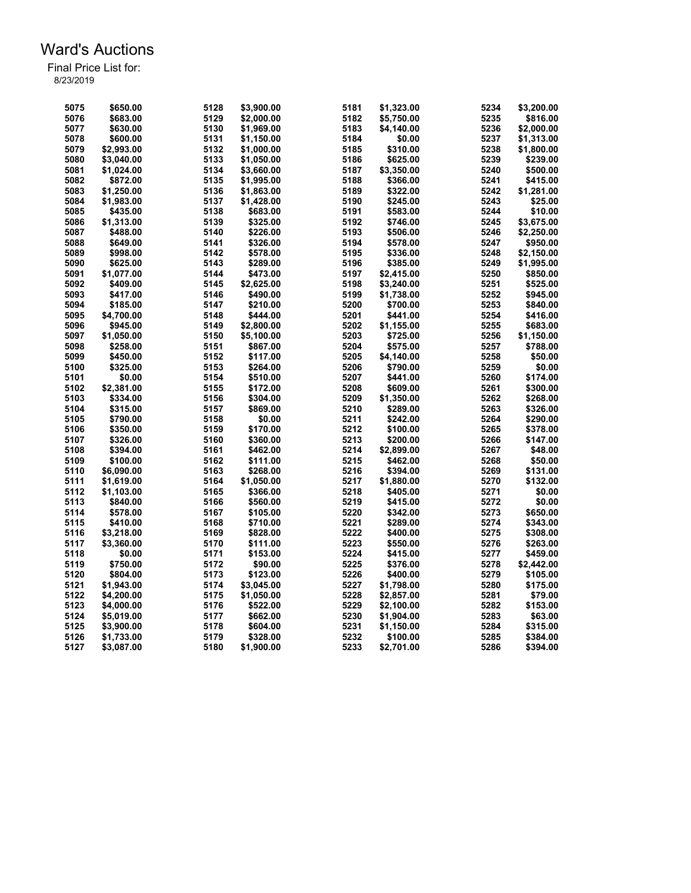| 5075 | \$650.00   | 5128 | \$3,900.00 | 5181 | \$1,323.00 | 5234 | \$3,200.00 |
|------|------------|------|------------|------|------------|------|------------|
| 5076 | \$683.00   | 5129 | \$2,000.00 | 5182 | \$5,750.00 | 5235 | \$816.00   |
| 5077 | \$630.00   | 5130 | \$1,969.00 | 5183 | \$4,140.00 | 5236 | \$2,000.00 |
| 5078 | \$600.00   | 5131 | \$1,150.00 | 5184 | \$0.00     | 5237 | \$1,313.00 |
| 5079 | \$2,993.00 | 5132 | \$1,000.00 | 5185 | \$310.00   | 5238 | \$1,800.00 |
| 5080 | \$3,040.00 | 5133 | \$1,050.00 | 5186 | \$625.00   | 5239 | \$239.00   |
| 5081 | \$1,024.00 | 5134 | \$3,660.00 | 5187 | \$3,350.00 | 5240 | \$500.00   |
| 5082 | \$872.00   | 5135 | \$1,995.00 | 5188 | \$366.00   | 5241 | \$415.00   |
| 5083 | \$1,250.00 | 5136 | \$1,863.00 | 5189 | \$322.00   | 5242 | \$1,281.00 |
| 5084 | \$1,983.00 | 5137 | \$1,428.00 | 5190 | \$245.00   | 5243 | \$25.00    |
| 5085 | \$435.00   | 5138 | \$683.00   | 5191 | \$583.00   | 5244 | \$10.00    |
|      |            |      |            |      |            |      |            |
| 5086 | \$1,313.00 | 5139 | \$325.00   | 5192 | \$746.00   | 5245 | \$3,675.00 |
| 5087 | \$488.00   | 5140 | \$226.00   | 5193 | \$506.00   | 5246 | \$2,250.00 |
| 5088 | \$649.00   | 5141 | \$326.00   | 5194 | \$578.00   | 5247 | \$950.00   |
| 5089 | \$998.00   | 5142 | \$578.00   | 5195 | \$336.00   | 5248 | \$2,150.00 |
| 5090 | \$625.00   | 5143 | \$289.00   | 5196 | \$385.00   | 5249 | \$1,995.00 |
| 5091 | \$1,077.00 | 5144 | \$473.00   | 5197 | \$2,415.00 | 5250 | \$850.00   |
| 5092 | \$409.00   | 5145 | \$2,625.00 | 5198 | \$3,240.00 | 5251 | \$525.00   |
| 5093 | \$417.00   | 5146 | \$490.00   | 5199 | \$1,738.00 | 5252 | \$945.00   |
| 5094 | \$185.00   | 5147 | \$210.00   | 5200 | \$700.00   | 5253 | \$840.00   |
| 5095 | \$4.700.00 | 5148 | \$444.00   | 5201 | \$441.00   | 5254 | \$416.00   |
| 5096 | \$945.00   | 5149 | \$2,800.00 | 5202 | \$1,155.00 | 5255 | \$683.00   |
| 5097 | \$1,050.00 | 5150 | \$5,100.00 | 5203 | \$725.00   | 5256 | \$1,150.00 |
| 5098 | \$258.00   | 5151 | \$867.00   | 5204 | \$575.00   | 5257 | \$788.00   |
| 5099 | \$450.00   | 5152 | \$117.00   | 5205 | \$4,140.00 | 5258 | \$50.00    |
| 5100 | \$325.00   | 5153 | \$264.00   | 5206 | \$790.00   | 5259 | \$0.00     |
| 5101 | \$0.00     | 5154 | \$510.00   | 5207 | \$441.00   | 5260 | \$174.00   |
| 5102 | \$2,381.00 | 5155 | \$172.00   | 5208 | \$609.00   | 5261 | \$300.00   |
| 5103 | \$334.00   | 5156 | \$304.00   | 5209 | \$1,350.00 | 5262 | \$268.00   |
| 5104 | \$315.00   | 5157 | \$869.00   | 5210 | \$289.00   | 5263 | \$326.00   |
| 5105 | \$790.00   | 5158 | \$0.00     | 5211 | \$242.00   | 5264 | \$290.00   |
| 5106 | \$350.00   | 5159 | \$170.00   | 5212 | \$100.00   | 5265 | \$378.00   |
| 5107 | \$326.00   | 5160 | \$360.00   | 5213 | \$200.00   | 5266 | \$147.00   |
| 5108 | \$394.00   | 5161 | \$462.00   | 5214 | \$2,899.00 | 5267 | \$48.00    |
| 5109 | \$100.00   | 5162 | \$111.00   | 5215 | \$462.00   | 5268 | \$50.00    |
| 5110 | \$6,090.00 | 5163 | \$268.00   | 5216 | \$394.00   | 5269 | \$131.00   |
| 5111 | \$1,619.00 | 5164 | \$1,050.00 | 5217 | \$1,880.00 | 5270 | \$132.00   |
| 5112 | \$1,103.00 | 5165 | \$366.00   | 5218 | \$405.00   | 5271 | \$0.00     |
| 5113 | \$840.00   | 5166 | \$560.00   | 5219 | \$415.00   | 5272 | \$0.00     |
| 5114 | \$578.00   | 5167 | \$105.00   |      |            | 5273 |            |
|      |            |      |            | 5220 | \$342.00   |      | \$650.00   |
| 5115 | \$410.00   | 5168 | \$710.00   | 5221 | \$289.00   | 5274 | \$343.00   |
| 5116 | \$3,218.00 | 5169 | \$828.00   | 5222 | \$400.00   | 5275 | \$308.00   |
| 5117 | \$3,360.00 | 5170 | \$111.00   | 5223 | \$550.00   | 5276 | \$263.00   |
| 5118 | \$0.00     | 5171 | \$153.00   | 5224 | \$415.00   | 5277 | \$459.00   |
| 5119 | \$750.00   | 5172 | \$90.00    | 5225 | \$376.00   | 5278 | \$2,442.00 |
| 5120 | \$804.00   | 5173 | \$123.00   | 5226 | \$400.00   | 5279 | \$105.00   |
| 5121 | \$1,943.00 | 5174 | \$3,045.00 | 5227 | \$1,798.00 | 5280 | \$175.00   |
| 5122 | \$4.200.00 | 5175 | \$1,050.00 | 5228 | \$2,857.00 | 5281 | \$79.00    |
| 5123 | \$4,000.00 | 5176 | \$522.00   | 5229 | \$2,100.00 | 5282 | \$153.00   |
| 5124 | \$5,019.00 | 5177 | \$662.00   | 5230 | \$1,904.00 | 5283 | \$63.00    |
| 5125 | \$3,900.00 | 5178 | \$604.00   | 5231 | \$1,150.00 | 5284 | \$315.00   |
| 5126 | \$1,733.00 | 5179 | \$328.00   | 5232 | \$100.00   | 5285 | \$384.00   |
| 5127 | \$3,087.00 | 5180 | \$1,900.00 | 5233 | \$2,701.00 | 5286 | \$394.00   |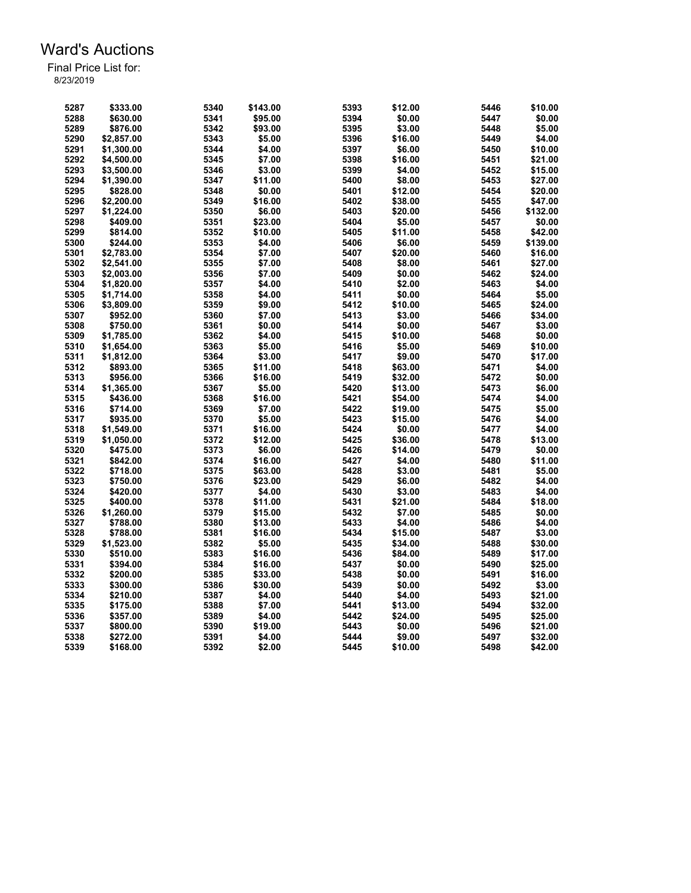| 5341<br>\$0.00<br>5288<br>\$630.00<br>\$95.00<br>5394<br>\$0.00<br>5447<br>5289<br>5342<br>\$93.00<br>5395<br>\$3.00<br>5448<br>\$5.00<br>\$876.00<br>5290<br>5343<br>\$5.00<br>5396<br>\$16.00<br>5449<br>\$4.00<br>\$2,857.00<br>5291<br>\$1,300.00<br>5344<br>\$4.00<br>5397<br>\$6.00<br>5450<br>\$10.00<br>5292<br>5398<br>\$4.500.00<br>5345<br>\$7.00<br>\$16.00<br>5451<br>\$21.00<br>5293<br>5346<br>5399<br>\$4.00<br>5452<br>\$3,500.00<br>\$3.00<br>\$15.00<br>5294<br>\$1,390.00<br>5347<br>\$11.00<br>5400<br>\$8.00<br>5453<br>\$27.00<br>5295<br>5348<br>\$0.00<br>5401<br>\$12.00<br>5454<br>\$20.00<br>\$828.00<br>5296<br>\$2,200.00<br>5349<br>\$16.00<br>5402<br>\$38.00<br>5455<br>\$47.00<br>5297<br>\$1,224.00<br>5350<br>\$6.00<br>5403<br>\$20.00<br>5456<br>\$132.00<br>5298<br>\$409.00<br>5351<br>\$23.00<br>5404<br>\$5.00<br>\$0.00<br>5457<br>5299<br>\$814.00<br>5352<br>\$10.00<br>5405<br>\$11.00<br>5458<br>\$42.00<br>5300<br>5353<br>5406<br>\$6.00<br>5459<br>\$139.00<br>\$244.00<br>\$4.00<br>\$7.00<br>\$20.00<br>5460<br>\$16.00<br>5301<br>\$2,783.00<br>5354<br>5407<br>5302<br>5355<br>\$7.00<br>5408<br>\$8.00<br>5461<br>\$2,541.00<br>\$27.00<br>5303<br>\$7.00<br>\$0.00<br>\$2,003.00<br>5356<br>5409<br>5462<br>\$24.00<br>5304<br>\$4.00<br>\$2.00<br>\$4.00<br>\$1,820.00<br>5357<br>5410<br>5463<br>5305<br>5358<br>\$4.00<br>5411<br>\$0.00<br>5464<br>\$5.00<br>\$1,714.00<br>5306<br>5359<br>\$9.00<br>5412<br>\$10.00<br>5465<br>\$3,809.00<br>\$24.00<br>5307<br>5360<br>\$7.00<br>5413<br>\$3.00<br>5466<br>\$34.00<br>\$952.00<br>5308<br>5361<br>\$0.00<br>5414<br>\$0.00<br>5467<br>\$750.00<br>\$3.00<br>5309<br>\$4.00<br>\$1.785.00<br>5362<br>5415<br>\$10.00<br>5468<br>\$0.00<br>5310<br>5363<br>\$5.00<br>5416<br>\$5.00<br>5469<br>\$1,654.00<br>\$10.00<br>5311<br>5364<br>5417<br>\$9.00<br>\$17.00<br>\$1,812.00<br>\$3.00<br>5470<br>5312<br>\$893.00<br>5365<br>\$11.00<br>5418<br>\$63.00<br>5471<br>\$4.00<br>5313<br>\$0.00<br>\$956.00<br>5366<br>\$16.00<br>5419<br>\$32.00<br>5472<br>5314<br>\$1,365.00<br>5367<br>\$5.00<br>5420<br>\$13.00<br>5473<br>\$6.00<br>5315<br>\$436.00<br>5368<br>\$16.00<br>5421<br>\$54.00<br>5474<br>\$4.00<br>5316<br>5422<br>5475<br>\$5.00<br>\$714.00<br>5369<br>\$7.00<br>\$19.00<br>5370<br>5423<br>5317<br>\$935.00<br>\$5.00<br>\$15.00<br>5476<br>\$4.00<br>5318<br>\$1,549.00<br>5371<br>\$16.00<br>5424<br>\$0.00<br>5477<br>\$4.00<br>5319<br>5372<br>\$12.00<br>5425<br>\$36.00<br>5478<br>\$13.00<br>\$1,050.00<br>5320<br>5373<br>\$6.00<br>5426<br>\$14.00<br>5479<br>\$0.00<br>\$475.00<br>5321<br>5427<br>\$4.00<br>5480<br>\$11.00<br>\$842.00<br>5374<br>\$16.00<br>5322<br>5375<br>5428<br>\$3.00<br>5481<br>\$718.00<br>\$63.00<br>\$5.00<br>5323<br>5376<br>\$23.00<br>5429<br>\$6.00<br>5482<br>\$4.00<br>\$750.00<br>\$3.00<br>5324<br>5377<br>\$4.00<br>5430<br>5483<br>\$4.00<br>\$420.00<br>5325<br>5378<br>\$11.00<br>5431<br>\$21.00<br>5484<br>\$18.00<br>\$400.00<br>5326<br>5379<br>5432<br>\$7.00<br>5485<br>\$0.00<br>\$1,260.00<br>\$15.00<br>5327<br>5380<br>\$13.00<br>5433<br>\$4.00<br>5486<br>\$4.00<br>\$788.00<br>5381<br>5328<br>\$788.00<br>\$16.00<br>5434<br>\$15.00<br>5487<br>\$3.00<br>5329<br>5382<br>5435<br>\$1,523.00<br>\$5.00<br>\$34.00<br>5488<br>\$30.00<br>5330<br>5383<br>\$16.00<br>5436<br>\$84.00<br>5489<br>\$17.00<br>\$510.00<br>\$0.00<br>5331<br>\$394.00<br>5384<br>\$16.00<br>5437<br>5490<br>\$25.00<br>5332<br>\$200.00<br>5385<br>\$33.00<br>5438<br>\$0.00<br>5491<br>\$16.00<br>\$0.00<br>5333<br>5386<br>5439<br>5492<br>\$3.00<br>\$300.00<br>\$30.00<br>5334<br>5387<br>5493<br>\$210.00<br>\$4.00<br>5440<br>\$4.00<br>\$21.00<br>5335<br>\$7.00<br>5441<br>\$13.00<br>5494<br>\$32.00<br>\$175.00<br>5388<br>5336<br>5389<br>\$4.00<br>5442<br>\$24.00<br>5495<br>\$25.00<br>\$357.00<br>5337<br>5390<br>\$19.00<br>5443<br>\$0.00<br>5496<br>\$21.00<br>\$800.00 | 5287 | \$333.00 | 5340 | \$143.00 | 5393 | \$12.00 | 5446 | \$10.00 |
|-----------------------------------------------------------------------------------------------------------------------------------------------------------------------------------------------------------------------------------------------------------------------------------------------------------------------------------------------------------------------------------------------------------------------------------------------------------------------------------------------------------------------------------------------------------------------------------------------------------------------------------------------------------------------------------------------------------------------------------------------------------------------------------------------------------------------------------------------------------------------------------------------------------------------------------------------------------------------------------------------------------------------------------------------------------------------------------------------------------------------------------------------------------------------------------------------------------------------------------------------------------------------------------------------------------------------------------------------------------------------------------------------------------------------------------------------------------------------------------------------------------------------------------------------------------------------------------------------------------------------------------------------------------------------------------------------------------------------------------------------------------------------------------------------------------------------------------------------------------------------------------------------------------------------------------------------------------------------------------------------------------------------------------------------------------------------------------------------------------------------------------------------------------------------------------------------------------------------------------------------------------------------------------------------------------------------------------------------------------------------------------------------------------------------------------------------------------------------------------------------------------------------------------------------------------------------------------------------------------------------------------------------------------------------------------------------------------------------------------------------------------------------------------------------------------------------------------------------------------------------------------------------------------------------------------------------------------------------------------------------------------------------------------------------------------------------------------------------------------------------------------------------------------------------------------------------------------------------------------------------------------------------------------------------------------------------------------------------------------------------------------------------------------------------------------------------------------------------------------------------------------------------------------------------------------------------------------------------------------------------------------------------------------------------------------------------------------------------------------------------------------------------------------------------------------------------------------------------------------------------------------------------------------------------------------------------------------------------|------|----------|------|----------|------|---------|------|---------|
|                                                                                                                                                                                                                                                                                                                                                                                                                                                                                                                                                                                                                                                                                                                                                                                                                                                                                                                                                                                                                                                                                                                                                                                                                                                                                                                                                                                                                                                                                                                                                                                                                                                                                                                                                                                                                                                                                                                                                                                                                                                                                                                                                                                                                                                                                                                                                                                                                                                                                                                                                                                                                                                                                                                                                                                                                                                                                                                                                                                                                                                                                                                                                                                                                                                                                                                                                                                                                                                                                                                                                                                                                                                                                                                                                                                                                                                                                                                                                                       |      |          |      |          |      |         |      |         |
|                                                                                                                                                                                                                                                                                                                                                                                                                                                                                                                                                                                                                                                                                                                                                                                                                                                                                                                                                                                                                                                                                                                                                                                                                                                                                                                                                                                                                                                                                                                                                                                                                                                                                                                                                                                                                                                                                                                                                                                                                                                                                                                                                                                                                                                                                                                                                                                                                                                                                                                                                                                                                                                                                                                                                                                                                                                                                                                                                                                                                                                                                                                                                                                                                                                                                                                                                                                                                                                                                                                                                                                                                                                                                                                                                                                                                                                                                                                                                                       |      |          |      |          |      |         |      |         |
|                                                                                                                                                                                                                                                                                                                                                                                                                                                                                                                                                                                                                                                                                                                                                                                                                                                                                                                                                                                                                                                                                                                                                                                                                                                                                                                                                                                                                                                                                                                                                                                                                                                                                                                                                                                                                                                                                                                                                                                                                                                                                                                                                                                                                                                                                                                                                                                                                                                                                                                                                                                                                                                                                                                                                                                                                                                                                                                                                                                                                                                                                                                                                                                                                                                                                                                                                                                                                                                                                                                                                                                                                                                                                                                                                                                                                                                                                                                                                                       |      |          |      |          |      |         |      |         |
|                                                                                                                                                                                                                                                                                                                                                                                                                                                                                                                                                                                                                                                                                                                                                                                                                                                                                                                                                                                                                                                                                                                                                                                                                                                                                                                                                                                                                                                                                                                                                                                                                                                                                                                                                                                                                                                                                                                                                                                                                                                                                                                                                                                                                                                                                                                                                                                                                                                                                                                                                                                                                                                                                                                                                                                                                                                                                                                                                                                                                                                                                                                                                                                                                                                                                                                                                                                                                                                                                                                                                                                                                                                                                                                                                                                                                                                                                                                                                                       |      |          |      |          |      |         |      |         |
|                                                                                                                                                                                                                                                                                                                                                                                                                                                                                                                                                                                                                                                                                                                                                                                                                                                                                                                                                                                                                                                                                                                                                                                                                                                                                                                                                                                                                                                                                                                                                                                                                                                                                                                                                                                                                                                                                                                                                                                                                                                                                                                                                                                                                                                                                                                                                                                                                                                                                                                                                                                                                                                                                                                                                                                                                                                                                                                                                                                                                                                                                                                                                                                                                                                                                                                                                                                                                                                                                                                                                                                                                                                                                                                                                                                                                                                                                                                                                                       |      |          |      |          |      |         |      |         |
|                                                                                                                                                                                                                                                                                                                                                                                                                                                                                                                                                                                                                                                                                                                                                                                                                                                                                                                                                                                                                                                                                                                                                                                                                                                                                                                                                                                                                                                                                                                                                                                                                                                                                                                                                                                                                                                                                                                                                                                                                                                                                                                                                                                                                                                                                                                                                                                                                                                                                                                                                                                                                                                                                                                                                                                                                                                                                                                                                                                                                                                                                                                                                                                                                                                                                                                                                                                                                                                                                                                                                                                                                                                                                                                                                                                                                                                                                                                                                                       |      |          |      |          |      |         |      |         |
|                                                                                                                                                                                                                                                                                                                                                                                                                                                                                                                                                                                                                                                                                                                                                                                                                                                                                                                                                                                                                                                                                                                                                                                                                                                                                                                                                                                                                                                                                                                                                                                                                                                                                                                                                                                                                                                                                                                                                                                                                                                                                                                                                                                                                                                                                                                                                                                                                                                                                                                                                                                                                                                                                                                                                                                                                                                                                                                                                                                                                                                                                                                                                                                                                                                                                                                                                                                                                                                                                                                                                                                                                                                                                                                                                                                                                                                                                                                                                                       |      |          |      |          |      |         |      |         |
|                                                                                                                                                                                                                                                                                                                                                                                                                                                                                                                                                                                                                                                                                                                                                                                                                                                                                                                                                                                                                                                                                                                                                                                                                                                                                                                                                                                                                                                                                                                                                                                                                                                                                                                                                                                                                                                                                                                                                                                                                                                                                                                                                                                                                                                                                                                                                                                                                                                                                                                                                                                                                                                                                                                                                                                                                                                                                                                                                                                                                                                                                                                                                                                                                                                                                                                                                                                                                                                                                                                                                                                                                                                                                                                                                                                                                                                                                                                                                                       |      |          |      |          |      |         |      |         |
|                                                                                                                                                                                                                                                                                                                                                                                                                                                                                                                                                                                                                                                                                                                                                                                                                                                                                                                                                                                                                                                                                                                                                                                                                                                                                                                                                                                                                                                                                                                                                                                                                                                                                                                                                                                                                                                                                                                                                                                                                                                                                                                                                                                                                                                                                                                                                                                                                                                                                                                                                                                                                                                                                                                                                                                                                                                                                                                                                                                                                                                                                                                                                                                                                                                                                                                                                                                                                                                                                                                                                                                                                                                                                                                                                                                                                                                                                                                                                                       |      |          |      |          |      |         |      |         |
|                                                                                                                                                                                                                                                                                                                                                                                                                                                                                                                                                                                                                                                                                                                                                                                                                                                                                                                                                                                                                                                                                                                                                                                                                                                                                                                                                                                                                                                                                                                                                                                                                                                                                                                                                                                                                                                                                                                                                                                                                                                                                                                                                                                                                                                                                                                                                                                                                                                                                                                                                                                                                                                                                                                                                                                                                                                                                                                                                                                                                                                                                                                                                                                                                                                                                                                                                                                                                                                                                                                                                                                                                                                                                                                                                                                                                                                                                                                                                                       |      |          |      |          |      |         |      |         |
|                                                                                                                                                                                                                                                                                                                                                                                                                                                                                                                                                                                                                                                                                                                                                                                                                                                                                                                                                                                                                                                                                                                                                                                                                                                                                                                                                                                                                                                                                                                                                                                                                                                                                                                                                                                                                                                                                                                                                                                                                                                                                                                                                                                                                                                                                                                                                                                                                                                                                                                                                                                                                                                                                                                                                                                                                                                                                                                                                                                                                                                                                                                                                                                                                                                                                                                                                                                                                                                                                                                                                                                                                                                                                                                                                                                                                                                                                                                                                                       |      |          |      |          |      |         |      |         |
|                                                                                                                                                                                                                                                                                                                                                                                                                                                                                                                                                                                                                                                                                                                                                                                                                                                                                                                                                                                                                                                                                                                                                                                                                                                                                                                                                                                                                                                                                                                                                                                                                                                                                                                                                                                                                                                                                                                                                                                                                                                                                                                                                                                                                                                                                                                                                                                                                                                                                                                                                                                                                                                                                                                                                                                                                                                                                                                                                                                                                                                                                                                                                                                                                                                                                                                                                                                                                                                                                                                                                                                                                                                                                                                                                                                                                                                                                                                                                                       |      |          |      |          |      |         |      |         |
|                                                                                                                                                                                                                                                                                                                                                                                                                                                                                                                                                                                                                                                                                                                                                                                                                                                                                                                                                                                                                                                                                                                                                                                                                                                                                                                                                                                                                                                                                                                                                                                                                                                                                                                                                                                                                                                                                                                                                                                                                                                                                                                                                                                                                                                                                                                                                                                                                                                                                                                                                                                                                                                                                                                                                                                                                                                                                                                                                                                                                                                                                                                                                                                                                                                                                                                                                                                                                                                                                                                                                                                                                                                                                                                                                                                                                                                                                                                                                                       |      |          |      |          |      |         |      |         |
|                                                                                                                                                                                                                                                                                                                                                                                                                                                                                                                                                                                                                                                                                                                                                                                                                                                                                                                                                                                                                                                                                                                                                                                                                                                                                                                                                                                                                                                                                                                                                                                                                                                                                                                                                                                                                                                                                                                                                                                                                                                                                                                                                                                                                                                                                                                                                                                                                                                                                                                                                                                                                                                                                                                                                                                                                                                                                                                                                                                                                                                                                                                                                                                                                                                                                                                                                                                                                                                                                                                                                                                                                                                                                                                                                                                                                                                                                                                                                                       |      |          |      |          |      |         |      |         |
|                                                                                                                                                                                                                                                                                                                                                                                                                                                                                                                                                                                                                                                                                                                                                                                                                                                                                                                                                                                                                                                                                                                                                                                                                                                                                                                                                                                                                                                                                                                                                                                                                                                                                                                                                                                                                                                                                                                                                                                                                                                                                                                                                                                                                                                                                                                                                                                                                                                                                                                                                                                                                                                                                                                                                                                                                                                                                                                                                                                                                                                                                                                                                                                                                                                                                                                                                                                                                                                                                                                                                                                                                                                                                                                                                                                                                                                                                                                                                                       |      |          |      |          |      |         |      |         |
|                                                                                                                                                                                                                                                                                                                                                                                                                                                                                                                                                                                                                                                                                                                                                                                                                                                                                                                                                                                                                                                                                                                                                                                                                                                                                                                                                                                                                                                                                                                                                                                                                                                                                                                                                                                                                                                                                                                                                                                                                                                                                                                                                                                                                                                                                                                                                                                                                                                                                                                                                                                                                                                                                                                                                                                                                                                                                                                                                                                                                                                                                                                                                                                                                                                                                                                                                                                                                                                                                                                                                                                                                                                                                                                                                                                                                                                                                                                                                                       |      |          |      |          |      |         |      |         |
|                                                                                                                                                                                                                                                                                                                                                                                                                                                                                                                                                                                                                                                                                                                                                                                                                                                                                                                                                                                                                                                                                                                                                                                                                                                                                                                                                                                                                                                                                                                                                                                                                                                                                                                                                                                                                                                                                                                                                                                                                                                                                                                                                                                                                                                                                                                                                                                                                                                                                                                                                                                                                                                                                                                                                                                                                                                                                                                                                                                                                                                                                                                                                                                                                                                                                                                                                                                                                                                                                                                                                                                                                                                                                                                                                                                                                                                                                                                                                                       |      |          |      |          |      |         |      |         |
|                                                                                                                                                                                                                                                                                                                                                                                                                                                                                                                                                                                                                                                                                                                                                                                                                                                                                                                                                                                                                                                                                                                                                                                                                                                                                                                                                                                                                                                                                                                                                                                                                                                                                                                                                                                                                                                                                                                                                                                                                                                                                                                                                                                                                                                                                                                                                                                                                                                                                                                                                                                                                                                                                                                                                                                                                                                                                                                                                                                                                                                                                                                                                                                                                                                                                                                                                                                                                                                                                                                                                                                                                                                                                                                                                                                                                                                                                                                                                                       |      |          |      |          |      |         |      |         |
|                                                                                                                                                                                                                                                                                                                                                                                                                                                                                                                                                                                                                                                                                                                                                                                                                                                                                                                                                                                                                                                                                                                                                                                                                                                                                                                                                                                                                                                                                                                                                                                                                                                                                                                                                                                                                                                                                                                                                                                                                                                                                                                                                                                                                                                                                                                                                                                                                                                                                                                                                                                                                                                                                                                                                                                                                                                                                                                                                                                                                                                                                                                                                                                                                                                                                                                                                                                                                                                                                                                                                                                                                                                                                                                                                                                                                                                                                                                                                                       |      |          |      |          |      |         |      |         |
|                                                                                                                                                                                                                                                                                                                                                                                                                                                                                                                                                                                                                                                                                                                                                                                                                                                                                                                                                                                                                                                                                                                                                                                                                                                                                                                                                                                                                                                                                                                                                                                                                                                                                                                                                                                                                                                                                                                                                                                                                                                                                                                                                                                                                                                                                                                                                                                                                                                                                                                                                                                                                                                                                                                                                                                                                                                                                                                                                                                                                                                                                                                                                                                                                                                                                                                                                                                                                                                                                                                                                                                                                                                                                                                                                                                                                                                                                                                                                                       |      |          |      |          |      |         |      |         |
|                                                                                                                                                                                                                                                                                                                                                                                                                                                                                                                                                                                                                                                                                                                                                                                                                                                                                                                                                                                                                                                                                                                                                                                                                                                                                                                                                                                                                                                                                                                                                                                                                                                                                                                                                                                                                                                                                                                                                                                                                                                                                                                                                                                                                                                                                                                                                                                                                                                                                                                                                                                                                                                                                                                                                                                                                                                                                                                                                                                                                                                                                                                                                                                                                                                                                                                                                                                                                                                                                                                                                                                                                                                                                                                                                                                                                                                                                                                                                                       |      |          |      |          |      |         |      |         |
|                                                                                                                                                                                                                                                                                                                                                                                                                                                                                                                                                                                                                                                                                                                                                                                                                                                                                                                                                                                                                                                                                                                                                                                                                                                                                                                                                                                                                                                                                                                                                                                                                                                                                                                                                                                                                                                                                                                                                                                                                                                                                                                                                                                                                                                                                                                                                                                                                                                                                                                                                                                                                                                                                                                                                                                                                                                                                                                                                                                                                                                                                                                                                                                                                                                                                                                                                                                                                                                                                                                                                                                                                                                                                                                                                                                                                                                                                                                                                                       |      |          |      |          |      |         |      |         |
|                                                                                                                                                                                                                                                                                                                                                                                                                                                                                                                                                                                                                                                                                                                                                                                                                                                                                                                                                                                                                                                                                                                                                                                                                                                                                                                                                                                                                                                                                                                                                                                                                                                                                                                                                                                                                                                                                                                                                                                                                                                                                                                                                                                                                                                                                                                                                                                                                                                                                                                                                                                                                                                                                                                                                                                                                                                                                                                                                                                                                                                                                                                                                                                                                                                                                                                                                                                                                                                                                                                                                                                                                                                                                                                                                                                                                                                                                                                                                                       |      |          |      |          |      |         |      |         |
|                                                                                                                                                                                                                                                                                                                                                                                                                                                                                                                                                                                                                                                                                                                                                                                                                                                                                                                                                                                                                                                                                                                                                                                                                                                                                                                                                                                                                                                                                                                                                                                                                                                                                                                                                                                                                                                                                                                                                                                                                                                                                                                                                                                                                                                                                                                                                                                                                                                                                                                                                                                                                                                                                                                                                                                                                                                                                                                                                                                                                                                                                                                                                                                                                                                                                                                                                                                                                                                                                                                                                                                                                                                                                                                                                                                                                                                                                                                                                                       |      |          |      |          |      |         |      |         |
|                                                                                                                                                                                                                                                                                                                                                                                                                                                                                                                                                                                                                                                                                                                                                                                                                                                                                                                                                                                                                                                                                                                                                                                                                                                                                                                                                                                                                                                                                                                                                                                                                                                                                                                                                                                                                                                                                                                                                                                                                                                                                                                                                                                                                                                                                                                                                                                                                                                                                                                                                                                                                                                                                                                                                                                                                                                                                                                                                                                                                                                                                                                                                                                                                                                                                                                                                                                                                                                                                                                                                                                                                                                                                                                                                                                                                                                                                                                                                                       |      |          |      |          |      |         |      |         |
|                                                                                                                                                                                                                                                                                                                                                                                                                                                                                                                                                                                                                                                                                                                                                                                                                                                                                                                                                                                                                                                                                                                                                                                                                                                                                                                                                                                                                                                                                                                                                                                                                                                                                                                                                                                                                                                                                                                                                                                                                                                                                                                                                                                                                                                                                                                                                                                                                                                                                                                                                                                                                                                                                                                                                                                                                                                                                                                                                                                                                                                                                                                                                                                                                                                                                                                                                                                                                                                                                                                                                                                                                                                                                                                                                                                                                                                                                                                                                                       |      |          |      |          |      |         |      |         |
|                                                                                                                                                                                                                                                                                                                                                                                                                                                                                                                                                                                                                                                                                                                                                                                                                                                                                                                                                                                                                                                                                                                                                                                                                                                                                                                                                                                                                                                                                                                                                                                                                                                                                                                                                                                                                                                                                                                                                                                                                                                                                                                                                                                                                                                                                                                                                                                                                                                                                                                                                                                                                                                                                                                                                                                                                                                                                                                                                                                                                                                                                                                                                                                                                                                                                                                                                                                                                                                                                                                                                                                                                                                                                                                                                                                                                                                                                                                                                                       |      |          |      |          |      |         |      |         |
|                                                                                                                                                                                                                                                                                                                                                                                                                                                                                                                                                                                                                                                                                                                                                                                                                                                                                                                                                                                                                                                                                                                                                                                                                                                                                                                                                                                                                                                                                                                                                                                                                                                                                                                                                                                                                                                                                                                                                                                                                                                                                                                                                                                                                                                                                                                                                                                                                                                                                                                                                                                                                                                                                                                                                                                                                                                                                                                                                                                                                                                                                                                                                                                                                                                                                                                                                                                                                                                                                                                                                                                                                                                                                                                                                                                                                                                                                                                                                                       |      |          |      |          |      |         |      |         |
|                                                                                                                                                                                                                                                                                                                                                                                                                                                                                                                                                                                                                                                                                                                                                                                                                                                                                                                                                                                                                                                                                                                                                                                                                                                                                                                                                                                                                                                                                                                                                                                                                                                                                                                                                                                                                                                                                                                                                                                                                                                                                                                                                                                                                                                                                                                                                                                                                                                                                                                                                                                                                                                                                                                                                                                                                                                                                                                                                                                                                                                                                                                                                                                                                                                                                                                                                                                                                                                                                                                                                                                                                                                                                                                                                                                                                                                                                                                                                                       |      |          |      |          |      |         |      |         |
|                                                                                                                                                                                                                                                                                                                                                                                                                                                                                                                                                                                                                                                                                                                                                                                                                                                                                                                                                                                                                                                                                                                                                                                                                                                                                                                                                                                                                                                                                                                                                                                                                                                                                                                                                                                                                                                                                                                                                                                                                                                                                                                                                                                                                                                                                                                                                                                                                                                                                                                                                                                                                                                                                                                                                                                                                                                                                                                                                                                                                                                                                                                                                                                                                                                                                                                                                                                                                                                                                                                                                                                                                                                                                                                                                                                                                                                                                                                                                                       |      |          |      |          |      |         |      |         |
|                                                                                                                                                                                                                                                                                                                                                                                                                                                                                                                                                                                                                                                                                                                                                                                                                                                                                                                                                                                                                                                                                                                                                                                                                                                                                                                                                                                                                                                                                                                                                                                                                                                                                                                                                                                                                                                                                                                                                                                                                                                                                                                                                                                                                                                                                                                                                                                                                                                                                                                                                                                                                                                                                                                                                                                                                                                                                                                                                                                                                                                                                                                                                                                                                                                                                                                                                                                                                                                                                                                                                                                                                                                                                                                                                                                                                                                                                                                                                                       |      |          |      |          |      |         |      |         |
|                                                                                                                                                                                                                                                                                                                                                                                                                                                                                                                                                                                                                                                                                                                                                                                                                                                                                                                                                                                                                                                                                                                                                                                                                                                                                                                                                                                                                                                                                                                                                                                                                                                                                                                                                                                                                                                                                                                                                                                                                                                                                                                                                                                                                                                                                                                                                                                                                                                                                                                                                                                                                                                                                                                                                                                                                                                                                                                                                                                                                                                                                                                                                                                                                                                                                                                                                                                                                                                                                                                                                                                                                                                                                                                                                                                                                                                                                                                                                                       |      |          |      |          |      |         |      |         |
|                                                                                                                                                                                                                                                                                                                                                                                                                                                                                                                                                                                                                                                                                                                                                                                                                                                                                                                                                                                                                                                                                                                                                                                                                                                                                                                                                                                                                                                                                                                                                                                                                                                                                                                                                                                                                                                                                                                                                                                                                                                                                                                                                                                                                                                                                                                                                                                                                                                                                                                                                                                                                                                                                                                                                                                                                                                                                                                                                                                                                                                                                                                                                                                                                                                                                                                                                                                                                                                                                                                                                                                                                                                                                                                                                                                                                                                                                                                                                                       |      |          |      |          |      |         |      |         |
|                                                                                                                                                                                                                                                                                                                                                                                                                                                                                                                                                                                                                                                                                                                                                                                                                                                                                                                                                                                                                                                                                                                                                                                                                                                                                                                                                                                                                                                                                                                                                                                                                                                                                                                                                                                                                                                                                                                                                                                                                                                                                                                                                                                                                                                                                                                                                                                                                                                                                                                                                                                                                                                                                                                                                                                                                                                                                                                                                                                                                                                                                                                                                                                                                                                                                                                                                                                                                                                                                                                                                                                                                                                                                                                                                                                                                                                                                                                                                                       |      |          |      |          |      |         |      |         |
|                                                                                                                                                                                                                                                                                                                                                                                                                                                                                                                                                                                                                                                                                                                                                                                                                                                                                                                                                                                                                                                                                                                                                                                                                                                                                                                                                                                                                                                                                                                                                                                                                                                                                                                                                                                                                                                                                                                                                                                                                                                                                                                                                                                                                                                                                                                                                                                                                                                                                                                                                                                                                                                                                                                                                                                                                                                                                                                                                                                                                                                                                                                                                                                                                                                                                                                                                                                                                                                                                                                                                                                                                                                                                                                                                                                                                                                                                                                                                                       |      |          |      |          |      |         |      |         |
|                                                                                                                                                                                                                                                                                                                                                                                                                                                                                                                                                                                                                                                                                                                                                                                                                                                                                                                                                                                                                                                                                                                                                                                                                                                                                                                                                                                                                                                                                                                                                                                                                                                                                                                                                                                                                                                                                                                                                                                                                                                                                                                                                                                                                                                                                                                                                                                                                                                                                                                                                                                                                                                                                                                                                                                                                                                                                                                                                                                                                                                                                                                                                                                                                                                                                                                                                                                                                                                                                                                                                                                                                                                                                                                                                                                                                                                                                                                                                                       |      |          |      |          |      |         |      |         |
|                                                                                                                                                                                                                                                                                                                                                                                                                                                                                                                                                                                                                                                                                                                                                                                                                                                                                                                                                                                                                                                                                                                                                                                                                                                                                                                                                                                                                                                                                                                                                                                                                                                                                                                                                                                                                                                                                                                                                                                                                                                                                                                                                                                                                                                                                                                                                                                                                                                                                                                                                                                                                                                                                                                                                                                                                                                                                                                                                                                                                                                                                                                                                                                                                                                                                                                                                                                                                                                                                                                                                                                                                                                                                                                                                                                                                                                                                                                                                                       |      |          |      |          |      |         |      |         |
|                                                                                                                                                                                                                                                                                                                                                                                                                                                                                                                                                                                                                                                                                                                                                                                                                                                                                                                                                                                                                                                                                                                                                                                                                                                                                                                                                                                                                                                                                                                                                                                                                                                                                                                                                                                                                                                                                                                                                                                                                                                                                                                                                                                                                                                                                                                                                                                                                                                                                                                                                                                                                                                                                                                                                                                                                                                                                                                                                                                                                                                                                                                                                                                                                                                                                                                                                                                                                                                                                                                                                                                                                                                                                                                                                                                                                                                                                                                                                                       |      |          |      |          |      |         |      |         |
|                                                                                                                                                                                                                                                                                                                                                                                                                                                                                                                                                                                                                                                                                                                                                                                                                                                                                                                                                                                                                                                                                                                                                                                                                                                                                                                                                                                                                                                                                                                                                                                                                                                                                                                                                                                                                                                                                                                                                                                                                                                                                                                                                                                                                                                                                                                                                                                                                                                                                                                                                                                                                                                                                                                                                                                                                                                                                                                                                                                                                                                                                                                                                                                                                                                                                                                                                                                                                                                                                                                                                                                                                                                                                                                                                                                                                                                                                                                                                                       |      |          |      |          |      |         |      |         |
|                                                                                                                                                                                                                                                                                                                                                                                                                                                                                                                                                                                                                                                                                                                                                                                                                                                                                                                                                                                                                                                                                                                                                                                                                                                                                                                                                                                                                                                                                                                                                                                                                                                                                                                                                                                                                                                                                                                                                                                                                                                                                                                                                                                                                                                                                                                                                                                                                                                                                                                                                                                                                                                                                                                                                                                                                                                                                                                                                                                                                                                                                                                                                                                                                                                                                                                                                                                                                                                                                                                                                                                                                                                                                                                                                                                                                                                                                                                                                                       |      |          |      |          |      |         |      |         |
|                                                                                                                                                                                                                                                                                                                                                                                                                                                                                                                                                                                                                                                                                                                                                                                                                                                                                                                                                                                                                                                                                                                                                                                                                                                                                                                                                                                                                                                                                                                                                                                                                                                                                                                                                                                                                                                                                                                                                                                                                                                                                                                                                                                                                                                                                                                                                                                                                                                                                                                                                                                                                                                                                                                                                                                                                                                                                                                                                                                                                                                                                                                                                                                                                                                                                                                                                                                                                                                                                                                                                                                                                                                                                                                                                                                                                                                                                                                                                                       |      |          |      |          |      |         |      |         |
|                                                                                                                                                                                                                                                                                                                                                                                                                                                                                                                                                                                                                                                                                                                                                                                                                                                                                                                                                                                                                                                                                                                                                                                                                                                                                                                                                                                                                                                                                                                                                                                                                                                                                                                                                                                                                                                                                                                                                                                                                                                                                                                                                                                                                                                                                                                                                                                                                                                                                                                                                                                                                                                                                                                                                                                                                                                                                                                                                                                                                                                                                                                                                                                                                                                                                                                                                                                                                                                                                                                                                                                                                                                                                                                                                                                                                                                                                                                                                                       |      |          |      |          |      |         |      |         |
|                                                                                                                                                                                                                                                                                                                                                                                                                                                                                                                                                                                                                                                                                                                                                                                                                                                                                                                                                                                                                                                                                                                                                                                                                                                                                                                                                                                                                                                                                                                                                                                                                                                                                                                                                                                                                                                                                                                                                                                                                                                                                                                                                                                                                                                                                                                                                                                                                                                                                                                                                                                                                                                                                                                                                                                                                                                                                                                                                                                                                                                                                                                                                                                                                                                                                                                                                                                                                                                                                                                                                                                                                                                                                                                                                                                                                                                                                                                                                                       |      |          |      |          |      |         |      |         |
|                                                                                                                                                                                                                                                                                                                                                                                                                                                                                                                                                                                                                                                                                                                                                                                                                                                                                                                                                                                                                                                                                                                                                                                                                                                                                                                                                                                                                                                                                                                                                                                                                                                                                                                                                                                                                                                                                                                                                                                                                                                                                                                                                                                                                                                                                                                                                                                                                                                                                                                                                                                                                                                                                                                                                                                                                                                                                                                                                                                                                                                                                                                                                                                                                                                                                                                                                                                                                                                                                                                                                                                                                                                                                                                                                                                                                                                                                                                                                                       |      |          |      |          |      |         |      |         |
|                                                                                                                                                                                                                                                                                                                                                                                                                                                                                                                                                                                                                                                                                                                                                                                                                                                                                                                                                                                                                                                                                                                                                                                                                                                                                                                                                                                                                                                                                                                                                                                                                                                                                                                                                                                                                                                                                                                                                                                                                                                                                                                                                                                                                                                                                                                                                                                                                                                                                                                                                                                                                                                                                                                                                                                                                                                                                                                                                                                                                                                                                                                                                                                                                                                                                                                                                                                                                                                                                                                                                                                                                                                                                                                                                                                                                                                                                                                                                                       |      |          |      |          |      |         |      |         |
|                                                                                                                                                                                                                                                                                                                                                                                                                                                                                                                                                                                                                                                                                                                                                                                                                                                                                                                                                                                                                                                                                                                                                                                                                                                                                                                                                                                                                                                                                                                                                                                                                                                                                                                                                                                                                                                                                                                                                                                                                                                                                                                                                                                                                                                                                                                                                                                                                                                                                                                                                                                                                                                                                                                                                                                                                                                                                                                                                                                                                                                                                                                                                                                                                                                                                                                                                                                                                                                                                                                                                                                                                                                                                                                                                                                                                                                                                                                                                                       |      |          |      |          |      |         |      |         |
|                                                                                                                                                                                                                                                                                                                                                                                                                                                                                                                                                                                                                                                                                                                                                                                                                                                                                                                                                                                                                                                                                                                                                                                                                                                                                                                                                                                                                                                                                                                                                                                                                                                                                                                                                                                                                                                                                                                                                                                                                                                                                                                                                                                                                                                                                                                                                                                                                                                                                                                                                                                                                                                                                                                                                                                                                                                                                                                                                                                                                                                                                                                                                                                                                                                                                                                                                                                                                                                                                                                                                                                                                                                                                                                                                                                                                                                                                                                                                                       |      |          |      |          |      |         |      |         |
|                                                                                                                                                                                                                                                                                                                                                                                                                                                                                                                                                                                                                                                                                                                                                                                                                                                                                                                                                                                                                                                                                                                                                                                                                                                                                                                                                                                                                                                                                                                                                                                                                                                                                                                                                                                                                                                                                                                                                                                                                                                                                                                                                                                                                                                                                                                                                                                                                                                                                                                                                                                                                                                                                                                                                                                                                                                                                                                                                                                                                                                                                                                                                                                                                                                                                                                                                                                                                                                                                                                                                                                                                                                                                                                                                                                                                                                                                                                                                                       |      |          |      |          |      |         |      |         |
|                                                                                                                                                                                                                                                                                                                                                                                                                                                                                                                                                                                                                                                                                                                                                                                                                                                                                                                                                                                                                                                                                                                                                                                                                                                                                                                                                                                                                                                                                                                                                                                                                                                                                                                                                                                                                                                                                                                                                                                                                                                                                                                                                                                                                                                                                                                                                                                                                                                                                                                                                                                                                                                                                                                                                                                                                                                                                                                                                                                                                                                                                                                                                                                                                                                                                                                                                                                                                                                                                                                                                                                                                                                                                                                                                                                                                                                                                                                                                                       |      |          |      |          |      |         |      |         |
|                                                                                                                                                                                                                                                                                                                                                                                                                                                                                                                                                                                                                                                                                                                                                                                                                                                                                                                                                                                                                                                                                                                                                                                                                                                                                                                                                                                                                                                                                                                                                                                                                                                                                                                                                                                                                                                                                                                                                                                                                                                                                                                                                                                                                                                                                                                                                                                                                                                                                                                                                                                                                                                                                                                                                                                                                                                                                                                                                                                                                                                                                                                                                                                                                                                                                                                                                                                                                                                                                                                                                                                                                                                                                                                                                                                                                                                                                                                                                                       |      |          |      |          |      |         |      |         |
|                                                                                                                                                                                                                                                                                                                                                                                                                                                                                                                                                                                                                                                                                                                                                                                                                                                                                                                                                                                                                                                                                                                                                                                                                                                                                                                                                                                                                                                                                                                                                                                                                                                                                                                                                                                                                                                                                                                                                                                                                                                                                                                                                                                                                                                                                                                                                                                                                                                                                                                                                                                                                                                                                                                                                                                                                                                                                                                                                                                                                                                                                                                                                                                                                                                                                                                                                                                                                                                                                                                                                                                                                                                                                                                                                                                                                                                                                                                                                                       |      |          |      |          |      |         |      |         |
|                                                                                                                                                                                                                                                                                                                                                                                                                                                                                                                                                                                                                                                                                                                                                                                                                                                                                                                                                                                                                                                                                                                                                                                                                                                                                                                                                                                                                                                                                                                                                                                                                                                                                                                                                                                                                                                                                                                                                                                                                                                                                                                                                                                                                                                                                                                                                                                                                                                                                                                                                                                                                                                                                                                                                                                                                                                                                                                                                                                                                                                                                                                                                                                                                                                                                                                                                                                                                                                                                                                                                                                                                                                                                                                                                                                                                                                                                                                                                                       |      |          |      |          |      |         |      |         |
|                                                                                                                                                                                                                                                                                                                                                                                                                                                                                                                                                                                                                                                                                                                                                                                                                                                                                                                                                                                                                                                                                                                                                                                                                                                                                                                                                                                                                                                                                                                                                                                                                                                                                                                                                                                                                                                                                                                                                                                                                                                                                                                                                                                                                                                                                                                                                                                                                                                                                                                                                                                                                                                                                                                                                                                                                                                                                                                                                                                                                                                                                                                                                                                                                                                                                                                                                                                                                                                                                                                                                                                                                                                                                                                                                                                                                                                                                                                                                                       | 5338 | \$272.00 | 5391 | \$4.00   | 5444 | \$9.00  | 5497 | \$32.00 |
| 5339<br>5392<br>5445<br>\$10.00<br>5498<br>\$42.00<br>\$168.00<br>\$2.00                                                                                                                                                                                                                                                                                                                                                                                                                                                                                                                                                                                                                                                                                                                                                                                                                                                                                                                                                                                                                                                                                                                                                                                                                                                                                                                                                                                                                                                                                                                                                                                                                                                                                                                                                                                                                                                                                                                                                                                                                                                                                                                                                                                                                                                                                                                                                                                                                                                                                                                                                                                                                                                                                                                                                                                                                                                                                                                                                                                                                                                                                                                                                                                                                                                                                                                                                                                                                                                                                                                                                                                                                                                                                                                                                                                                                                                                                              |      |          |      |          |      |         |      |         |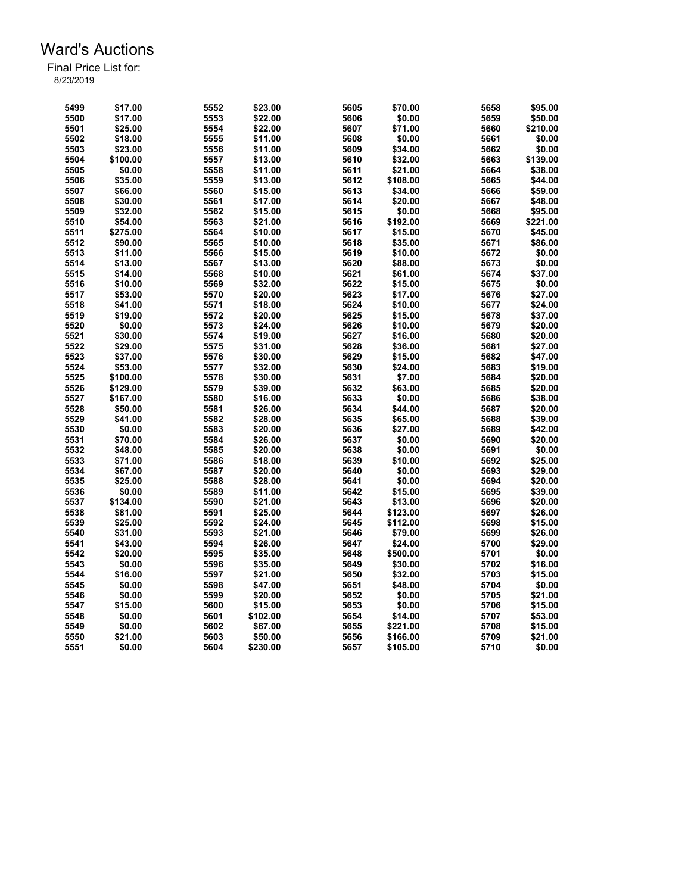| 5499 | \$17.00  | 5552 | \$23.00             | 5605 | \$70.00  | 5658 | \$95.00  |
|------|----------|------|---------------------|------|----------|------|----------|
| 5500 | \$17.00  | 5553 | \$22.00             | 5606 | \$0.00   | 5659 | \$50.00  |
| 5501 | \$25.00  | 5554 | \$22.00             | 5607 | \$71.00  | 5660 | \$210.00 |
| 5502 | \$18.00  | 5555 | \$11.00             | 5608 | \$0.00   | 5661 | \$0.00   |
| 5503 | \$23.00  | 5556 | \$11.00             | 5609 | \$34.00  | 5662 | \$0.00   |
| 5504 | \$100.00 | 5557 | \$13.00             | 5610 | \$32.00  | 5663 | \$139.00 |
| 5505 | \$0.00   | 5558 | \$11.00             | 5611 | \$21.00  | 5664 | \$38.00  |
| 5506 | \$35.00  | 5559 | \$13.00             | 5612 | \$108.00 | 5665 | \$44.00  |
| 5507 | \$66.00  | 5560 | \$15.00             | 5613 | \$34.00  | 5666 | \$59.00  |
| 5508 | \$30.00  | 5561 | \$17.00             | 5614 | \$20.00  | 5667 | \$48.00  |
| 5509 | \$32.00  | 5562 | \$15.00             | 5615 | \$0.00   | 5668 | \$95.00  |
| 5510 | \$54.00  | 5563 | \$21.00             | 5616 | \$192.00 | 5669 | \$221.00 |
| 5511 | \$275.00 | 5564 | \$10.00             | 5617 | \$15.00  | 5670 | \$45.00  |
| 5512 | \$90.00  | 5565 | \$10.00             | 5618 | \$35.00  | 5671 | \$86.00  |
| 5513 | \$11.00  | 5566 | \$15.00             | 5619 | \$10.00  | 5672 | \$0.00   |
| 5514 | \$13.00  | 5567 | \$13.00             | 5620 | \$88.00  | 5673 | \$0.00   |
| 5515 | \$14.00  | 5568 | \$10.00             | 5621 | \$61.00  | 5674 | \$37.00  |
| 5516 | \$10.00  | 5569 | \$32.00             | 5622 | \$15.00  | 5675 | \$0.00   |
| 5517 | \$53.00  | 5570 | \$20.00             | 5623 | \$17.00  | 5676 | \$27.00  |
|      |          |      |                     | 5624 |          |      |          |
| 5518 | \$41.00  | 5571 | \$18.00             |      | \$10.00  | 5677 | \$24.00  |
| 5519 | \$19.00  | 5572 | \$20.00             | 5625 | \$15.00  | 5678 | \$37.00  |
| 5520 | \$0.00   | 5573 | \$24.00             | 5626 | \$10.00  | 5679 | \$20.00  |
| 5521 | \$30.00  | 5574 | \$19.00             | 5627 | \$16.00  | 5680 | \$20.00  |
| 5522 | \$29.00  | 5575 | \$31.00             | 5628 | \$36.00  | 5681 | \$27.00  |
| 5523 | \$37.00  | 5576 | \$30.00             | 5629 | \$15.00  | 5682 | \$47.00  |
| 5524 | \$53.00  | 5577 | \$32.00             | 5630 | \$24.00  | 5683 | \$19.00  |
| 5525 | \$100.00 | 5578 | \$30.00             | 5631 | \$7.00   | 5684 | \$20.00  |
| 5526 | \$129.00 | 5579 | \$39.00             | 5632 | \$63.00  | 5685 | \$20.00  |
| 5527 | \$167.00 | 5580 | \$16.00             | 5633 | \$0.00   | 5686 | \$38.00  |
| 5528 | \$50.00  | 5581 | \$26.00             | 5634 | \$44.00  | 5687 | \$20.00  |
| 5529 | \$41.00  | 5582 | \$28.00             | 5635 | \$65.00  | 5688 | \$39.00  |
| 5530 | \$0.00   | 5583 | \$20.00             | 5636 | \$27.00  | 5689 | \$42.00  |
| 5531 | \$70.00  | 5584 | \$26.00             | 5637 | \$0.00   | 5690 | \$20.00  |
| 5532 | \$48.00  | 5585 | \$20.00             | 5638 | \$0.00   | 5691 | \$0.00   |
| 5533 | \$71.00  | 5586 | \$18.00             | 5639 | \$10.00  | 5692 | \$25.00  |
| 5534 | \$67.00  | 5587 | \$20.00             | 5640 | \$0.00   | 5693 | \$29.00  |
| 5535 | \$25.00  | 5588 | \$28.00             | 5641 | \$0.00   | 5694 | \$20.00  |
| 5536 | \$0.00   | 5589 | \$11.00             | 5642 | \$15.00  | 5695 | \$39.00  |
| 5537 | \$134.00 | 5590 | \$21.00             | 5643 | \$13.00  | 5696 | \$20.00  |
| 5538 | \$81.00  | 5591 | \$25.00             | 5644 | \$123.00 | 5697 | \$26.00  |
| 5539 | \$25.00  | 5592 | \$24.00             | 5645 | \$112.00 | 5698 | \$15.00  |
| 5540 | \$31.00  | 5593 | \$21.00             | 5646 | \$79.00  | 5699 | \$26.00  |
| 5541 | \$43.00  | 5594 | \$26.00             | 5647 | \$24.00  | 5700 | \$29.00  |
| 5542 | \$20.00  | 5595 | \$35.00             | 5648 | \$500.00 | 5701 | \$0.00   |
| 5543 | \$0.00   | 5596 | \$35.00             | 5649 | \$30.00  | 5702 | \$16.00  |
| 5544 | \$16.00  | 5597 | \$21.00             | 5650 | \$32.00  | 5703 | \$15.00  |
| 5545 | \$0.00   | 5598 | \$47.00             | 5651 | \$48.00  | 5704 | \$0.00   |
| 5546 | \$0.00   | 5599 | \$20.00             | 5652 | \$0.00   | 5705 | \$21.00  |
| 5547 | \$15.00  | 5600 |                     | 5653 | \$0.00   | 5706 | \$15.00  |
| 5548 | \$0.00   | 5601 | \$15.00<br>\$102.00 | 5654 | \$14.00  | 5707 | \$53.00  |
|      | \$0.00   |      |                     |      |          | 5708 |          |
| 5549 |          | 5602 | \$67.00             | 5655 | \$221.00 |      | \$15.00  |
| 5550 | \$21.00  | 5603 | \$50.00             | 5656 | \$166.00 | 5709 | \$21.00  |
| 5551 | \$0.00   | 5604 | \$230.00            | 5657 | \$105.00 | 5710 | \$0.00   |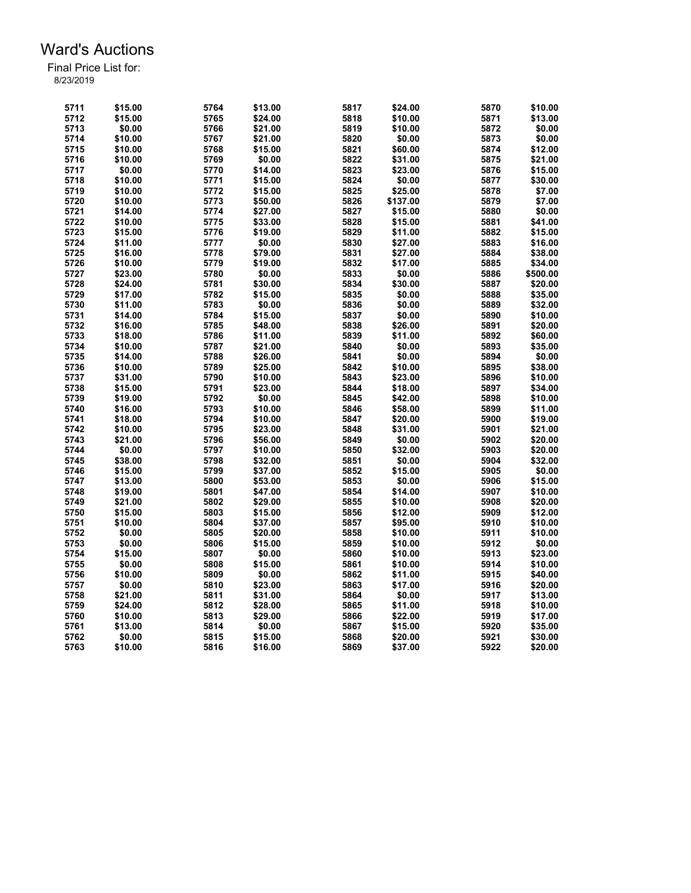| 5711 | \$15.00 | 5764 | \$13.00 | 5817 | \$24.00  | 5870 | \$10.00  |
|------|---------|------|---------|------|----------|------|----------|
| 5712 | \$15.00 | 5765 | \$24.00 | 5818 | \$10.00  | 5871 | \$13.00  |
| 5713 | \$0.00  | 5766 | \$21.00 | 5819 | \$10.00  | 5872 | \$0.00   |
| 5714 | \$10.00 | 5767 | \$21.00 | 5820 | \$0.00   | 5873 | \$0.00   |
| 5715 | \$10.00 | 5768 | \$15.00 | 5821 | \$60.00  | 5874 | \$12.00  |
| 5716 | \$10.00 | 5769 | \$0.00  | 5822 | \$31.00  | 5875 | \$21.00  |
| 5717 | \$0.00  | 5770 | \$14.00 | 5823 | \$23.00  | 5876 | \$15.00  |
| 5718 | \$10.00 | 5771 | \$15.00 | 5824 | \$0.00   | 5877 | \$30.00  |
| 5719 | \$10.00 | 5772 | \$15.00 | 5825 | \$25.00  | 5878 | \$7.00   |
| 5720 | \$10.00 | 5773 | \$50.00 | 5826 | \$137.00 | 5879 | \$7.00   |
| 5721 | \$14.00 | 5774 | \$27.00 | 5827 | \$15.00  | 5880 | \$0.00   |
|      |         |      |         |      |          |      |          |
| 5722 | \$10.00 | 5775 | \$33.00 | 5828 | \$15.00  | 5881 | \$41.00  |
| 5723 | \$15.00 | 5776 | \$19.00 | 5829 | \$11.00  | 5882 | \$15.00  |
| 5724 | \$11.00 | 5777 | \$0.00  | 5830 | \$27.00  | 5883 | \$16.00  |
| 5725 | \$16.00 | 5778 | \$79.00 | 5831 | \$27.00  | 5884 | \$38.00  |
| 5726 | \$10.00 | 5779 | \$19.00 | 5832 | \$17.00  | 5885 | \$34.00  |
| 5727 | \$23.00 | 5780 | \$0.00  | 5833 | \$0.00   | 5886 | \$500.00 |
| 5728 | \$24.00 | 5781 | \$30.00 | 5834 | \$30.00  | 5887 | \$20.00  |
| 5729 | \$17.00 | 5782 | \$15.00 | 5835 | \$0.00   | 5888 | \$35.00  |
| 5730 | \$11.00 | 5783 | \$0.00  | 5836 | \$0.00   | 5889 | \$32.00  |
| 5731 | \$14.00 | 5784 | \$15.00 | 5837 | \$0.00   | 5890 | \$10.00  |
| 5732 | \$16.00 | 5785 | \$48.00 | 5838 | \$26.00  | 5891 | \$20.00  |
| 5733 | \$18.00 | 5786 | \$11.00 | 5839 | \$11.00  | 5892 | \$60.00  |
| 5734 | \$10.00 | 5787 | \$21.00 | 5840 | \$0.00   | 5893 | \$35.00  |
| 5735 | \$14.00 | 5788 | \$26.00 | 5841 | \$0.00   | 5894 | \$0.00   |
| 5736 | \$10.00 | 5789 | \$25.00 | 5842 | \$10.00  | 5895 | \$38.00  |
| 5737 | \$31.00 | 5790 | \$10.00 | 5843 | \$23.00  | 5896 | \$10.00  |
| 5738 | \$15.00 | 5791 | \$23.00 | 5844 | \$18.00  | 5897 | \$34.00  |
| 5739 | \$19.00 | 5792 | \$0.00  | 5845 | \$42.00  | 5898 | \$10.00  |
| 5740 | \$16.00 | 5793 | \$10.00 | 5846 | \$58.00  | 5899 | \$11.00  |
| 5741 | \$18.00 | 5794 | \$10.00 | 5847 | \$20.00  | 5900 | \$19.00  |
| 5742 | \$10.00 | 5795 | \$23.00 | 5848 | \$31.00  | 5901 | \$21.00  |
| 5743 | \$21.00 | 5796 | \$56.00 | 5849 | \$0.00   | 5902 | \$20.00  |
| 5744 | \$0.00  | 5797 | \$10.00 | 5850 | \$32.00  | 5903 | \$20.00  |
| 5745 | \$38.00 | 5798 | \$32.00 | 5851 | \$0.00   | 5904 | \$32.00  |
| 5746 | \$15.00 | 5799 | \$37.00 | 5852 | \$15.00  | 5905 | \$0.00   |
| 5747 | \$13.00 | 5800 | \$53.00 | 5853 | \$0.00   | 5906 | \$15.00  |
|      |         |      |         |      |          |      |          |
| 5748 | \$19.00 | 5801 | \$47.00 | 5854 | \$14.00  | 5907 | \$10.00  |
| 5749 | \$21.00 | 5802 | \$29.00 | 5855 | \$10.00  | 5908 | \$20.00  |
| 5750 | \$15.00 | 5803 | \$15.00 | 5856 | \$12.00  | 5909 | \$12.00  |
| 5751 | \$10.00 | 5804 | \$37.00 | 5857 | \$95.00  | 5910 | \$10.00  |
| 5752 | \$0.00  | 5805 | \$20.00 | 5858 | \$10.00  | 5911 | \$10.00  |
| 5753 | \$0.00  | 5806 | \$15.00 | 5859 | \$10.00  | 5912 | \$0.00   |
| 5754 | \$15.00 | 5807 | \$0.00  | 5860 | \$10.00  | 5913 | \$23.00  |
| 5755 | \$0.00  | 5808 | \$15.00 | 5861 | \$10.00  | 5914 | \$10.00  |
| 5756 | \$10.00 | 5809 | \$0.00  | 5862 | \$11.00  | 5915 | \$40.00  |
| 5757 | \$0.00  | 5810 | \$23.00 | 5863 | \$17.00  | 5916 | \$20.00  |
| 5758 | \$21.00 | 5811 | \$31.00 | 5864 | \$0.00   | 5917 | \$13.00  |
| 5759 | \$24.00 | 5812 | \$28.00 | 5865 | \$11.00  | 5918 | \$10.00  |
| 5760 | \$10.00 | 5813 | \$29.00 | 5866 | \$22.00  | 5919 | \$17.00  |
| 5761 | \$13.00 | 5814 | \$0.00  | 5867 | \$15.00  | 5920 | \$35.00  |
| 5762 | \$0.00  | 5815 | \$15.00 | 5868 | \$20.00  | 5921 | \$30.00  |
| 5763 | \$10.00 | 5816 | \$16.00 | 5869 | \$37.00  | 5922 | \$20.00  |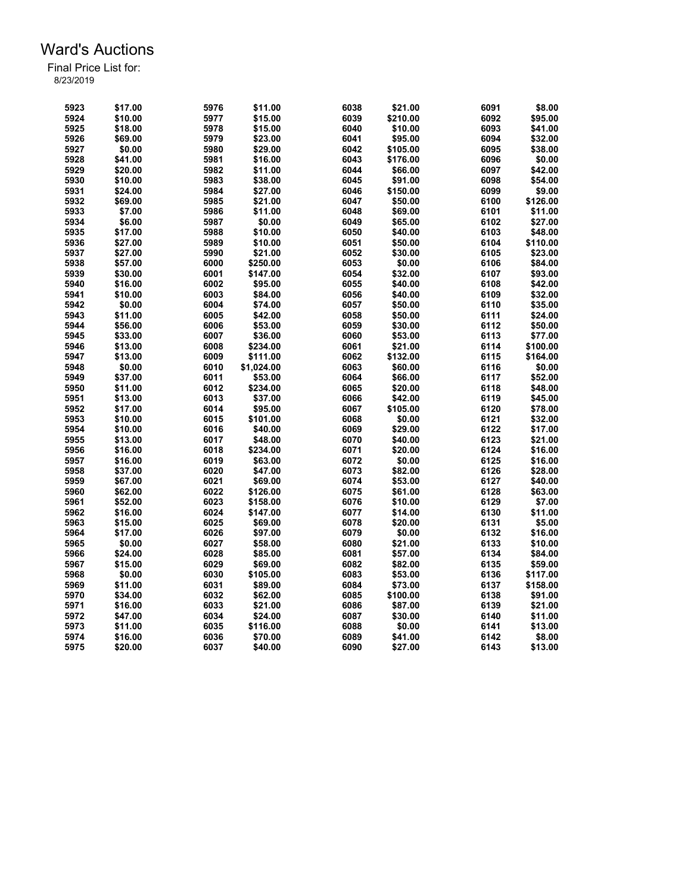| 5923 | \$17.00 | 5976 | \$11.00    | 6038 | \$21.00  | 6091 | \$8.00   |
|------|---------|------|------------|------|----------|------|----------|
| 5924 |         |      |            |      |          | 6092 |          |
|      | \$10.00 | 5977 | \$15.00    | 6039 | \$210.00 |      | \$95.00  |
| 5925 | \$18.00 | 5978 | \$15.00    | 6040 | \$10.00  | 6093 | \$41.00  |
| 5926 | \$69.00 | 5979 | \$23.00    | 6041 | \$95.00  | 6094 | \$32.00  |
| 5927 | \$0.00  | 5980 | \$29.00    | 6042 | \$105.00 | 6095 | \$38.00  |
| 5928 | \$41.00 | 5981 | \$16.00    | 6043 | \$176.00 | 6096 | \$0.00   |
| 5929 | \$20.00 | 5982 | \$11.00    | 6044 | \$66.00  | 6097 | \$42.00  |
| 5930 | \$10.00 | 5983 | \$38.00    | 6045 | \$91.00  | 6098 | \$54.00  |
| 5931 | \$24.00 | 5984 | \$27.00    | 6046 | \$150.00 | 6099 | \$9.00   |
| 5932 | \$69.00 | 5985 | \$21.00    | 6047 | \$50.00  | 6100 | \$126.00 |
| 5933 | \$7.00  | 5986 | \$11.00    | 6048 | \$69.00  | 6101 | \$11.00  |
| 5934 | \$6.00  | 5987 | \$0.00     | 6049 | \$65.00  | 6102 | \$27.00  |
| 5935 | \$17.00 | 5988 | \$10.00    | 6050 | \$40.00  | 6103 | \$48.00  |
| 5936 | \$27.00 | 5989 | \$10.00    | 6051 | \$50.00  | 6104 | \$110.00 |
| 5937 | \$27.00 | 5990 | \$21.00    | 6052 | \$30.00  | 6105 | \$23.00  |
| 5938 | \$57.00 | 6000 |            | 6053 | \$0.00   | 6106 | \$84.00  |
|      |         |      | \$250.00   |      |          |      |          |
| 5939 | \$30.00 | 6001 | \$147.00   | 6054 | \$32.00  | 6107 | \$93.00  |
| 5940 | \$16.00 | 6002 | \$95.00    | 6055 | \$40.00  | 6108 | \$42.00  |
| 5941 | \$10.00 | 6003 | \$84.00    | 6056 | \$40.00  | 6109 | \$32.00  |
| 5942 | \$0.00  | 6004 | \$74.00    | 6057 | \$50.00  | 6110 | \$35.00  |
| 5943 | \$11.00 | 6005 | \$42.00    | 6058 | \$50.00  | 6111 | \$24.00  |
| 5944 | \$56.00 | 6006 | \$53.00    | 6059 | \$30.00  | 6112 | \$50.00  |
| 5945 | \$33.00 | 6007 | \$36.00    | 6060 | \$53.00  | 6113 | \$77.00  |
| 5946 | \$13.00 | 6008 | \$234.00   | 6061 | \$21.00  | 6114 | \$100.00 |
| 5947 | \$13.00 | 6009 | \$111.00   | 6062 | \$132.00 | 6115 | \$164.00 |
| 5948 | \$0.00  | 6010 | \$1,024.00 | 6063 | \$60.00  | 6116 | \$0.00   |
| 5949 | \$37.00 | 6011 | \$53.00    | 6064 | \$66.00  | 6117 | \$52.00  |
| 5950 | \$11.00 | 6012 | \$234.00   | 6065 | \$20.00  | 6118 | \$48.00  |
| 5951 | \$13.00 | 6013 | \$37.00    | 6066 | \$42.00  | 6119 | \$45.00  |
| 5952 | \$17.00 | 6014 | \$95.00    | 6067 | \$105.00 | 6120 | \$78.00  |
| 5953 | \$10.00 | 6015 | \$101.00   | 6068 | \$0.00   | 6121 | \$32.00  |
| 5954 | \$10.00 | 6016 | \$40.00    | 6069 | \$29.00  | 6122 | \$17.00  |
| 5955 | \$13.00 | 6017 | \$48.00    | 6070 | \$40.00  | 6123 | \$21.00  |
| 5956 | \$16.00 | 6018 | \$234.00   | 6071 | \$20.00  | 6124 | \$16.00  |
|      |         |      |            |      |          |      |          |
| 5957 | \$16.00 | 6019 | \$63.00    | 6072 | \$0.00   | 6125 | \$16.00  |
| 5958 | \$37.00 | 6020 | \$47.00    | 6073 | \$82.00  | 6126 | \$28.00  |
| 5959 | \$67.00 | 6021 | \$69.00    | 6074 | \$53.00  | 6127 | \$40.00  |
| 5960 | \$62.00 | 6022 | \$126.00   | 6075 | \$61.00  | 6128 | \$63.00  |
| 5961 | \$52.00 | 6023 | \$158.00   | 6076 | \$10.00  | 6129 | \$7.00   |
| 5962 | \$16.00 | 6024 | \$147.00   | 6077 | \$14.00  | 6130 | \$11.00  |
| 5963 | \$15.00 | 6025 | \$69.00    | 6078 | \$20.00  | 6131 | \$5.00   |
| 5964 | \$17.00 | 6026 | \$97.00    | 6079 | \$0.00   | 6132 | \$16.00  |
| 5965 | \$0.00  | 6027 | \$58.00    | 6080 | \$21.00  | 6133 | \$10.00  |
| 5966 | \$24.00 | 6028 | \$85.00    | 6081 | \$57.00  | 6134 | \$84.00  |
| 5967 | \$15.00 | 6029 | \$69.00    | 6082 | \$82.00  | 6135 | \$59.00  |
| 5968 | \$0.00  | 6030 | \$105.00   | 6083 | \$53.00  | 6136 | \$117.00 |
| 5969 | \$11.00 | 6031 | \$89.00    | 6084 | \$73.00  | 6137 | \$158.00 |
| 5970 | \$34.00 | 6032 | \$62.00    | 6085 | \$100.00 | 6138 | \$91.00  |
| 5971 | \$16.00 | 6033 | \$21.00    | 6086 | \$87.00  | 6139 | \$21.00  |
| 5972 | \$47.00 | 6034 | \$24.00    | 6087 | \$30.00  | 6140 | \$11.00  |
| 5973 | \$11.00 | 6035 | \$116.00   | 6088 | \$0.00   | 6141 | \$13.00  |
| 5974 | \$16.00 | 6036 | \$70.00    | 6089 | \$41.00  | 6142 | \$8.00   |
|      |         |      |            |      |          |      |          |
| 5975 | \$20.00 | 6037 | \$40.00    | 6090 | \$27.00  | 6143 | \$13.00  |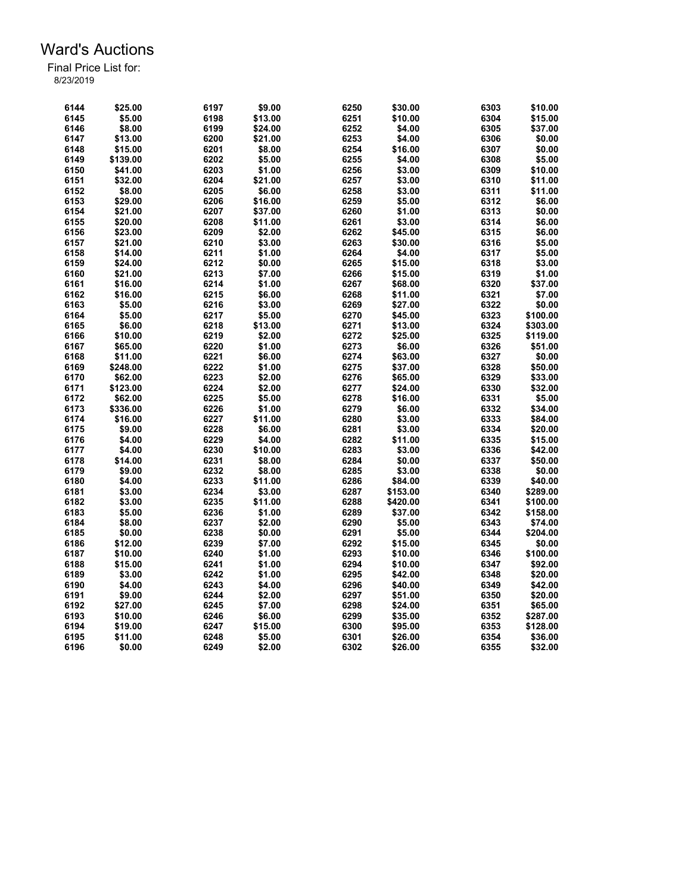| 6144 | \$25.00  | 6197 | \$9.00  | 6250 | \$30.00  | 6303 | \$10.00  |
|------|----------|------|---------|------|----------|------|----------|
| 6145 | \$5.00   | 6198 | \$13.00 | 6251 | \$10.00  | 6304 | \$15.00  |
| 6146 | \$8.00   | 6199 | \$24.00 | 6252 | \$4.00   | 6305 | \$37.00  |
| 6147 | \$13.00  | 6200 | \$21.00 | 6253 | \$4.00   | 6306 | \$0.00   |
| 6148 | \$15.00  | 6201 | \$8.00  | 6254 | \$16.00  | 6307 | \$0.00   |
| 6149 | \$139.00 | 6202 | \$5.00  | 6255 | \$4.00   | 6308 | \$5.00   |
| 6150 | \$41.00  | 6203 | \$1.00  | 6256 | \$3.00   | 6309 | \$10.00  |
| 6151 | \$32.00  | 6204 | \$21.00 | 6257 | \$3.00   | 6310 | \$11.00  |
| 6152 | \$8.00   | 6205 | \$6.00  | 6258 | \$3.00   | 6311 | \$11.00  |
| 6153 | \$29.00  | 6206 | \$16.00 | 6259 | \$5.00   | 6312 | \$6.00   |
| 6154 | \$21.00  | 6207 | \$37.00 | 6260 | \$1.00   | 6313 | \$0.00   |
| 6155 | \$20.00  | 6208 | \$11.00 | 6261 | \$3.00   | 6314 | \$6.00   |
| 6156 | \$23.00  | 6209 | \$2.00  | 6262 | \$45.00  | 6315 | \$6.00   |
| 6157 | \$21.00  | 6210 | \$3.00  | 6263 | \$30.00  | 6316 | \$5.00   |
| 6158 | \$14.00  | 6211 | \$1.00  | 6264 | \$4.00   | 6317 | \$5.00   |
| 6159 | \$24.00  | 6212 | \$0.00  | 6265 | \$15.00  | 6318 | \$3.00   |
| 6160 | \$21.00  | 6213 | \$7.00  | 6266 | \$15.00  | 6319 | \$1.00   |
| 6161 | \$16.00  | 6214 | \$1.00  | 6267 | \$68.00  | 6320 | \$37.00  |
| 6162 | \$16.00  | 6215 | \$6.00  | 6268 | \$11.00  | 6321 | \$7.00   |
| 6163 | \$5.00   | 6216 | \$3.00  | 6269 | \$27.00  | 6322 | \$0.00   |
| 6164 | \$5.00   | 6217 | \$5.00  | 6270 | \$45.00  | 6323 | \$100.00 |
|      | \$6.00   | 6218 | \$13.00 | 6271 |          | 6324 |          |
| 6165 |          |      |         |      | \$13.00  |      | \$303.00 |
| 6166 | \$10.00  | 6219 | \$2.00  | 6272 | \$25.00  | 6325 | \$119.00 |
| 6167 | \$65.00  | 6220 | \$1.00  | 6273 | \$6.00   | 6326 | \$51.00  |
| 6168 | \$11.00  | 6221 | \$6.00  | 6274 | \$63.00  | 6327 | \$0.00   |
| 6169 | \$248.00 | 6222 | \$1.00  | 6275 | \$37.00  | 6328 | \$50.00  |
| 6170 | \$62.00  | 6223 | \$2.00  | 6276 | \$65.00  | 6329 | \$33.00  |
| 6171 | \$123.00 | 6224 | \$2.00  | 6277 | \$24.00  | 6330 | \$32.00  |
| 6172 | \$62.00  | 6225 | \$5.00  | 6278 | \$16.00  | 6331 | \$5.00   |
| 6173 | \$336.00 | 6226 | \$1.00  | 6279 | \$6.00   | 6332 | \$34.00  |
| 6174 | \$16.00  | 6227 | \$11.00 | 6280 | \$3.00   | 6333 | \$84.00  |
| 6175 | \$9.00   | 6228 | \$6.00  | 6281 | \$3.00   | 6334 | \$20.00  |
| 6176 | \$4.00   | 6229 | \$4.00  | 6282 | \$11.00  | 6335 | \$15.00  |
| 6177 | \$4.00   | 6230 | \$10.00 | 6283 | \$3.00   | 6336 | \$42.00  |
| 6178 | \$14.00  | 6231 | \$8.00  | 6284 | \$0.00   | 6337 | \$50.00  |
| 6179 | \$9.00   | 6232 | \$8.00  | 6285 | \$3.00   | 6338 | \$0.00   |
| 6180 | \$4.00   | 6233 | \$11.00 | 6286 | \$84.00  | 6339 | \$40.00  |
| 6181 | \$3.00   | 6234 | \$3.00  | 6287 | \$153.00 | 6340 | \$289.00 |
| 6182 | \$3.00   | 6235 | \$11.00 | 6288 | \$420.00 | 6341 | \$100.00 |
| 6183 | \$5.00   | 6236 | \$1.00  | 6289 | \$37.00  | 6342 | \$158.00 |
| 6184 | \$8.00   | 6237 | \$2.00  | 6290 | \$5.00   | 6343 | \$74.00  |
| 6185 | \$0.00   | 6238 | \$0.00  | 6291 | \$5.00   | 6344 | \$204.00 |
| 6186 | \$12.00  | 6239 | \$7.00  | 6292 | \$15.00  | 6345 | \$0.00   |
| 6187 | \$10.00  | 6240 | \$1.00  | 6293 | \$10.00  | 6346 | \$100.00 |
| 6188 | \$15.00  | 6241 | \$1.00  | 6294 | \$10.00  | 6347 | \$92.00  |
| 6189 | \$3.00   | 6242 | \$1.00  | 6295 | \$42.00  | 6348 | \$20.00  |
| 6190 | \$4.00   | 6243 | \$4.00  | 6296 | \$40.00  | 6349 | \$42.00  |
| 6191 | \$9.00   | 6244 | \$2.00  | 6297 | \$51.00  | 6350 | \$20.00  |
| 6192 | \$27.00  | 6245 | \$7.00  | 6298 | \$24.00  | 6351 | \$65.00  |
| 6193 | \$10.00  | 6246 | \$6.00  | 6299 | \$35.00  | 6352 | \$287.00 |
| 6194 | \$19.00  | 6247 | \$15.00 | 6300 | \$95.00  | 6353 | \$128.00 |
| 6195 | \$11.00  | 6248 | \$5.00  | 6301 | \$26.00  | 6354 | \$36.00  |
| 6196 | \$0.00   | 6249 | \$2.00  | 6302 | \$26.00  | 6355 | \$32.00  |
|      |          |      |         |      |          |      |          |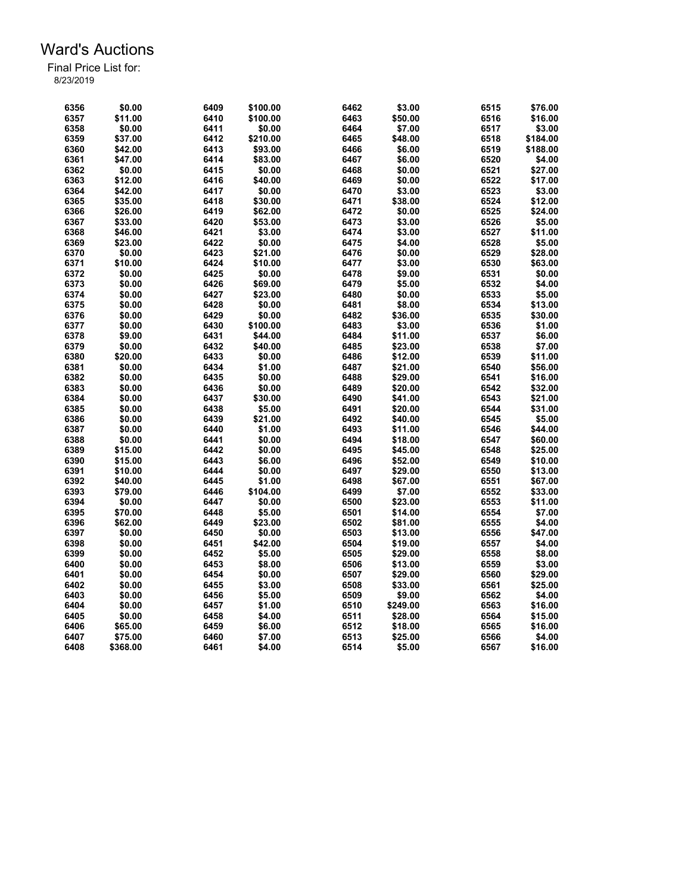| 6356 | \$0.00   | 6409 | \$100.00 | 6462 | \$3.00   | 6515 | \$76.00  |
|------|----------|------|----------|------|----------|------|----------|
| 6357 | \$11.00  | 6410 | \$100.00 | 6463 | \$50.00  | 6516 | \$16.00  |
| 6358 | \$0.00   | 6411 | \$0.00   | 6464 | \$7.00   | 6517 | \$3.00   |
| 6359 | \$37.00  | 6412 | \$210.00 | 6465 | \$48.00  | 6518 | \$184.00 |
| 6360 | \$42.00  | 6413 | \$93.00  | 6466 | \$6.00   | 6519 | \$188.00 |
| 6361 | \$47.00  | 6414 | \$83.00  | 6467 | \$6.00   | 6520 | \$4.00   |
| 6362 | \$0.00   | 6415 | \$0.00   | 6468 | \$0.00   | 6521 | \$27.00  |
| 6363 | \$12.00  | 6416 | \$40.00  | 6469 | \$0.00   | 6522 | \$17.00  |
| 6364 | \$42.00  | 6417 | \$0.00   | 6470 | \$3.00   | 6523 | \$3.00   |
| 6365 | \$35.00  | 6418 | \$30.00  | 6471 | \$38.00  | 6524 | \$12.00  |
| 6366 | \$26.00  | 6419 | \$62.00  | 6472 | \$0.00   | 6525 | \$24.00  |
| 6367 | \$33.00  | 6420 | \$53.00  | 6473 | \$3.00   | 6526 | \$5.00   |
| 6368 | \$46.00  | 6421 | \$3.00   | 6474 | \$3.00   | 6527 | \$11.00  |
| 6369 | \$23.00  | 6422 | \$0.00   | 6475 | \$4.00   | 6528 | \$5.00   |
| 6370 | \$0.00   | 6423 | \$21.00  | 6476 | \$0.00   | 6529 | \$28.00  |
| 6371 | \$10.00  | 6424 | \$10.00  | 6477 | \$3.00   | 6530 | \$63.00  |
| 6372 | \$0.00   | 6425 | \$0.00   | 6478 | \$9.00   | 6531 | \$0.00   |
|      |          |      |          |      |          |      |          |
| 6373 | \$0.00   | 6426 | \$69.00  | 6479 | \$5.00   | 6532 | \$4.00   |
| 6374 | \$0.00   | 6427 | \$23.00  | 6480 | \$0.00   | 6533 | \$5.00   |
| 6375 | \$0.00   | 6428 | \$0.00   | 6481 | \$8.00   | 6534 | \$13.00  |
| 6376 | \$0.00   | 6429 | \$0.00   | 6482 | \$36.00  | 6535 | \$30.00  |
| 6377 | \$0.00   | 6430 | \$100.00 | 6483 | \$3.00   | 6536 | \$1.00   |
| 6378 | \$9.00   | 6431 | \$44.00  | 6484 | \$11.00  | 6537 | \$6.00   |
| 6379 | \$0.00   | 6432 | \$40.00  | 6485 | \$23.00  | 6538 | \$7.00   |
| 6380 | \$20.00  | 6433 | \$0.00   | 6486 | \$12.00  | 6539 | \$11.00  |
| 6381 | \$0.00   | 6434 | \$1.00   | 6487 | \$21.00  | 6540 | \$56.00  |
| 6382 | \$0.00   | 6435 | \$0.00   | 6488 | \$29.00  | 6541 | \$16.00  |
| 6383 | \$0.00   | 6436 | \$0.00   | 6489 | \$20.00  | 6542 | \$32.00  |
| 6384 | \$0.00   | 6437 | \$30.00  | 6490 | \$41.00  | 6543 | \$21.00  |
| 6385 | \$0.00   | 6438 | \$5.00   | 6491 | \$20.00  | 6544 | \$31.00  |
| 6386 | \$0.00   | 6439 | \$21.00  | 6492 | \$40.00  | 6545 | \$5.00   |
| 6387 | \$0.00   | 6440 | \$1.00   | 6493 | \$11.00  | 6546 | \$44.00  |
| 6388 | \$0.00   | 6441 | \$0.00   | 6494 | \$18.00  | 6547 | \$60.00  |
| 6389 | \$15.00  | 6442 | \$0.00   | 6495 | \$45.00  | 6548 | \$25.00  |
| 6390 | \$15.00  | 6443 | \$6.00   | 6496 | \$52.00  | 6549 | \$10.00  |
| 6391 | \$10.00  | 6444 | \$0.00   | 6497 | \$29.00  | 6550 | \$13.00  |
| 6392 | \$40.00  | 6445 | \$1.00   | 6498 | \$67.00  | 6551 | \$67.00  |
| 6393 | \$79.00  | 6446 | \$104.00 | 6499 | \$7.00   | 6552 | \$33.00  |
| 6394 | \$0.00   | 6447 | \$0.00   | 6500 | \$23.00  | 6553 | \$11.00  |
| 6395 | \$70.00  | 6448 | \$5.00   | 6501 | \$14.00  | 6554 | \$7.00   |
| 6396 | \$62.00  | 6449 | \$23.00  | 6502 | \$81.00  | 6555 | \$4.00   |
| 6397 | \$0.00   | 6450 | \$0.00   | 6503 | \$13.00  | 6556 | \$47.00  |
| 6398 | \$0.00   |      |          | 6504 |          | 6557 |          |
|      |          | 6451 | \$42.00  |      | \$19.00  |      | \$4.00   |
| 6399 | \$0.00   | 6452 | \$5.00   | 6505 | \$29.00  | 6558 | \$8.00   |
| 6400 | \$0.00   | 6453 | \$8.00   | 6506 | \$13.00  | 6559 | \$3.00   |
| 6401 | \$0.00   | 6454 | \$0.00   | 6507 | \$29.00  | 6560 | \$29.00  |
| 6402 | \$0.00   | 6455 | \$3.00   | 6508 | \$33.00  | 6561 | \$25.00  |
| 6403 | \$0.00   | 6456 | \$5.00   | 6509 | \$9.00   | 6562 | \$4.00   |
| 6404 | \$0.00   | 6457 | \$1.00   | 6510 | \$249.00 | 6563 | \$16.00  |
| 6405 | \$0.00   | 6458 | \$4.00   | 6511 | \$28.00  | 6564 | \$15.00  |
| 6406 | \$65.00  | 6459 | \$6.00   | 6512 | \$18.00  | 6565 | \$16.00  |
| 6407 | \$75.00  | 6460 | \$7.00   | 6513 | \$25.00  | 6566 | \$4.00   |
| 6408 | \$368.00 | 6461 | \$4.00   | 6514 | \$5.00   | 6567 | \$16.00  |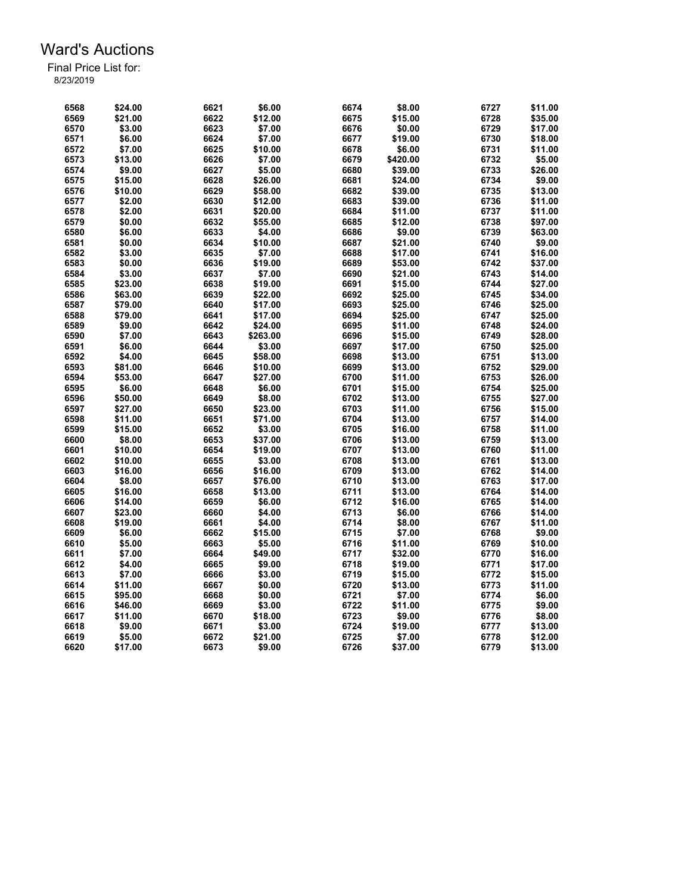| 6568 | \$24.00           | 6621         | \$6.00   | 6674 | \$8.00   | 6727 | \$11.00 |
|------|-------------------|--------------|----------|------|----------|------|---------|
| 6569 | \$21.00           | 6622         | \$12.00  | 6675 | \$15.00  | 6728 | \$35.00 |
| 6570 | \$3.00            | 6623         | \$7.00   | 6676 | \$0.00   | 6729 | \$17.00 |
| 6571 | \$6.00            | 6624         | \$7.00   | 6677 | \$19.00  | 6730 | \$18.00 |
| 6572 | \$7.00            | 6625         | \$10.00  | 6678 | \$6.00   | 6731 | \$11.00 |
| 6573 | \$13.00           | 6626         | \$7.00   | 6679 | \$420.00 | 6732 | \$5.00  |
| 6574 | \$9.00            | 6627         | \$5.00   | 6680 | \$39.00  | 6733 | \$26.00 |
| 6575 | \$15.00           | 6628         | \$26.00  | 6681 | \$24.00  | 6734 | \$9.00  |
| 6576 | \$10.00           | 6629         | \$58.00  | 6682 | \$39.00  | 6735 | \$13.00 |
| 6577 | \$2.00            | 6630         | \$12.00  | 6683 | \$39.00  | 6736 | \$11.00 |
| 6578 | \$2.00            | 6631         | \$20.00  | 6684 | \$11.00  | 6737 | \$11.00 |
| 6579 | \$0.00            | 6632         | \$55.00  | 6685 | \$12.00  | 6738 | \$97.00 |
| 6580 | \$6.00            | 6633         | \$4.00   | 6686 | \$9.00   | 6739 | \$63.00 |
| 6581 | \$0.00            | 6634         | \$10.00  | 6687 | \$21.00  | 6740 | \$9.00  |
| 6582 | \$3.00            | 6635         | \$7.00   | 6688 | \$17.00  | 6741 | \$16.00 |
| 6583 | \$0.00            | 6636         | \$19.00  | 6689 | \$53.00  | 6742 | \$37.00 |
| 6584 |                   |              |          | 6690 |          |      |         |
|      | \$3.00            | 6637         | \$7.00   | 6691 | \$21.00  | 6743 | \$14.00 |
| 6585 | \$23.00           | 6638         | \$19.00  |      | \$15.00  | 6744 | \$27.00 |
| 6586 | \$63.00           | 6639         | \$22.00  | 6692 | \$25.00  | 6745 | \$34.00 |
| 6587 | \$79.00           | 6640         | \$17.00  | 6693 | \$25.00  | 6746 | \$25.00 |
| 6588 | \$79.00           | 6641         | \$17.00  | 6694 | \$25.00  | 6747 | \$25.00 |
| 6589 | \$9.00            | 6642         | \$24.00  | 6695 | \$11.00  | 6748 | \$24.00 |
| 6590 | \$7.00            | 6643         | \$263.00 | 6696 | \$15.00  | 6749 | \$28.00 |
| 6591 | \$6.00            | 6644         | \$3.00   | 6697 | \$17.00  | 6750 | \$25.00 |
| 6592 | \$4.00            | 6645         | \$58.00  | 6698 | \$13.00  | 6751 | \$13.00 |
| 6593 | \$81.00           | 6646         | \$10.00  | 6699 | \$13.00  | 6752 | \$29.00 |
| 6594 | \$53.00           | 6647         | \$27.00  | 6700 | \$11.00  | 6753 | \$26.00 |
| 6595 | \$6.00            | 6648         | \$6.00   | 6701 | \$15.00  | 6754 | \$25.00 |
| 6596 | \$50.00           | 6649         | \$8.00   | 6702 | \$13.00  | 6755 | \$27.00 |
| 6597 | \$27.00           | 6650         | \$23.00  | 6703 | \$11.00  | 6756 | \$15.00 |
| 6598 | \$11.00           | 6651         | \$71.00  | 6704 | \$13.00  | 6757 | \$14.00 |
| 6599 | \$15.00           | 6652         | \$3.00   | 6705 | \$16.00  | 6758 | \$11.00 |
| 6600 | \$8.00            | 6653         | \$37.00  | 6706 | \$13.00  | 6759 | \$13.00 |
| 6601 | \$10.00           | 6654         | \$19.00  | 6707 | \$13.00  | 6760 | \$11.00 |
| 6602 | \$10.00           | 6655         | \$3.00   | 6708 | \$13.00  | 6761 | \$13.00 |
| 6603 | \$16.00           | 6656         | \$16.00  | 6709 | \$13.00  | 6762 | \$14.00 |
| 6604 | \$8.00            | 6657         | \$76.00  | 6710 | \$13.00  | 6763 | \$17.00 |
| 6605 | \$16.00           | 6658         | \$13.00  | 6711 | \$13.00  | 6764 | \$14.00 |
| 6606 | \$14.00           | 6659         | \$6.00   | 6712 | \$16.00  | 6765 | \$14.00 |
| 6607 | \$23.00           | 6660         | \$4.00   | 6713 | \$6.00   | 6766 | \$14.00 |
| 6608 | \$19.00           | 6661         | \$4.00   | 6714 | \$8.00   | 6767 | \$11.00 |
| 6609 | \$6.00            | 6662         | \$15.00  | 6715 | \$7.00   | 6768 | \$9.00  |
| 6610 | \$5.00            | 6663         | \$5.00   | 6716 | \$11.00  | 6769 | \$10.00 |
| 6611 | \$7.00            | 6664         | \$49.00  | 6717 | \$32.00  | 6770 | \$16.00 |
| 6612 | \$4.00            | 6665         | \$9.00   | 6718 | \$19.00  | 6771 | \$17.00 |
|      |                   |              |          | 6719 |          |      |         |
| 6613 | \$7.00<br>\$11.00 | 6666<br>6667 | \$3.00   | 6720 | \$15.00  | 6772 | \$15.00 |
| 6614 |                   |              | \$0.00   |      | \$13.00  | 6773 | \$11.00 |
| 6615 | \$95.00           | 6668         | \$0.00   | 6721 | \$7.00   | 6774 | \$6.00  |
| 6616 | \$46.00           | 6669         | \$3.00   | 6722 | \$11.00  | 6775 | \$9.00  |
| 6617 | \$11.00           | 6670         | \$18.00  | 6723 | \$9.00   | 6776 | \$8.00  |
| 6618 | \$9.00            | 6671         | \$3.00   | 6724 | \$19.00  | 6777 | \$13.00 |
| 6619 | \$5.00            | 6672         | \$21.00  | 6725 | \$7.00   | 6778 | \$12.00 |
| 6620 | \$17.00           | 6673         | \$9.00   | 6726 | \$37.00  | 6779 | \$13.00 |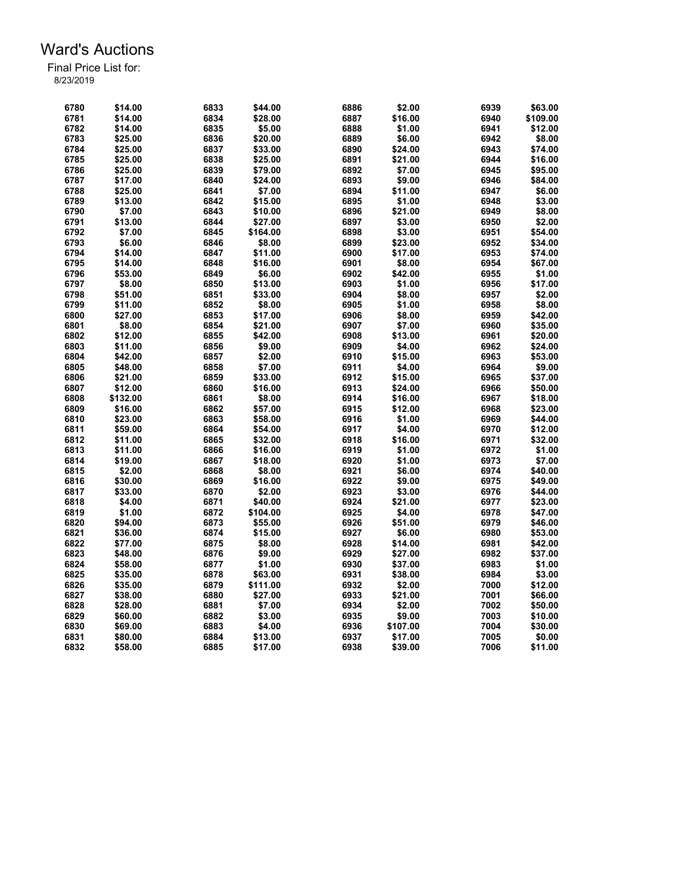| 6780 | \$14.00  | 6833         | \$44.00          | 6886 | \$2.00   | 6939 | \$63.00  |
|------|----------|--------------|------------------|------|----------|------|----------|
| 6781 | \$14.00  | 6834         | \$28.00          | 6887 | \$16.00  | 6940 | \$109.00 |
| 6782 | \$14.00  | 6835         | \$5.00           | 6888 | \$1.00   | 6941 | \$12.00  |
| 6783 | \$25.00  | 6836         | \$20.00          | 6889 | \$6.00   | 6942 | \$8.00   |
| 6784 | \$25.00  | 6837         | \$33.00          | 6890 | \$24.00  | 6943 | \$74.00  |
| 6785 | \$25.00  | 6838         | \$25.00          | 6891 | \$21.00  | 6944 | \$16.00  |
| 6786 | \$25.00  | 6839         | \$79.00          | 6892 | \$7.00   | 6945 | \$95.00  |
| 6787 | \$17.00  | 6840         | \$24.00          | 6893 | \$9.00   | 6946 | \$84.00  |
| 6788 | \$25.00  | 6841         | \$7.00           | 6894 | \$11.00  | 6947 | \$6.00   |
| 6789 | \$13.00  | 6842         | \$15.00          | 6895 | \$1.00   | 6948 | \$3.00   |
| 6790 | \$7.00   | 6843         | \$10.00          | 6896 | \$21.00  | 6949 | \$8.00   |
| 6791 | \$13.00  | 6844         | \$27.00          | 6897 | \$3.00   | 6950 | \$2.00   |
| 6792 | \$7.00   | 6845         | \$164.00         | 6898 | \$3.00   | 6951 | \$54.00  |
| 6793 | \$6.00   | 6846         | \$8.00           | 6899 | \$23.00  | 6952 | \$34.00  |
| 6794 | \$14.00  | 6847         | \$11.00          | 6900 | \$17.00  | 6953 | \$74.00  |
| 6795 | \$14.00  | 6848         | \$16.00          | 6901 | \$8.00   | 6954 | \$67.00  |
| 6796 | \$53.00  | 6849         | \$6.00           | 6902 | \$42.00  | 6955 | \$1.00   |
| 6797 | \$8.00   | 6850         | \$13.00          | 6903 | \$1.00   | 6956 | \$17.00  |
| 6798 | \$51.00  | 6851         | \$33.00          | 6904 | \$8.00   | 6957 | \$2.00   |
| 6799 | \$11.00  | 6852         | \$8.00           | 6905 | \$1.00   | 6958 | \$8.00   |
| 6800 | \$27.00  | 6853         | \$17.00          | 6906 | \$8.00   | 6959 | \$42.00  |
| 6801 | \$8.00   | 6854         | \$21.00          | 6907 | \$7.00   | 6960 | \$35.00  |
| 6802 | \$12.00  | 6855         | \$42.00          | 6908 | \$13.00  | 6961 | \$20.00  |
| 6803 | \$11.00  | 6856         | \$9.00           | 6909 | \$4.00   | 6962 | \$24.00  |
| 6804 | \$42.00  |              |                  | 6910 | \$15.00  | 6963 | \$53.00  |
| 6805 | \$48.00  | 6857<br>6858 | \$2.00<br>\$7.00 | 6911 |          | 6964 | \$9.00   |
| 6806 |          |              |                  | 6912 | \$4.00   | 6965 |          |
|      | \$21.00  | 6859         | \$33.00          | 6913 | \$15.00  | 6966 | \$37.00  |
| 6807 | \$12.00  | 6860         | \$16.00          |      | \$24.00  |      | \$50.00  |
| 6808 | \$132.00 | 6861         | \$8.00           | 6914 | \$16.00  | 6967 | \$18.00  |
| 6809 | \$16.00  | 6862         | \$57.00          | 6915 | \$12.00  | 6968 | \$23.00  |
| 6810 | \$23.00  | 6863         | \$58.00          | 6916 | \$1.00   | 6969 | \$44.00  |
| 6811 | \$59.00  | 6864         | \$54.00          | 6917 | \$4.00   | 6970 | \$12.00  |
| 6812 | \$11.00  | 6865         | \$32.00          | 6918 | \$16.00  | 6971 | \$32.00  |
| 6813 | \$11.00  | 6866         | \$16.00          | 6919 | \$1.00   | 6972 | \$1.00   |
| 6814 | \$19.00  | 6867         | \$18.00          | 6920 | \$1.00   | 6973 | \$7.00   |
| 6815 | \$2.00   | 6868         | \$8.00           | 6921 | \$6.00   | 6974 | \$40.00  |
| 6816 | \$30.00  | 6869         | \$16.00          | 6922 | \$9.00   | 6975 | \$49.00  |
| 6817 | \$33.00  | 6870         | \$2.00           | 6923 | \$3.00   | 6976 | \$44.00  |
| 6818 | \$4.00   | 6871         | \$40.00          | 6924 | \$21.00  | 6977 | \$23.00  |
| 6819 | \$1.00   | 6872         | \$104.00         | 6925 | \$4.00   | 6978 | \$47.00  |
| 6820 | \$94.00  | 6873         | \$55.00          | 6926 | \$51.00  | 6979 | \$46.00  |
| 6821 | \$36.00  | 6874         | \$15.00          | 6927 | \$6.00   | 6980 | \$53.00  |
| 6822 | \$77.00  | 6875         | \$8.00           | 6928 | \$14.00  | 6981 | \$42.00  |
| 6823 | \$48.00  | 6876         | \$9.00           | 6929 | \$27.00  | 6982 | \$37.00  |
| 6824 | \$58.00  | 6877         | \$1.00           | 6930 | \$37.00  | 6983 | \$1.00   |
| 6825 | \$35.00  | 6878         | \$63.00          | 6931 | \$38.00  | 6984 | \$3.00   |
| 6826 | \$35.00  | 6879         | \$111.00         | 6932 | \$2.00   | 7000 | \$12.00  |
| 6827 | \$38.00  | 6880         | \$27.00          | 6933 | \$21.00  | 7001 | \$66.00  |
| 6828 | \$28.00  | 6881         | \$7.00           | 6934 | \$2.00   | 7002 | \$50.00  |
| 6829 | \$60.00  | 6882         | \$3.00           | 6935 | \$9.00   | 7003 | \$10.00  |
| 6830 | \$69.00  | 6883         | \$4.00           | 6936 | \$107.00 | 7004 | \$30.00  |
| 6831 | \$80.00  | 6884         | \$13.00          | 6937 | \$17.00  | 7005 | \$0.00   |
| 6832 | \$58.00  | 6885         | \$17.00          | 6938 | \$39.00  | 7006 | \$11.00  |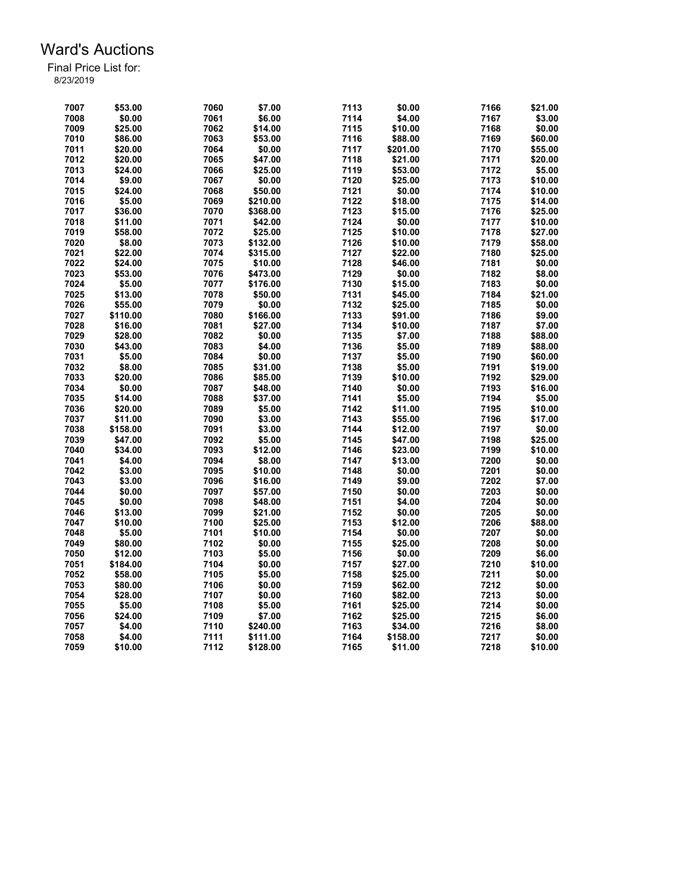| 7007 | \$53.00  | 7060 | \$7.00   | 7113 | \$0.00   | 7166 | \$21.00 |
|------|----------|------|----------|------|----------|------|---------|
| 7008 | \$0.00   | 7061 | \$6.00   | 7114 | \$4.00   | 7167 | \$3.00  |
| 7009 | \$25.00  | 7062 | \$14.00  | 7115 | \$10.00  | 7168 | \$0.00  |
| 7010 | \$86.00  | 7063 | \$53.00  | 7116 | \$88.00  | 7169 | \$60.00 |
| 7011 | \$20.00  | 7064 | \$0.00   | 7117 | \$201.00 | 7170 | \$55.00 |
| 7012 | \$20.00  | 7065 | \$47.00  | 7118 | \$21.00  | 7171 | \$20.00 |
| 7013 | \$24.00  | 7066 | \$25.00  | 7119 | \$53.00  | 7172 | \$5.00  |
| 7014 | \$9.00   | 7067 | \$0.00   | 7120 | \$25.00  | 7173 | \$10.00 |
| 7015 | \$24.00  | 7068 | \$50.00  | 7121 | \$0.00   | 7174 | \$10.00 |
| 7016 | \$5.00   | 7069 | \$210.00 | 7122 | \$18.00  | 7175 | \$14.00 |
| 7017 | \$36.00  | 7070 | \$368.00 | 7123 | \$15.00  | 7176 | \$25.00 |
| 7018 | \$11.00  | 7071 | \$42.00  | 7124 | \$0.00   | 7177 | \$10.00 |
| 7019 | \$58.00  | 7072 | \$25.00  | 7125 | \$10.00  | 7178 | \$27.00 |
| 7020 | \$8.00   | 7073 | \$132.00 | 7126 | \$10.00  | 7179 | \$58.00 |
| 7021 | \$22.00  | 7074 | \$315.00 | 7127 | \$22.00  | 7180 | \$25.00 |
| 7022 |          | 7075 |          | 7128 |          | 7181 |         |
|      | \$24.00  |      | \$10.00  |      | \$46.00  | 7182 | \$0.00  |
| 7023 | \$53.00  | 7076 | \$473.00 | 7129 | \$0.00   |      | \$8.00  |
| 7024 | \$5.00   | 7077 | \$176.00 | 7130 | \$15.00  | 7183 | \$0.00  |
| 7025 | \$13.00  | 7078 | \$50.00  | 7131 | \$45.00  | 7184 | \$21.00 |
| 7026 | \$55.00  | 7079 | \$0.00   | 7132 | \$25.00  | 7185 | \$0.00  |
| 7027 | \$110.00 | 7080 | \$166.00 | 7133 | \$91.00  | 7186 | \$9.00  |
| 7028 | \$16.00  | 7081 | \$27.00  | 7134 | \$10.00  | 7187 | \$7.00  |
| 7029 | \$28.00  | 7082 | \$0.00   | 7135 | \$7.00   | 7188 | \$88.00 |
| 7030 | \$43.00  | 7083 | \$4.00   | 7136 | \$5.00   | 7189 | \$88.00 |
| 7031 | \$5.00   | 7084 | \$0.00   | 7137 | \$5.00   | 7190 | \$60.00 |
| 7032 | \$8.00   | 7085 | \$31.00  | 7138 | \$5.00   | 7191 | \$19.00 |
| 7033 | \$20.00  | 7086 | \$85.00  | 7139 | \$10.00  | 7192 | \$29.00 |
| 7034 | \$0.00   | 7087 | \$48.00  | 7140 | \$0.00   | 7193 | \$16.00 |
| 7035 | \$14.00  | 7088 | \$37.00  | 7141 | \$5.00   | 7194 | \$5.00  |
| 7036 | \$20.00  | 7089 | \$5.00   | 7142 | \$11.00  | 7195 | \$10.00 |
| 7037 | \$11.00  | 7090 | \$3.00   | 7143 | \$55.00  | 7196 | \$17.00 |
| 7038 | \$158.00 | 7091 | \$3.00   | 7144 | \$12.00  | 7197 | \$0.00  |
| 7039 | \$47.00  | 7092 | \$5.00   | 7145 | \$47.00  | 7198 | \$25.00 |
| 7040 | \$34.00  | 7093 | \$12.00  | 7146 | \$23.00  | 7199 | \$10.00 |
| 7041 | \$4.00   | 7094 | \$8.00   | 7147 | \$13.00  | 7200 | \$0.00  |
| 7042 | \$3.00   | 7095 | \$10.00  | 7148 | \$0.00   | 7201 | \$0.00  |
| 7043 | \$3.00   | 7096 | \$16.00  | 7149 | \$9.00   | 7202 | \$7.00  |
| 7044 | \$0.00   | 7097 | \$57.00  | 7150 | \$0.00   | 7203 | \$0.00  |
| 7045 | \$0.00   | 7098 | \$48.00  | 7151 | \$4.00   | 7204 | \$0.00  |
| 7046 | \$13.00  | 7099 | \$21.00  | 7152 | \$0.00   | 7205 | \$0.00  |
| 7047 | \$10.00  | 7100 | \$25.00  | 7153 | \$12.00  | 7206 | \$88.00 |
| 7048 | \$5.00   | 7101 | \$10.00  | 7154 | \$0.00   | 7207 | \$0.00  |
| 7049 | \$80.00  | 7102 | \$0.00   | 7155 | \$25.00  | 7208 | \$0.00  |
| 7050 | \$12.00  | 7103 | \$5.00   | 7156 | \$0.00   | 7209 | \$6.00  |
| 7051 | \$184.00 | 7104 | \$0.00   | 7157 | \$27.00  | 7210 | \$10.00 |
|      |          |      |          |      |          |      |         |
| 7052 | \$58.00  | 7105 | \$5.00   | 7158 | \$25.00  | 7211 | \$0.00  |
| 7053 | \$80.00  | 7106 | \$0.00   | 7159 | \$62.00  | 7212 | \$0.00  |
| 7054 | \$28.00  | 7107 | \$0.00   | 7160 | \$82.00  | 7213 | \$0.00  |
| 7055 | \$5.00   | 7108 | \$5.00   | 7161 | \$25.00  | 7214 | \$0.00  |
| 7056 | \$24.00  | 7109 | \$7.00   | 7162 | \$25.00  | 7215 | \$6.00  |
| 7057 | \$4.00   | 7110 | \$240.00 | 7163 | \$34.00  | 7216 | \$8.00  |
| 7058 | \$4.00   | 7111 | \$111.00 | 7164 | \$158.00 | 7217 | \$0.00  |
| 7059 | \$10.00  | 7112 | \$128.00 | 7165 | \$11.00  | 7218 | \$10.00 |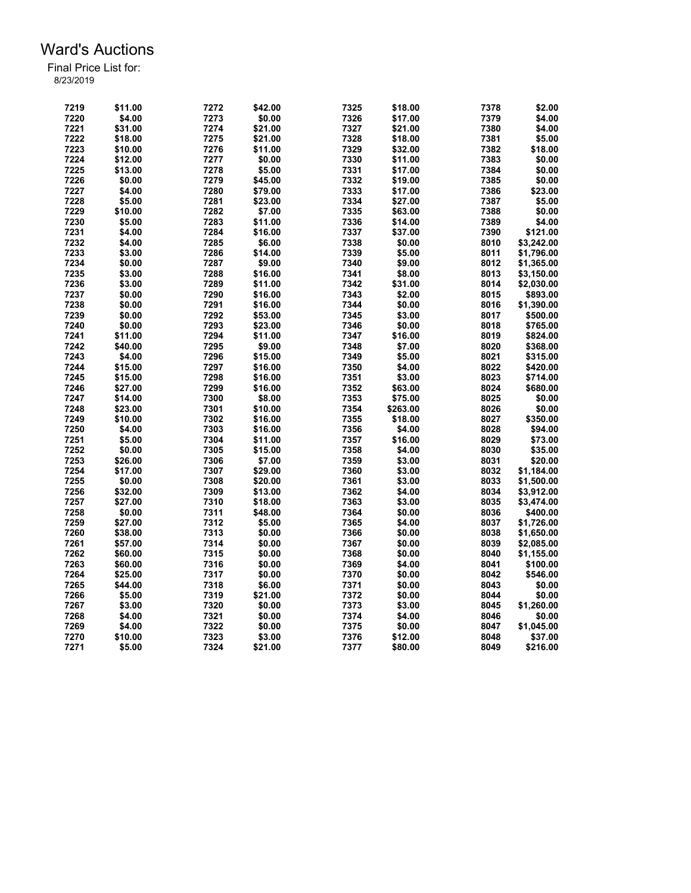| 7219 | \$11.00 | 7272 | \$42.00 | 7325 | \$18.00  | 7378         | \$2.00     |
|------|---------|------|---------|------|----------|--------------|------------|
| 7220 | \$4.00  | 7273 | \$0.00  | 7326 | \$17.00  | 7379         | \$4.00     |
| 7221 | \$31.00 | 7274 | \$21.00 | 7327 | \$21.00  | 7380         | \$4.00     |
| 7222 | \$18.00 | 7275 | \$21.00 | 7328 | \$18.00  | 7381         | \$5.00     |
| 7223 | \$10.00 | 7276 | \$11.00 | 7329 | \$32.00  | 7382         | \$18.00    |
| 7224 | \$12.00 | 7277 | \$0.00  | 7330 | \$11.00  | 7383         | \$0.00     |
| 7225 | \$13.00 | 7278 | \$5.00  | 7331 | \$17.00  | 7384         | \$0.00     |
| 7226 | \$0.00  | 7279 | \$45.00 | 7332 | \$19.00  | 7385         | \$0.00     |
| 7227 | \$4.00  | 7280 | \$79.00 | 7333 | \$17.00  | 7386         | \$23.00    |
| 7228 | \$5.00  | 7281 | \$23.00 | 7334 | \$27.00  | 7387         | \$5.00     |
| 7229 | \$10.00 | 7282 | \$7.00  | 7335 | \$63.00  | 7388         | \$0.00     |
| 7230 | \$5.00  | 7283 | \$11.00 | 7336 | \$14.00  | 7389         | \$4.00     |
| 7231 | \$4.00  | 7284 | \$16.00 | 7337 | \$37.00  | 7390         | \$121.00   |
| 7232 | \$4.00  | 7285 | \$6.00  | 7338 | \$0.00   | 8010         | \$3,242.00 |
| 7233 | \$3.00  | 7286 | \$14.00 | 7339 | \$5.00   | 8011         | \$1,796.00 |
| 7234 | \$0.00  | 7287 | \$9.00  | 7340 | \$9.00   | 8012         | \$1,365.00 |
| 7235 | \$3.00  | 7288 | \$16.00 | 7341 | \$8.00   | 8013         | \$3,150.00 |
| 7236 | \$3.00  | 7289 | \$11.00 | 7342 | \$31.00  | 8014         | \$2,030.00 |
| 7237 | \$0.00  | 7290 | \$16.00 | 7343 | \$2.00   | 8015         | \$893.00   |
| 7238 | \$0.00  | 7291 | \$16.00 | 7344 | \$0.00   | 8016         | \$1,390.00 |
| 7239 |         | 7292 |         | 7345 |          |              |            |
|      | \$0.00  |      | \$53.00 | 7346 | \$3.00   | 8017<br>8018 | \$500.00   |
| 7240 | \$0.00  | 7293 | \$23.00 |      | \$0.00   |              | \$765.00   |
| 7241 | \$11.00 | 7294 | \$11.00 | 7347 | \$16.00  | 8019         | \$824.00   |
| 7242 | \$40.00 | 7295 | \$9.00  | 7348 | \$7.00   | 8020         | \$368.00   |
| 7243 | \$4.00  | 7296 | \$15.00 | 7349 | \$5.00   | 8021         | \$315.00   |
| 7244 | \$15.00 | 7297 | \$16.00 | 7350 | \$4.00   | 8022         | \$420.00   |
| 7245 | \$15.00 | 7298 | \$16.00 | 7351 | \$3.00   | 8023         | \$714.00   |
| 7246 | \$27.00 | 7299 | \$16.00 | 7352 | \$63.00  | 8024         | \$680.00   |
| 7247 | \$14.00 | 7300 | \$8.00  | 7353 | \$75.00  | 8025         | \$0.00     |
| 7248 | \$23.00 | 7301 | \$10.00 | 7354 | \$263.00 | 8026         | \$0.00     |
| 7249 | \$10.00 | 7302 | \$16.00 | 7355 | \$18.00  | 8027         | \$350.00   |
| 7250 | \$4.00  | 7303 | \$16.00 | 7356 | \$4.00   | 8028         | \$94.00    |
| 7251 | \$5.00  | 7304 | \$11.00 | 7357 | \$16.00  | 8029         | \$73.00    |
| 7252 | \$0.00  | 7305 | \$15.00 | 7358 | \$4.00   | 8030         | \$35.00    |
| 7253 | \$26.00 | 7306 | \$7.00  | 7359 | \$3.00   | 8031         | \$20.00    |
| 7254 | \$17.00 | 7307 | \$29.00 | 7360 | \$3.00   | 8032         | \$1,184.00 |
| 7255 | \$0.00  | 7308 | \$20.00 | 7361 | \$3.00   | 8033         | \$1,500.00 |
| 7256 | \$32.00 | 7309 | \$13.00 | 7362 | \$4.00   | 8034         | \$3,912.00 |
| 7257 | \$27.00 | 7310 | \$18.00 | 7363 | \$3.00   | 8035         | \$3,474.00 |
| 7258 | \$0.00  | 7311 | \$48.00 | 7364 | \$0.00   | 8036         | \$400.00   |
| 7259 | \$27.00 | 7312 | \$5.00  | 7365 | \$4.00   | 8037         | \$1,726.00 |
| 7260 | \$38.00 | 7313 | \$0.00  | 7366 | \$0.00   | 8038         | \$1,650.00 |
| 7261 | \$57.00 | 7314 | \$0.00  | 7367 | \$0.00   | 8039         | \$2,085.00 |
| 7262 | \$60.00 | 7315 | \$0.00  | 7368 | \$0.00   | 8040         | \$1,155.00 |
| 7263 | \$60.00 | 7316 | \$0.00  | 7369 | \$4.00   | 8041         | \$100.00   |
| 7264 | \$25.00 | 7317 | \$0.00  | 7370 | \$0.00   | 8042         | \$546.00   |
| 7265 | \$44.00 | 7318 | \$6.00  | 7371 | \$0.00   | 8043         | \$0.00     |
| 7266 | \$5.00  | 7319 | \$21.00 | 7372 | \$0.00   | 8044         | \$0.00     |
| 7267 | \$3.00  | 7320 | \$0.00  | 7373 | \$3.00   | 8045         | \$1,260.00 |
| 7268 | \$4.00  | 7321 | \$0.00  | 7374 | \$4.00   | 8046         | \$0.00     |
| 7269 | \$4.00  | 7322 | \$0.00  | 7375 | \$0.00   | 8047         | \$1,045.00 |
| 7270 | \$10.00 | 7323 | \$3.00  | 7376 | \$12.00  | 8048         | \$37.00    |
| 7271 | \$5.00  | 7324 | \$21.00 | 7377 | \$80.00  | 8049         | \$216.00   |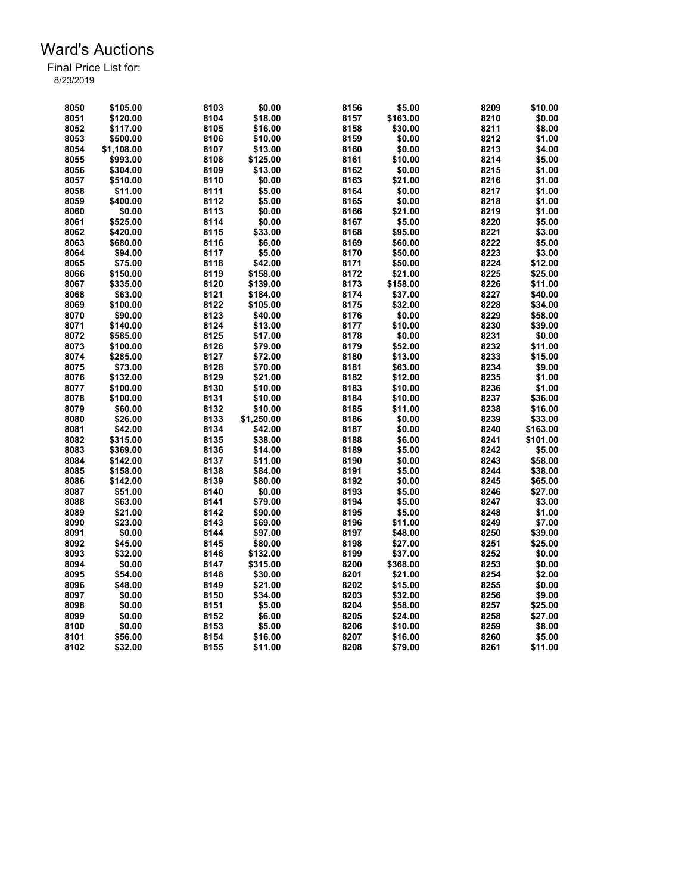| 8050 | \$105.00   | 8103 | \$0.00     | 8156 | \$5.00   | 8209 | \$10.00  |
|------|------------|------|------------|------|----------|------|----------|
| 8051 | \$120.00   | 8104 | \$18.00    | 8157 | \$163.00 | 8210 | \$0.00   |
| 8052 | \$117.00   | 8105 | \$16.00    | 8158 | \$30.00  | 8211 | \$8.00   |
| 8053 | \$500.00   | 8106 | \$10.00    | 8159 | \$0.00   | 8212 | \$1.00   |
| 8054 | \$1,108.00 | 8107 | \$13.00    | 8160 | \$0.00   | 8213 | \$4.00   |
|      |            |      |            |      |          |      |          |
| 8055 | \$993.00   | 8108 | \$125.00   | 8161 | \$10.00  | 8214 | \$5.00   |
| 8056 | \$304.00   | 8109 | \$13.00    | 8162 | \$0.00   | 8215 | \$1.00   |
| 8057 | \$510.00   | 8110 | \$0.00     | 8163 | \$21.00  | 8216 | \$1.00   |
| 8058 | \$11.00    | 8111 | \$5.00     | 8164 | \$0.00   | 8217 | \$1.00   |
| 8059 | \$400.00   | 8112 | \$5.00     | 8165 | \$0.00   | 8218 | \$1.00   |
| 8060 | \$0.00     | 8113 | \$0.00     | 8166 | \$21.00  | 8219 | \$1.00   |
| 8061 | \$525.00   | 8114 | \$0.00     | 8167 | \$5.00   | 8220 | \$5.00   |
| 8062 | \$420.00   | 8115 | \$33.00    | 8168 | \$95.00  | 8221 | \$3.00   |
| 8063 | \$680.00   | 8116 | \$6.00     | 8169 | \$60.00  | 8222 | \$5.00   |
| 8064 | \$94.00    | 8117 | \$5.00     | 8170 | \$50.00  | 8223 | \$3.00   |
| 8065 | \$75.00    | 8118 | \$42.00    | 8171 | \$50.00  | 8224 | \$12.00  |
| 8066 | \$150.00   | 8119 | \$158.00   | 8172 | \$21.00  | 8225 | \$25.00  |
| 8067 | \$335.00   | 8120 | \$139.00   | 8173 | \$158.00 | 8226 | \$11.00  |
| 8068 | \$63.00    | 8121 | \$184.00   | 8174 | \$37.00  | 8227 | \$40.00  |
| 8069 | \$100.00   | 8122 | \$105.00   | 8175 | \$32.00  | 8228 | \$34.00  |
| 8070 | \$90.00    | 8123 | \$40.00    | 8176 | \$0.00   | 8229 | \$58.00  |
| 8071 | \$140.00   | 8124 | \$13.00    | 8177 | \$10.00  | 8230 | \$39.00  |
| 8072 | \$585.00   | 8125 | \$17.00    | 8178 | \$0.00   | 8231 | \$0.00   |
| 8073 | \$100.00   | 8126 | \$79.00    | 8179 | \$52.00  | 8232 | \$11.00  |
| 8074 | \$285.00   | 8127 | \$72.00    | 8180 | \$13.00  | 8233 | \$15.00  |
| 8075 | \$73.00    | 8128 | \$70.00    | 8181 | \$63.00  | 8234 | \$9.00   |
| 8076 | \$132.00   | 8129 | \$21.00    | 8182 | \$12.00  | 8235 | \$1.00   |
| 8077 | \$100.00   | 8130 | \$10.00    | 8183 | \$10.00  | 8236 | \$1.00   |
| 8078 | \$100.00   | 8131 | \$10.00    | 8184 | \$10.00  | 8237 | \$36.00  |
| 8079 | \$60.00    | 8132 | \$10.00    | 8185 | \$11.00  | 8238 | \$16.00  |
| 8080 | \$26.00    | 8133 | \$1,250.00 | 8186 | \$0.00   | 8239 | \$33.00  |
| 8081 | \$42.00    | 8134 | \$42.00    | 8187 | \$0.00   | 8240 | \$163.00 |
| 8082 | \$315.00   | 8135 | \$38.00    | 8188 | \$6.00   | 8241 | \$101.00 |
| 8083 | \$369.00   | 8136 | \$14.00    | 8189 | \$5.00   | 8242 | \$5.00   |
| 8084 | \$142.00   | 8137 | \$11.00    | 8190 | \$0.00   | 8243 | \$58.00  |
| 8085 | \$158.00   | 8138 | \$84.00    | 8191 | \$5.00   | 8244 | \$38.00  |
| 8086 | \$142.00   | 8139 | \$80.00    | 8192 | \$0.00   | 8245 | \$65.00  |
| 8087 | \$51.00    | 8140 | \$0.00     | 8193 | \$5.00   | 8246 | \$27.00  |
| 8088 | \$63.00    | 8141 | \$79.00    | 8194 | \$5.00   | 8247 | \$3.00   |
| 8089 | \$21.00    | 8142 | \$90.00    | 8195 | \$5.00   | 8248 | \$1.00   |
| 8090 |            |      |            | 8196 |          | 8249 |          |
|      | \$23.00    | 8143 | \$69.00    |      | \$11.00  |      | \$7.00   |
| 8091 | \$0.00     | 8144 | \$97.00    | 8197 | \$48.00  | 8250 | \$39.00  |
| 8092 | \$45.00    | 8145 | \$80.00    | 8198 | \$27.00  | 8251 | \$25.00  |
| 8093 | \$32.00    | 8146 | \$132.00   | 8199 | \$37.00  | 8252 | \$0.00   |
| 8094 | \$0.00     | 8147 | \$315.00   | 8200 | \$368.00 | 8253 | \$0.00   |
| 8095 | \$54.00    | 8148 | \$30.00    | 8201 | \$21.00  | 8254 | \$2.00   |
| 8096 | \$48.00    | 8149 | \$21.00    | 8202 | \$15.00  | 8255 | \$0.00   |
| 8097 | \$0.00     | 8150 | \$34.00    | 8203 | \$32.00  | 8256 | \$9.00   |
| 8098 | \$0.00     | 8151 | \$5.00     | 8204 | \$58.00  | 8257 | \$25.00  |
| 8099 | \$0.00     | 8152 | \$6.00     | 8205 | \$24.00  | 8258 | \$27.00  |
| 8100 | \$0.00     | 8153 | \$5.00     | 8206 | \$10.00  | 8259 | \$8.00   |
| 8101 | \$56.00    | 8154 | \$16.00    | 8207 | \$16.00  | 8260 | \$5.00   |
| 8102 | \$32.00    | 8155 | \$11.00    | 8208 | \$79.00  | 8261 | \$11.00  |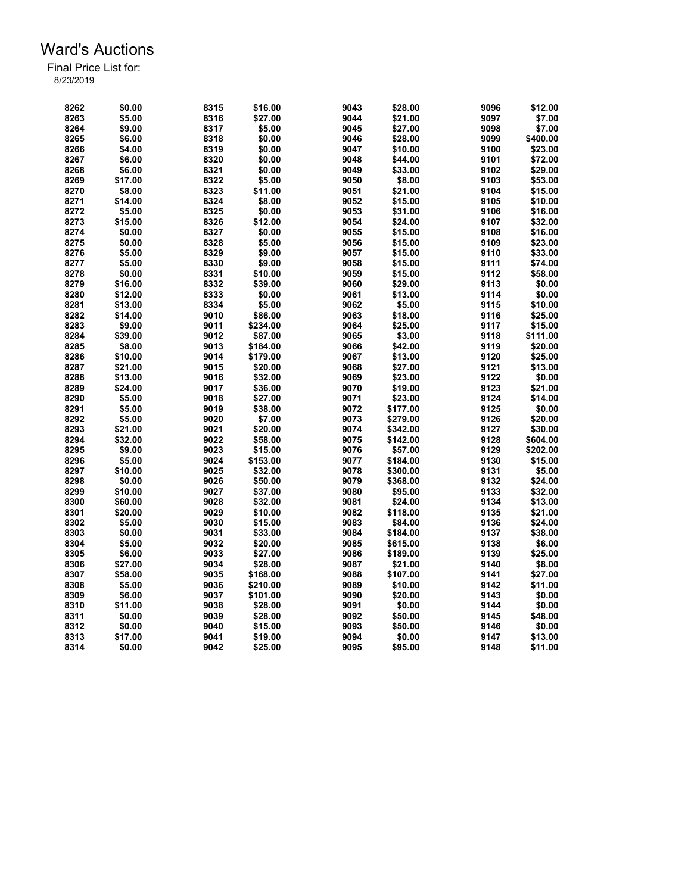| 8262 | \$0.00  | 8315 | \$16.00  | 9043 | \$28.00  | 9096 | \$12.00  |
|------|---------|------|----------|------|----------|------|----------|
| 8263 | \$5.00  | 8316 | \$27.00  | 9044 | \$21.00  | 9097 | \$7.00   |
| 8264 | \$9.00  | 8317 | \$5.00   | 9045 | \$27.00  | 9098 | \$7.00   |
| 8265 | \$6.00  | 8318 | \$0.00   | 9046 | \$28.00  | 9099 | \$400.00 |
| 8266 | \$4.00  | 8319 | \$0.00   | 9047 | \$10.00  | 9100 | \$23.00  |
| 8267 | \$6.00  | 8320 | \$0.00   | 9048 | \$44.00  | 9101 | \$72.00  |
| 8268 | \$6.00  | 8321 | \$0.00   | 9049 | \$33.00  | 9102 | \$29.00  |
| 8269 | \$17.00 | 8322 | \$5.00   | 9050 | \$8.00   | 9103 | \$53.00  |
| 8270 | \$8.00  | 8323 | \$11.00  | 9051 | \$21.00  | 9104 | \$15.00  |
| 8271 | \$14.00 | 8324 | \$8.00   | 9052 | \$15.00  | 9105 | \$10.00  |
| 8272 | \$5.00  | 8325 | \$0.00   | 9053 | \$31.00  | 9106 | \$16.00  |
| 8273 | \$15.00 | 8326 | \$12.00  | 9054 | \$24.00  | 9107 | \$32.00  |
| 8274 | \$0.00  | 8327 | \$0.00   | 9055 | \$15.00  | 9108 | \$16.00  |
| 8275 | \$0.00  | 8328 | \$5.00   | 9056 | \$15.00  | 9109 | \$23.00  |
| 8276 | \$5.00  | 8329 | \$9.00   | 9057 | \$15.00  | 9110 | \$33.00  |
| 8277 | \$5.00  | 8330 | \$9.00   | 9058 | \$15.00  | 9111 | \$74.00  |
| 8278 | \$0.00  | 8331 | \$10.00  | 9059 | \$15.00  | 9112 | \$58.00  |
| 8279 | \$16.00 | 8332 | \$39.00  | 9060 | \$29.00  | 9113 | \$0.00   |
| 8280 | \$12.00 | 8333 | \$0.00   | 9061 | \$13.00  | 9114 | \$0.00   |
| 8281 | \$13.00 | 8334 | \$5.00   | 9062 | \$5.00   | 9115 | \$10.00  |
| 8282 | \$14.00 | 9010 | \$86.00  | 9063 | \$18.00  | 9116 | \$25.00  |
| 8283 | \$9.00  | 9011 | \$234.00 | 9064 | \$25.00  | 9117 | \$15.00  |
| 8284 |         |      |          | 9065 | \$3.00   | 9118 |          |
|      | \$39.00 | 9012 | \$87.00  |      |          |      | \$111.00 |
| 8285 | \$8.00  | 9013 | \$184.00 | 9066 | \$42.00  | 9119 | \$20.00  |
| 8286 | \$10.00 | 9014 | \$179.00 | 9067 | \$13.00  | 9120 | \$25.00  |
| 8287 | \$21.00 | 9015 | \$20.00  | 9068 | \$27.00  | 9121 | \$13.00  |
| 8288 | \$13.00 | 9016 | \$32.00  | 9069 | \$23.00  | 9122 | \$0.00   |
| 8289 | \$24.00 | 9017 | \$36.00  | 9070 | \$19.00  | 9123 | \$21.00  |
| 8290 | \$5.00  | 9018 | \$27.00  | 9071 | \$23.00  | 9124 | \$14.00  |
| 8291 | \$5.00  | 9019 | \$38.00  | 9072 | \$177.00 | 9125 | \$0.00   |
| 8292 | \$5.00  | 9020 | \$7.00   | 9073 | \$279.00 | 9126 | \$20.00  |
| 8293 | \$21.00 | 9021 | \$20.00  | 9074 | \$342.00 | 9127 | \$30.00  |
| 8294 | \$32.00 | 9022 | \$58.00  | 9075 | \$142.00 | 9128 | \$604.00 |
| 8295 | \$9.00  | 9023 | \$15.00  | 9076 | \$57.00  | 9129 | \$202.00 |
| 8296 | \$5.00  | 9024 | \$153.00 | 9077 | \$184.00 | 9130 | \$15.00  |
| 8297 | \$10.00 | 9025 | \$32.00  | 9078 | \$300.00 | 9131 | \$5.00   |
| 8298 | \$0.00  | 9026 | \$50.00  | 9079 | \$368.00 | 9132 | \$24.00  |
| 8299 | \$10.00 | 9027 | \$37.00  | 9080 | \$95.00  | 9133 | \$32.00  |
| 8300 | \$60.00 | 9028 | \$32.00  | 9081 | \$24.00  | 9134 | \$13.00  |
| 8301 | \$20.00 | 9029 | \$10.00  | 9082 | \$118.00 | 9135 | \$21.00  |
| 8302 | \$5.00  | 9030 | \$15.00  | 9083 | \$84.00  | 9136 | \$24.00  |
| 8303 | \$0.00  | 9031 | \$33.00  | 9084 | \$184.00 | 9137 | \$38.00  |
| 8304 | \$5.00  | 9032 | \$20.00  | 9085 | \$615.00 | 9138 | \$6.00   |
| 8305 | \$6.00  | 9033 | \$27.00  | 9086 | \$189.00 | 9139 | \$25.00  |
| 8306 | \$27.00 | 9034 | \$28.00  | 9087 | \$21.00  | 9140 | \$8.00   |
| 8307 | \$58.00 | 9035 | \$168.00 | 9088 | \$107.00 | 9141 | \$27.00  |
| 8308 | \$5.00  | 9036 | \$210.00 | 9089 | \$10.00  | 9142 | \$11.00  |
| 8309 | \$6.00  | 9037 | \$101.00 | 9090 | \$20.00  | 9143 | \$0.00   |
| 8310 | \$11.00 | 9038 | \$28.00  | 9091 | \$0.00   | 9144 | \$0.00   |
| 8311 | \$0.00  | 9039 | \$28.00  | 9092 | \$50.00  | 9145 | \$48.00  |
| 8312 | \$0.00  | 9040 | \$15.00  | 9093 | \$50.00  | 9146 | \$0.00   |
| 8313 | \$17.00 | 9041 | \$19.00  | 9094 | \$0.00   | 9147 | \$13.00  |
| 8314 | \$0.00  | 9042 | \$25.00  | 9095 | \$95.00  | 9148 | \$11.00  |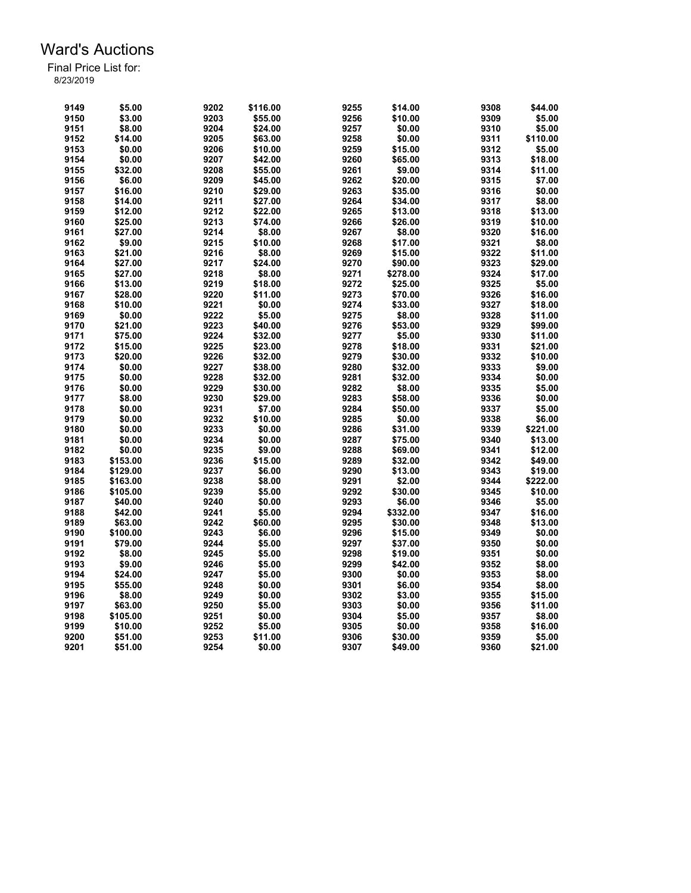| 9149 | \$5.00   | 9202 | \$116.00 | 9255 | \$14.00  | 9308 | \$44.00  |
|------|----------|------|----------|------|----------|------|----------|
| 9150 | \$3.00   | 9203 | \$55.00  | 9256 | \$10.00  | 9309 | \$5.00   |
| 9151 | \$8.00   | 9204 | \$24.00  | 9257 | \$0.00   | 9310 | \$5.00   |
| 9152 | \$14.00  | 9205 | \$63.00  | 9258 | \$0.00   | 9311 | \$110.00 |
| 9153 | \$0.00   | 9206 | \$10.00  | 9259 | \$15.00  | 9312 | \$5.00   |
| 9154 | \$0.00   | 9207 | \$42.00  | 9260 | \$65.00  | 9313 | \$18.00  |
| 9155 | \$32.00  | 9208 | \$55.00  | 9261 | \$9.00   | 9314 | \$11.00  |
| 9156 | \$6.00   | 9209 | \$45.00  | 9262 | \$20.00  | 9315 | \$7.00   |
| 9157 | \$16.00  | 9210 | \$29.00  | 9263 | \$35.00  | 9316 | \$0.00   |
| 9158 | \$14.00  | 9211 | \$27.00  | 9264 | \$34.00  | 9317 | \$8.00   |
| 9159 | \$12.00  | 9212 | \$22.00  | 9265 | \$13.00  | 9318 | \$13.00  |
| 9160 | \$25.00  | 9213 | \$74.00  | 9266 | \$26.00  | 9319 | \$10.00  |
| 9161 | \$27.00  | 9214 | \$8.00   | 9267 | \$8.00   | 9320 | \$16.00  |
| 9162 | \$9.00   | 9215 | \$10.00  | 9268 | \$17.00  | 9321 | \$8.00   |
| 9163 | \$21.00  | 9216 | \$8.00   | 9269 | \$15.00  | 9322 | \$11.00  |
| 9164 | \$27.00  | 9217 | \$24.00  | 9270 | \$90.00  | 9323 | \$29.00  |
| 9165 | \$27.00  | 9218 | \$8.00   | 9271 | \$278.00 | 9324 | \$17.00  |
| 9166 | \$13.00  | 9219 | \$18.00  | 9272 | \$25.00  | 9325 | \$5.00   |
| 9167 | \$28.00  | 9220 | \$11.00  | 9273 | \$70.00  | 9326 | \$16.00  |
|      |          |      |          | 9274 |          | 9327 | \$18.00  |
| 9168 | \$10.00  | 9221 | \$0.00   |      | \$33.00  |      |          |
| 9169 | \$0.00   | 9222 | \$5.00   | 9275 | \$8.00   | 9328 | \$11.00  |
| 9170 | \$21.00  | 9223 | \$40.00  | 9276 | \$53.00  | 9329 | \$99.00  |
| 9171 | \$75.00  | 9224 | \$32.00  | 9277 | \$5.00   | 9330 | \$11.00  |
| 9172 | \$15.00  | 9225 | \$23.00  | 9278 | \$18.00  | 9331 | \$21.00  |
| 9173 | \$20.00  | 9226 | \$32.00  | 9279 | \$30.00  | 9332 | \$10.00  |
| 9174 | \$0.00   | 9227 | \$38.00  | 9280 | \$32.00  | 9333 | \$9.00   |
| 9175 | \$0.00   | 9228 | \$32.00  | 9281 | \$32.00  | 9334 | \$0.00   |
| 9176 | \$0.00   | 9229 | \$30.00  | 9282 | \$8.00   | 9335 | \$5.00   |
| 9177 | \$8.00   | 9230 | \$29.00  | 9283 | \$58.00  | 9336 | \$0.00   |
| 9178 | \$0.00   | 9231 | \$7.00   | 9284 | \$50.00  | 9337 | \$5.00   |
| 9179 | \$0.00   | 9232 | \$10.00  | 9285 | \$0.00   | 9338 | \$6.00   |
| 9180 | \$0.00   | 9233 | \$0.00   | 9286 | \$31.00  | 9339 | \$221.00 |
| 9181 | \$0.00   | 9234 | \$0.00   | 9287 | \$75.00  | 9340 | \$13.00  |
| 9182 | \$0.00   | 9235 | \$9.00   | 9288 | \$69.00  | 9341 | \$12.00  |
| 9183 | \$153.00 | 9236 | \$15.00  | 9289 | \$32.00  | 9342 | \$49.00  |
| 9184 | \$129.00 | 9237 | \$6.00   | 9290 | \$13.00  | 9343 | \$19.00  |
| 9185 | \$163.00 | 9238 | \$8.00   | 9291 | \$2.00   | 9344 | \$222.00 |
| 9186 | \$105.00 | 9239 | \$5.00   | 9292 | \$30.00  | 9345 | \$10.00  |
| 9187 | \$40.00  | 9240 | \$0.00   | 9293 | \$6.00   | 9346 | \$5.00   |
| 9188 | \$42.00  | 9241 | \$5.00   | 9294 | \$332.00 | 9347 | \$16.00  |
| 9189 | \$63.00  | 9242 | \$60.00  | 9295 | \$30.00  | 9348 | \$13.00  |
| 9190 | \$100.00 | 9243 | \$6.00   | 9296 | \$15.00  | 9349 | \$0.00   |
| 9191 | \$79.00  | 9244 | \$5.00   | 9297 | \$37.00  | 9350 | \$0.00   |
| 9192 | \$8.00   | 9245 | \$5.00   | 9298 | \$19.00  | 9351 | \$0.00   |
| 9193 | \$9.00   | 9246 | \$5.00   | 9299 | \$42.00  | 9352 |          |
|      |          |      |          |      |          |      | \$8.00   |
| 9194 | \$24.00  | 9247 | \$5.00   | 9300 | \$0.00   | 9353 | \$8.00   |
| 9195 | \$55.00  | 9248 | \$0.00   | 9301 | \$6.00   | 9354 | \$8.00   |
| 9196 | \$8.00   | 9249 | \$0.00   | 9302 | \$3.00   | 9355 | \$15.00  |
| 9197 | \$63.00  | 9250 | \$5.00   | 9303 | \$0.00   | 9356 | \$11.00  |
| 9198 | \$105.00 | 9251 | \$0.00   | 9304 | \$5.00   | 9357 | \$8.00   |
| 9199 | \$10.00  | 9252 | \$5.00   | 9305 | \$0.00   | 9358 | \$16.00  |
| 9200 | \$51.00  | 9253 | \$11.00  | 9306 | \$30.00  | 9359 | \$5.00   |
| 9201 | \$51.00  | 9254 | \$0.00   | 9307 | \$49.00  | 9360 | \$21.00  |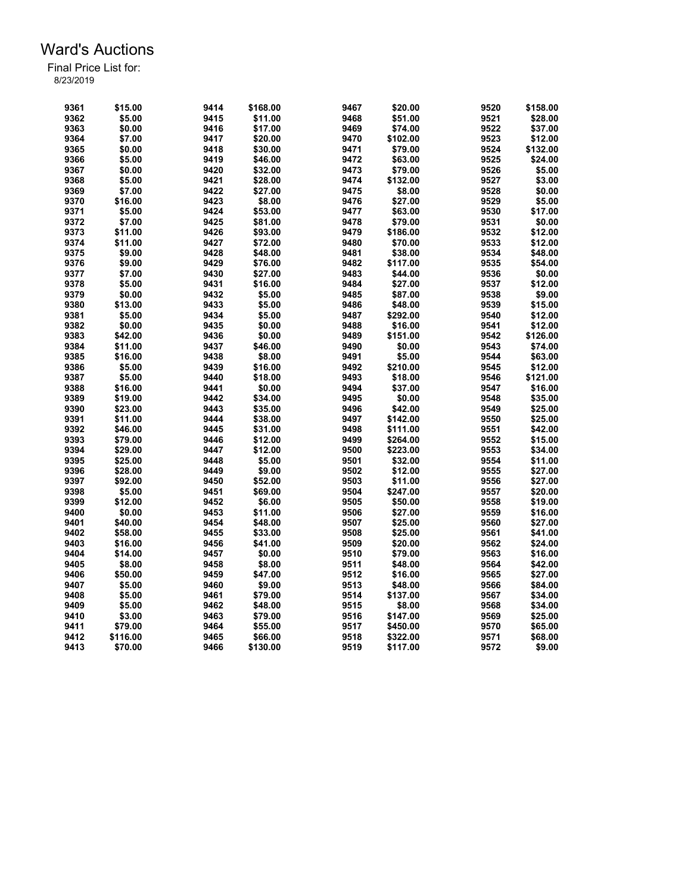| 9361 | \$15.00  | 9414 | \$168.00 | 9467 | \$20.00  | 9520 | \$158.00 |
|------|----------|------|----------|------|----------|------|----------|
| 9362 | \$5.00   | 9415 | \$11.00  | 9468 | \$51.00  | 9521 | \$28.00  |
| 9363 | \$0.00   | 9416 | \$17.00  | 9469 | \$74.00  | 9522 | \$37.00  |
| 9364 | \$7.00   | 9417 | \$20.00  | 9470 | \$102.00 | 9523 | \$12.00  |
| 9365 | \$0.00   | 9418 | \$30.00  | 9471 | \$79.00  | 9524 | \$132.00 |
| 9366 | \$5.00   | 9419 | \$46.00  | 9472 | \$63.00  | 9525 | \$24.00  |
| 9367 | \$0.00   | 9420 | \$32.00  | 9473 | \$79.00  | 9526 | \$5.00   |
| 9368 | \$5.00   | 9421 | \$28.00  | 9474 | \$132.00 | 9527 | \$3.00   |
| 9369 | \$7.00   | 9422 | \$27.00  | 9475 | \$8.00   | 9528 | \$0.00   |
| 9370 | \$16.00  | 9423 | \$8.00   | 9476 | \$27.00  | 9529 | \$5.00   |
| 9371 | \$5.00   | 9424 | \$53.00  | 9477 | \$63.00  | 9530 | \$17.00  |
| 9372 | \$7.00   | 9425 | \$81.00  | 9478 | \$79.00  | 9531 | \$0.00   |
| 9373 | \$11.00  | 9426 | \$93.00  | 9479 | \$186.00 | 9532 | \$12.00  |
| 9374 | \$11.00  | 9427 | \$72.00  | 9480 | \$70.00  | 9533 | \$12.00  |
| 9375 | \$9.00   | 9428 | \$48.00  | 9481 | \$38.00  | 9534 | \$48.00  |
| 9376 | \$9.00   | 9429 | \$76.00  | 9482 | \$117.00 | 9535 | \$54.00  |
| 9377 | \$7.00   | 9430 | \$27.00  | 9483 | \$44.00  | 9536 | \$0.00   |
| 9378 | \$5.00   | 9431 | \$16.00  | 9484 | \$27.00  | 9537 | \$12.00  |
| 9379 | \$0.00   | 9432 | \$5.00   | 9485 | \$87.00  | 9538 | \$9.00   |
| 9380 | \$13.00  | 9433 | \$5.00   | 9486 |          | 9539 | \$15.00  |
| 9381 |          |      |          | 9487 | \$48.00  | 9540 |          |
|      | \$5.00   | 9434 | \$5.00   |      | \$292.00 |      | \$12.00  |
| 9382 | \$0.00   | 9435 | \$0.00   | 9488 | \$16.00  | 9541 | \$12.00  |
| 9383 | \$42.00  | 9436 | \$0.00   | 9489 | \$151.00 | 9542 | \$126.00 |
| 9384 | \$11.00  | 9437 | \$46.00  | 9490 | \$0.00   | 9543 | \$74.00  |
| 9385 | \$16.00  | 9438 | \$8.00   | 9491 | \$5.00   | 9544 | \$63.00  |
| 9386 | \$5.00   | 9439 | \$16.00  | 9492 | \$210.00 | 9545 | \$12.00  |
| 9387 | \$5.00   | 9440 | \$18.00  | 9493 | \$18.00  | 9546 | \$121.00 |
| 9388 | \$16.00  | 9441 | \$0.00   | 9494 | \$37.00  | 9547 | \$16.00  |
| 9389 | \$19.00  | 9442 | \$34.00  | 9495 | \$0.00   | 9548 | \$35.00  |
| 9390 | \$23.00  | 9443 | \$35.00  | 9496 | \$42.00  | 9549 | \$25.00  |
| 9391 | \$11.00  | 9444 | \$38.00  | 9497 | \$142.00 | 9550 | \$25.00  |
| 9392 | \$46.00  | 9445 | \$31.00  | 9498 | \$111.00 | 9551 | \$42.00  |
| 9393 | \$79.00  | 9446 | \$12.00  | 9499 | \$264.00 | 9552 | \$15.00  |
| 9394 | \$29.00  | 9447 | \$12.00  | 9500 | \$223.00 | 9553 | \$34.00  |
| 9395 | \$25.00  | 9448 | \$5.00   | 9501 | \$32.00  | 9554 | \$11.00  |
| 9396 | \$28.00  | 9449 | \$9.00   | 9502 | \$12.00  | 9555 | \$27.00  |
| 9397 | \$92.00  | 9450 | \$52.00  | 9503 | \$11.00  | 9556 | \$27.00  |
| 9398 | \$5.00   | 9451 | \$69.00  | 9504 | \$247.00 | 9557 | \$20.00  |
| 9399 | \$12.00  | 9452 | \$6.00   | 9505 | \$50.00  | 9558 | \$19.00  |
| 9400 | \$0.00   | 9453 | \$11.00  | 9506 | \$27.00  | 9559 | \$16.00  |
| 9401 | \$40.00  | 9454 | \$48.00  | 9507 | \$25.00  | 9560 | \$27.00  |
| 9402 | \$58.00  | 9455 | \$33.00  | 9508 | \$25.00  | 9561 | \$41.00  |
| 9403 | \$16.00  | 9456 | \$41.00  | 9509 | \$20.00  | 9562 | \$24.00  |
| 9404 | \$14.00  | 9457 | \$0.00   | 9510 | \$79.00  | 9563 | \$16.00  |
| 9405 | \$8.00   | 9458 | \$8.00   | 9511 | \$48.00  | 9564 | \$42.00  |
| 9406 | \$50.00  | 9459 | \$47.00  | 9512 | \$16.00  | 9565 | \$27.00  |
| 9407 | \$5.00   | 9460 | \$9.00   | 9513 | \$48.00  | 9566 | \$84.00  |
| 9408 | \$5.00   | 9461 | \$79.00  | 9514 | \$137.00 | 9567 | \$34.00  |
| 9409 | \$5.00   | 9462 | \$48.00  | 9515 | \$8.00   | 9568 | \$34.00  |
| 9410 | \$3.00   | 9463 | \$79.00  | 9516 | \$147.00 | 9569 | \$25.00  |
| 9411 | \$79.00  | 9464 | \$55.00  | 9517 | \$450.00 | 9570 | \$65.00  |
| 9412 | \$116.00 | 9465 | \$66.00  | 9518 | \$322.00 | 9571 | \$68.00  |
| 9413 | \$70.00  | 9466 | \$130.00 | 9519 | \$117.00 | 9572 | \$9.00   |
|      |          |      |          |      |          |      |          |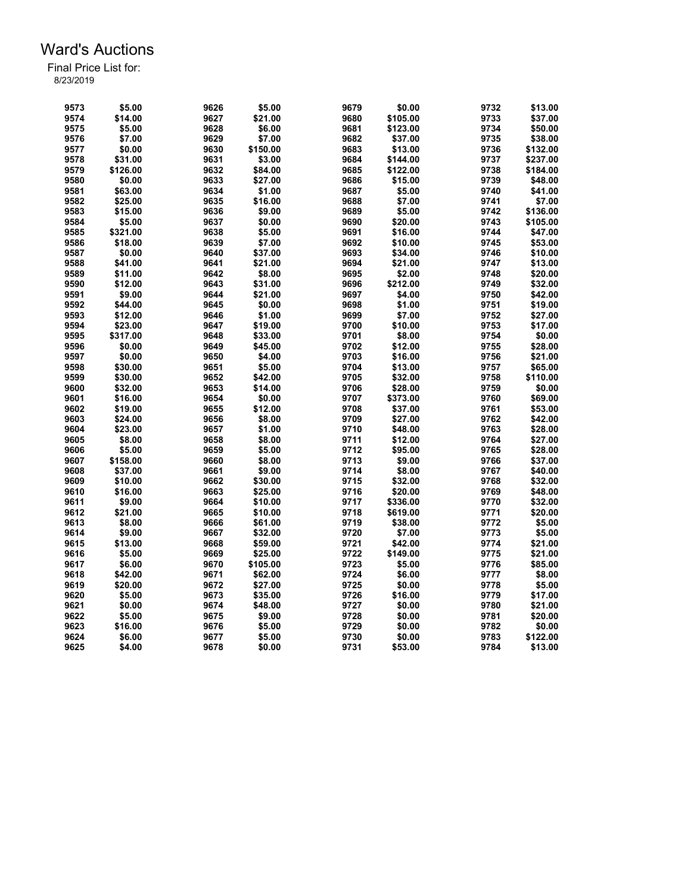| 9573 | \$5.00   | 9626 | \$5.00   | 9679 | \$0.00   | 9732 | \$13.00  |
|------|----------|------|----------|------|----------|------|----------|
| 9574 | \$14.00  | 9627 | \$21.00  | 9680 | \$105.00 | 9733 | \$37.00  |
| 9575 | \$5.00   | 9628 | \$6.00   | 9681 | \$123.00 | 9734 | \$50.00  |
| 9576 | \$7.00   | 9629 | \$7.00   | 9682 | \$37.00  | 9735 | \$38.00  |
| 9577 | \$0.00   | 9630 | \$150.00 | 9683 | \$13.00  | 9736 | \$132.00 |
| 9578 | \$31.00  | 9631 | \$3.00   | 9684 | \$144.00 | 9737 | \$237.00 |
| 9579 | \$126.00 | 9632 | \$84.00  | 9685 | \$122.00 | 9738 | \$184.00 |
| 9580 | \$0.00   | 9633 | \$27.00  | 9686 | \$15.00  | 9739 | \$48.00  |
| 9581 | \$63.00  | 9634 | \$1.00   | 9687 | \$5.00   | 9740 | \$41.00  |
| 9582 | \$25.00  | 9635 | \$16.00  | 9688 | \$7.00   | 9741 | \$7.00   |
| 9583 | \$15.00  | 9636 | \$9.00   | 9689 | \$5.00   | 9742 | \$136.00 |
|      |          |      |          |      |          |      |          |
| 9584 | \$5.00   | 9637 | \$0.00   | 9690 | \$20.00  | 9743 | \$105.00 |
| 9585 | \$321.00 | 9638 | \$5.00   | 9691 | \$16.00  | 9744 | \$47.00  |
| 9586 | \$18.00  | 9639 | \$7.00   | 9692 | \$10.00  | 9745 | \$53.00  |
| 9587 | \$0.00   | 9640 | \$37.00  | 9693 | \$34.00  | 9746 | \$10.00  |
| 9588 | \$41.00  | 9641 | \$21.00  | 9694 | \$21.00  | 9747 | \$13.00  |
| 9589 | \$11.00  | 9642 | \$8.00   | 9695 | \$2.00   | 9748 | \$20.00  |
| 9590 | \$12.00  | 9643 | \$31.00  | 9696 | \$212.00 | 9749 | \$32.00  |
| 9591 | \$9.00   | 9644 | \$21.00  | 9697 | \$4.00   | 9750 | \$42.00  |
| 9592 | \$44.00  | 9645 | \$0.00   | 9698 | \$1.00   | 9751 | \$19.00  |
| 9593 | \$12.00  | 9646 | \$1.00   | 9699 | \$7.00   | 9752 | \$27.00  |
| 9594 | \$23.00  | 9647 | \$19.00  | 9700 | \$10.00  | 9753 | \$17.00  |
| 9595 | \$317.00 | 9648 | \$33.00  | 9701 | \$8.00   | 9754 | \$0.00   |
| 9596 | \$0.00   | 9649 | \$45.00  | 9702 | \$12.00  | 9755 | \$28.00  |
| 9597 | \$0.00   | 9650 | \$4.00   | 9703 | \$16.00  | 9756 | \$21.00  |
| 9598 | \$30.00  | 9651 | \$5.00   | 9704 | \$13.00  | 9757 | \$65.00  |
| 9599 | \$30.00  | 9652 | \$42.00  | 9705 | \$32.00  | 9758 | \$110.00 |
| 9600 | \$32.00  | 9653 | \$14.00  | 9706 | \$28.00  | 9759 | \$0.00   |
| 9601 | \$16.00  | 9654 | \$0.00   | 9707 | \$373.00 | 9760 | \$69.00  |
| 9602 | \$19.00  | 9655 | \$12.00  | 9708 | \$37.00  | 9761 | \$53.00  |
| 9603 | \$24.00  | 9656 | \$8.00   | 9709 | \$27.00  | 9762 | \$42.00  |
| 9604 | \$23.00  | 9657 | \$1.00   | 9710 | \$48.00  | 9763 | \$28.00  |
| 9605 | \$8.00   | 9658 | \$8.00   | 9711 | \$12.00  | 9764 | \$27.00  |
| 9606 | \$5.00   | 9659 | \$5.00   | 9712 | \$95.00  | 9765 | \$28.00  |
| 9607 | \$158.00 | 9660 | \$8.00   | 9713 | \$9.00   | 9766 | \$37.00  |
| 9608 | \$37.00  | 9661 | \$9.00   | 9714 | \$8.00   | 9767 | \$40.00  |
| 9609 | \$10.00  | 9662 | \$30.00  | 9715 | \$32.00  | 9768 | \$32.00  |
| 9610 | \$16.00  | 9663 | \$25.00  | 9716 | \$20.00  | 9769 | \$48.00  |
| 9611 | \$9.00   | 9664 | \$10.00  | 9717 | \$336.00 | 9770 | \$32.00  |
| 9612 | \$21.00  | 9665 | \$10.00  | 9718 | \$619.00 | 9771 | \$20.00  |
| 9613 | \$8.00   | 9666 | \$61.00  | 9719 | \$38.00  | 9772 | \$5.00   |
| 9614 | \$9.00   | 9667 |          |      | \$7.00   | 9773 |          |
|      |          |      | \$32.00  | 9720 |          |      | \$5.00   |
| 9615 | \$13.00  | 9668 | \$59.00  | 9721 | \$42.00  | 9774 | \$21.00  |
| 9616 | \$5.00   | 9669 | \$25.00  | 9722 | \$149.00 | 9775 | \$21.00  |
| 9617 | \$6.00   | 9670 | \$105.00 | 9723 | \$5.00   | 9776 | \$85.00  |
| 9618 | \$42.00  | 9671 | \$62.00  | 9724 | \$6.00   | 9777 | \$8.00   |
| 9619 | \$20.00  | 9672 | \$27.00  | 9725 | \$0.00   | 9778 | \$5.00   |
| 9620 | \$5.00   | 9673 | \$35.00  | 9726 | \$16.00  | 9779 | \$17.00  |
| 9621 | \$0.00   | 9674 | \$48.00  | 9727 | \$0.00   | 9780 | \$21.00  |
| 9622 | \$5.00   | 9675 | \$9.00   | 9728 | \$0.00   | 9781 | \$20.00  |
| 9623 | \$16.00  | 9676 | \$5.00   | 9729 | \$0.00   | 9782 | \$0.00   |
| 9624 | \$6.00   | 9677 | \$5.00   | 9730 | \$0.00   | 9783 | \$122.00 |
| 9625 | \$4.00   | 9678 | \$0.00   | 9731 | \$53.00  | 9784 | \$13.00  |